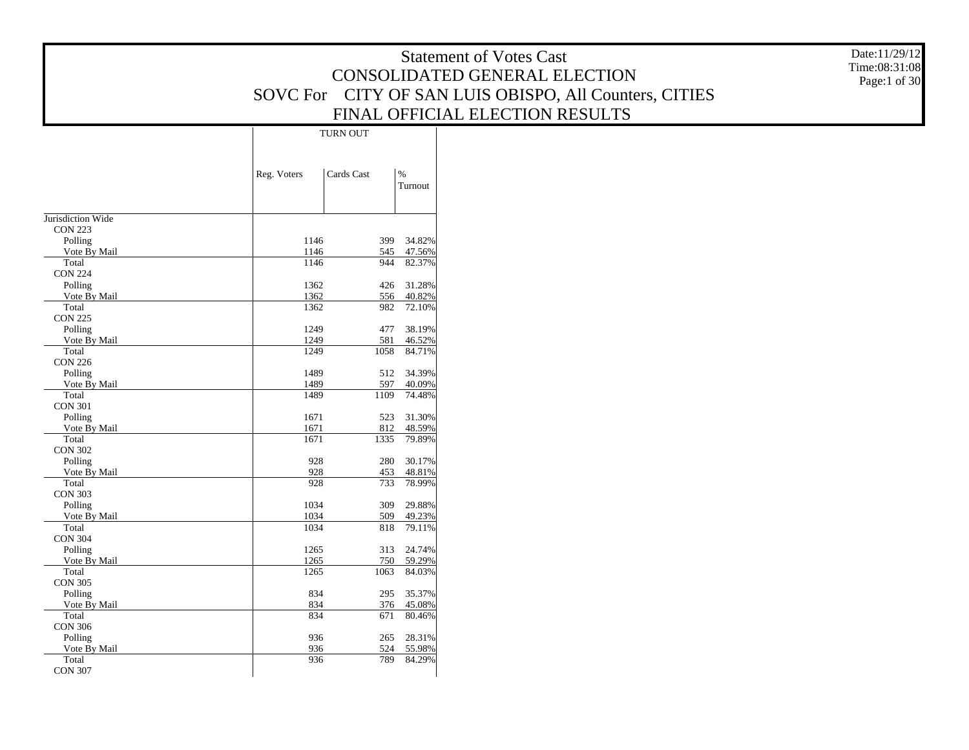|                           |                           |                                | <b>Statement of Votes Cast</b>                         | Date:11/29/12 |
|---------------------------|---------------------------|--------------------------------|--------------------------------------------------------|---------------|
|                           |                           |                                | CONSOLIDATED GENERAL ELECTION                          | Time:08:31:08 |
|                           |                           |                                |                                                        | Page:1 of 30  |
|                           |                           |                                | SOVC For CITY OF SAN LUIS OBISPO, All Counters, CITIES |               |
|                           |                           |                                | FINAL OFFICIAL ELECTION RESULTS                        |               |
|                           | TURN OUT                  |                                |                                                        |               |
|                           |                           |                                |                                                        |               |
|                           | Reg. Voters<br>Cards Cast | $\%$                           |                                                        |               |
|                           |                           | Turnout                        |                                                        |               |
|                           |                           |                                |                                                        |               |
| Jurisdiction Wide         |                           |                                |                                                        |               |
| <b>CON 223</b>            |                           |                                |                                                        |               |
| Polling<br>Vote By Mail   | 1146<br>1146              | 34.82%<br>399<br>47.56%<br>545 |                                                        |               |
| Total                     | 1146                      | 944<br>82.37%                  |                                                        |               |
| <b>CON 224</b>            |                           |                                |                                                        |               |
| Polling                   | 1362                      | 426<br>31.28%                  |                                                        |               |
| Vote By Mail<br>Total     | 1362<br>1362              | 556<br>40.82%<br>982<br>72.10% |                                                        |               |
| <b>CON 225</b>            |                           |                                |                                                        |               |
| Polling                   | 1249                      | 477<br>38.19%                  |                                                        |               |
| Vote By Mail              | 1249                      | 581<br>46.52%                  |                                                        |               |
| Total<br><b>CON 226</b>   | 1249                      | 1058<br>84.71%                 |                                                        |               |
| Polling                   | 1489                      | 34.39%<br>512                  |                                                        |               |
| Vote By Mail              | 1489                      | 597<br>40.09%                  |                                                        |               |
| Total                     | 1489                      | 74.48%<br>1109                 |                                                        |               |
| <b>CON 301</b><br>Polling | 1671                      | 523 31.30%                     |                                                        |               |
| Vote By Mail              | 1671                      | 812<br>48.59%                  |                                                        |               |
| Total                     | 1671                      | 79.89%<br>1335                 |                                                        |               |
| <b>CON 302</b>            |                           |                                |                                                        |               |
| Polling<br>Vote By Mail   | 928<br>928                | 280<br>30.17%<br>48.81%<br>453 |                                                        |               |
| Total                     | 928                       | 733<br>78.99%                  |                                                        |               |
| <b>CON 303</b>            |                           |                                |                                                        |               |
| Polling                   | 1034                      | 309<br>29.88%                  |                                                        |               |
| Vote By Mail<br>Total     | 1034<br>1034              | 509<br>49.23%<br>818<br>79.11% |                                                        |               |
| <b>CON 304</b>            |                           |                                |                                                        |               |
| Polling                   | 1265                      | 313<br>24.74%                  |                                                        |               |
| Vote By Mail              | 1265                      | 750<br>59.29%                  |                                                        |               |
| Total<br><b>CON 305</b>   | 1265                      | 1063<br>84.03%                 |                                                        |               |
| Polling                   | 834                       | 35.37%<br>295                  |                                                        |               |
| Vote By Mail              | 834                       | 376<br>45.08%                  |                                                        |               |
| Total                     | 834                       | 80.46%<br>671                  |                                                        |               |
| <b>CON 306</b><br>Polling | 936                       | 28.31%<br>265                  |                                                        |               |
| Vote By Mail              | 936                       | 524<br>55.98%                  |                                                        |               |
| Total                     | 936                       | 789<br>84.29%                  |                                                        |               |
| <b>CON 307</b>            |                           |                                |                                                        |               |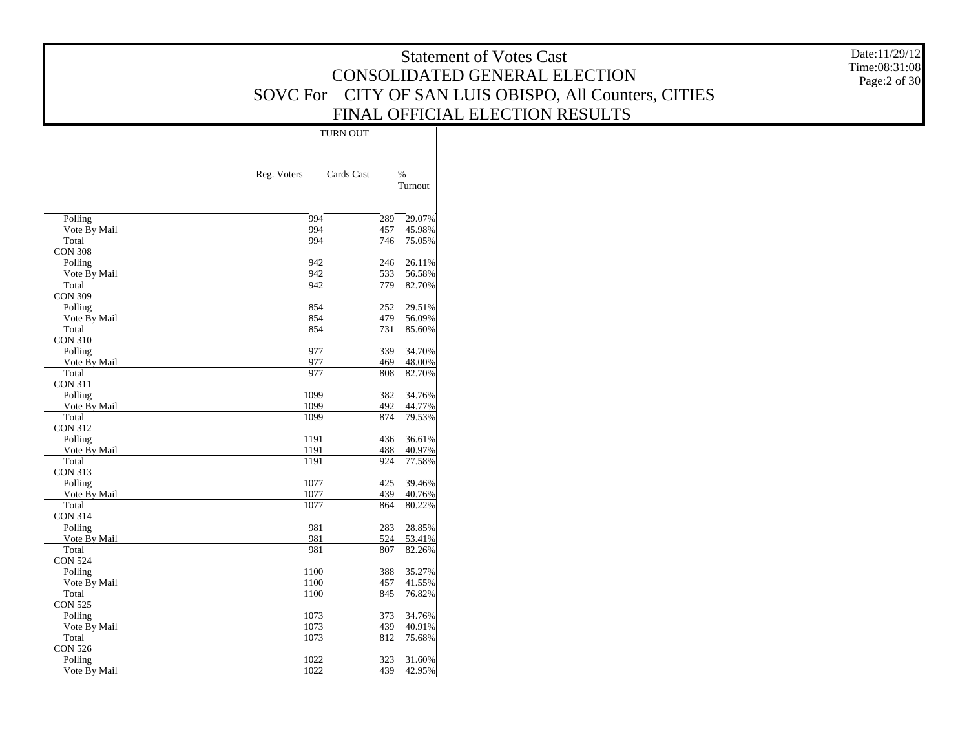|                           |                           |                                | <b>Statement of Votes Cast</b>                         | Date:11/29/12 |
|---------------------------|---------------------------|--------------------------------|--------------------------------------------------------|---------------|
|                           |                           |                                | CONSOLIDATED GENERAL ELECTION                          | Time:08:31:08 |
|                           |                           |                                | SOVC For CITY OF SAN LUIS OBISPO, All Counters, CITIES | Page:2 of 30  |
|                           |                           |                                |                                                        |               |
|                           |                           |                                | FINAL OFFICIAL ELECTION RESULTS                        |               |
|                           | TURN OUT                  |                                |                                                        |               |
|                           |                           |                                |                                                        |               |
|                           |                           |                                |                                                        |               |
|                           | Cards Cast<br>Reg. Voters | $\%$<br>Turnout                |                                                        |               |
|                           |                           |                                |                                                        |               |
| Polling                   | 994                       | 29.07%<br>289                  |                                                        |               |
| Vote By Mail              | 994                       | 45.98%<br>457                  |                                                        |               |
| Total<br><b>CON 308</b>   | 994                       | 746<br>75.05%                  |                                                        |               |
| Polling                   | 942                       | 246<br>26.11%                  |                                                        |               |
| Vote By Mail              | 942                       | 533<br>56.58%                  |                                                        |               |
| Total                     | 942                       | 779<br>82.70%                  |                                                        |               |
| <b>CON 309</b>            |                           |                                |                                                        |               |
| Polling<br>Vote By Mail   | 854<br>854                | 29.51%<br>252<br>479<br>56.09% |                                                        |               |
| Total                     | 854                       | 731<br>85.60%                  |                                                        |               |
| <b>CON 310</b>            |                           |                                |                                                        |               |
| Polling<br>Vote By Mail   | 977<br>977                | 339<br>34.70%<br>469<br>48.00% |                                                        |               |
| Total                     | 977                       | 808<br>82.70%                  |                                                        |               |
| <b>CON 311</b>            |                           |                                |                                                        |               |
| Polling                   | 1099                      | 382<br>34.76%                  |                                                        |               |
| Vote By Mail<br>Total     | 1099<br>1099              | 492<br>44.77%<br>874<br>79.53% |                                                        |               |
| <b>CON 312</b>            |                           |                                |                                                        |               |
| Polling                   | 1191                      | 436<br>36.61%                  |                                                        |               |
| Vote By Mail              | 1191                      | 40.97%<br>488                  |                                                        |               |
| Total<br><b>CON 313</b>   | 1191                      | 924<br>77.58%                  |                                                        |               |
| Polling                   | 1077                      | 425<br>39.46%                  |                                                        |               |
| Vote By Mail              | 1077                      | 439<br>40.76%                  |                                                        |               |
| Total                     | 1077                      | 864<br>80.22%                  |                                                        |               |
| <b>CON 314</b><br>Polling | 981                       | 283<br>28.85%                  |                                                        |               |
| Vote By Mail              | 981                       | 524<br>53.41%                  |                                                        |               |
| Total                     | 981                       | 807<br>82.26%                  |                                                        |               |
| <b>CON 524</b>            |                           |                                |                                                        |               |
| Polling<br>Vote By Mail   | 1100<br>1100              | 388 35.27%<br>457<br>41.55%    |                                                        |               |
| Total                     | 1100                      | 845<br>76.82%                  |                                                        |               |
| <b>CON 525</b>            |                           |                                |                                                        |               |
| Polling                   | 1073                      | 373<br>34.76%                  |                                                        |               |
| Vote By Mail<br>Total     | 1073<br>1073              | 439<br>40.91%<br>812<br>75.68% |                                                        |               |
| <b>CON 526</b>            |                           |                                |                                                        |               |
| Polling                   | 1022                      | 323<br>31.60%                  |                                                        |               |
| Vote By Mail              | 1022                      | 439<br>42.95%                  |                                                        |               |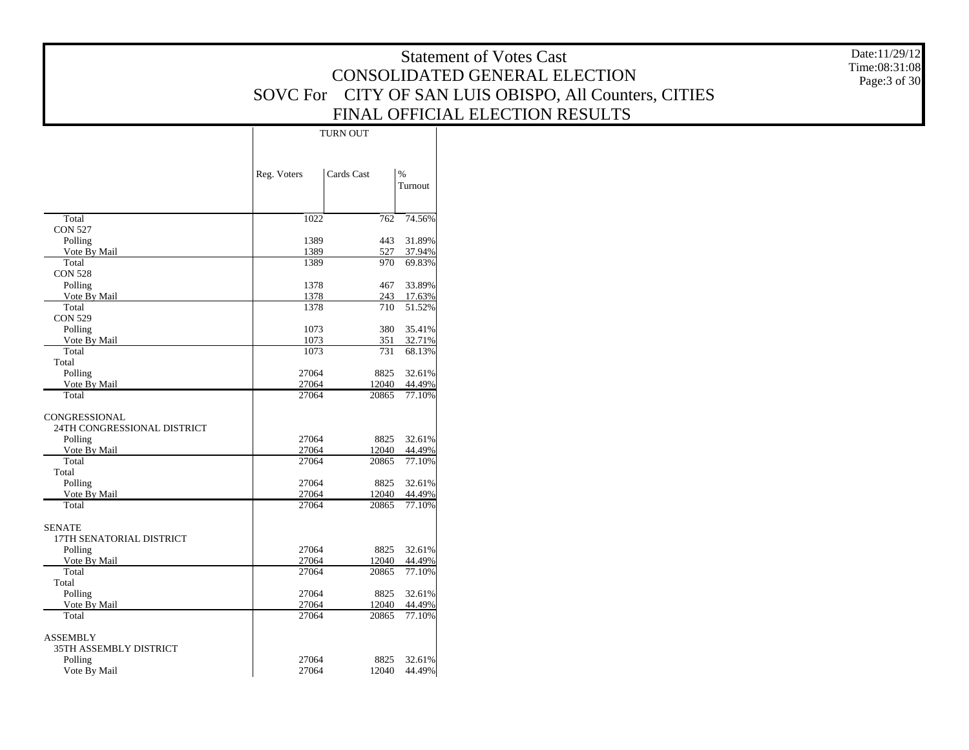|                                        |                |               |                        | <b>Statement of Votes Cast</b>                         | Date:11/29/12 |
|----------------------------------------|----------------|---------------|------------------------|--------------------------------------------------------|---------------|
|                                        |                |               |                        | CONSOLIDATED GENERAL ELECTION                          | Time:08:31:08 |
|                                        |                |               |                        | SOVC For CITY OF SAN LUIS OBISPO, All Counters, CITIES | Page: 3 of 30 |
|                                        |                |               |                        | FINAL OFFICIAL ELECTION RESULTS                        |               |
|                                        |                |               |                        |                                                        |               |
|                                        |                | TURN OUT      |                        |                                                        |               |
|                                        |                |               |                        |                                                        |               |
|                                        | Reg. Voters    | Cards Cast    | $\%$                   |                                                        |               |
|                                        |                |               | Turnout                |                                                        |               |
| Total                                  | 1022           | 762           | 74.56%                 |                                                        |               |
| <b>CON 527</b>                         |                |               |                        |                                                        |               |
| Polling<br>Vote By Mail                | 1389<br>1389   | 443<br>527    | 31.89%<br>37.94%       |                                                        |               |
| Total                                  | 1389           | 970           | 69.83%                 |                                                        |               |
| <b>CON 528</b><br>Polling              | 1378           | 467           | 33.89%                 |                                                        |               |
| Vote By Mail                           | 1378           | 243           | 17.63%                 |                                                        |               |
| Total                                  | 1378           | 710           | 51.52%                 |                                                        |               |
| <b>CON 529</b><br>Polling              | 1073           | 380           | 35.41%                 |                                                        |               |
| Vote By Mail                           | 1073           | 351           | 32.71%                 |                                                        |               |
| Total<br>Total                         | 1073           | 731           | 68.13%                 |                                                        |               |
| Polling                                | 27064          | 8825          | 32.61%                 |                                                        |               |
| Vote By Mail                           | 27064          | 12040         | 44.49%                 |                                                        |               |
| Total                                  | 27064          | 20865         | 77.10%                 |                                                        |               |
| CONGRESSIONAL                          |                |               |                        |                                                        |               |
| 24TH CONGRESSIONAL DISTRICT<br>Polling | 27064          | 8825          | 32.61%                 |                                                        |               |
| Vote By Mail                           | 27064          | 12040         | 44.49%                 |                                                        |               |
| Total                                  | 27064          | 20865         | 77.10%                 |                                                        |               |
| Total<br>Polling                       | 27064          | 8825          | 32.61%                 |                                                        |               |
| Vote By Mail                           | 27064          | 12040         | 44.49%                 |                                                        |               |
| Total                                  | 27064          | 20865         | 77.10%                 |                                                        |               |
| <b>SENATE</b>                          |                |               |                        |                                                        |               |
| 17TH SENATORIAL DISTRICT               |                |               |                        |                                                        |               |
| Polling<br>Vote By Mail                | 27064<br>27064 | 8825<br>12040 | 32.61%<br>44.49%       |                                                        |               |
| Total                                  | 27064          | 20865         | 77.10%                 |                                                        |               |
| Total<br>Polling                       | 27064          | 8825          | 32.61%                 |                                                        |               |
| Vote By Mail                           | 27064          | 12040         | 44.49%                 |                                                        |               |
| Total                                  | 27064          | 20865         | 77.10%                 |                                                        |               |
| <b>ASSEMBLY</b>                        |                |               |                        |                                                        |               |
| 35TH ASSEMBLY DISTRICT                 |                |               |                        |                                                        |               |
| Polling<br>Vote By Mail                | 27064<br>27064 | 8825          | 32.61%<br>12040 44.49% |                                                        |               |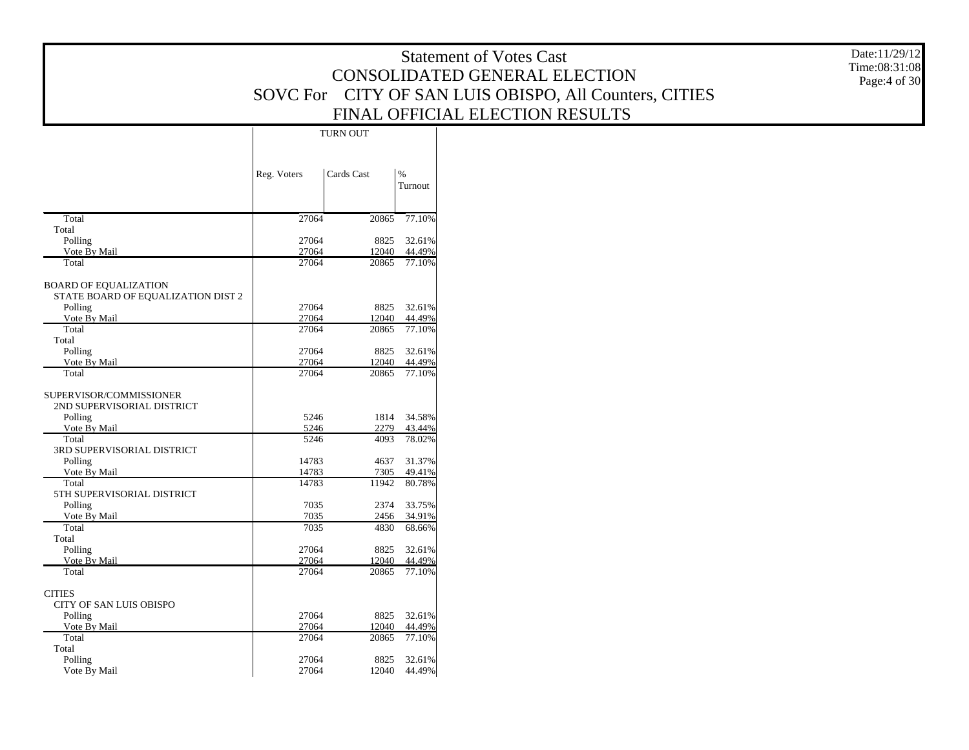|                                       |                |                 |                             | <b>Statement of Votes Cast</b>                         | Date:11/29/12 |
|---------------------------------------|----------------|-----------------|-----------------------------|--------------------------------------------------------|---------------|
|                                       |                |                 |                             | CONSOLIDATED GENERAL ELECTION                          | Time:08:31:08 |
|                                       |                |                 |                             | SOVC For CITY OF SAN LUIS OBISPO, All Counters, CITIES | Page:4 of 30  |
|                                       |                |                 |                             | FINAL OFFICIAL ELECTION RESULTS                        |               |
|                                       |                |                 |                             |                                                        |               |
|                                       |                | <b>TURN OUT</b> |                             |                                                        |               |
|                                       |                |                 |                             |                                                        |               |
|                                       | Reg. Voters    | Cards Cast      | %                           |                                                        |               |
|                                       |                |                 | Turnout                     |                                                        |               |
| Total                                 | 27064          | 20865           | 77.10%                      |                                                        |               |
| Total                                 |                |                 |                             |                                                        |               |
| Polling<br>Vote By Mail               | 27064<br>27064 | 12040           | 8825 32.61%<br>44.49%       |                                                        |               |
| Total                                 | 27064          | 20865           | 77.10%                      |                                                        |               |
| <b>BOARD OF EQUALIZATION</b>          |                |                 |                             |                                                        |               |
| STATE BOARD OF EQUALIZATION DIST 2    |                |                 |                             |                                                        |               |
| Polling<br>Vote By Mail               | 27064<br>27064 | 12040           | 8825 32.61%<br>44.49%       |                                                        |               |
| Total                                 | 27064          | 20865           | 77.10%                      |                                                        |               |
| Total<br>Polling                      | 27064          |                 | 8825 32.61%                 |                                                        |               |
| Vote By Mail                          | 27064          | 12040           | 44.49%                      |                                                        |               |
| Total                                 | 27064          | 20865           | 77.10%                      |                                                        |               |
| SUPERVISOR/COMMISSIONER               |                |                 |                             |                                                        |               |
| 2ND SUPERVISORIAL DISTRICT<br>Polling | 5246           |                 | 1814 34.58%                 |                                                        |               |
| Vote By Mail                          | 5246           | 2279            | 43.44%                      |                                                        |               |
| Total                                 | 5246           | 4093            | 78.02%                      |                                                        |               |
| 3RD SUPERVISORIAL DISTRICT<br>Polling | 14783          |                 | 4637 31.37%                 |                                                        |               |
| Vote By Mail                          | 14783          | 7305            | 49.41%                      |                                                        |               |
| Total<br>5TH SUPERVISORIAL DISTRICT   | 14783          | 11942           | 80.78%                      |                                                        |               |
| Polling                               | 7035           | 2374            | 33.75%                      |                                                        |               |
| Vote By Mail<br>Total                 | 7035<br>7035   | 2456<br>4830    | 34.91%<br>68.66%            |                                                        |               |
| Total                                 |                |                 |                             |                                                        |               |
| Polling                               | 27064<br>27064 | 8825<br>12040   | 32.61%                      |                                                        |               |
| Vote By Mail<br>Total                 | 27064          | 20865           | 44.49%<br>77.10%            |                                                        |               |
| <b>CITIES</b>                         |                |                 |                             |                                                        |               |
| CITY OF SAN LUIS OBISPO               |                |                 |                             |                                                        |               |
| Polling                               | 27064          |                 | 8825 32.61%                 |                                                        |               |
| Vote By Mail<br>Total                 | 27064<br>27064 | 12040<br>20865  | 44.49%<br>77.10%            |                                                        |               |
| Total                                 |                |                 |                             |                                                        |               |
| Polling<br>Vote By Mail               | 27064<br>27064 |                 | 8825 32.61%<br>12040 44.49% |                                                        |               |
|                                       |                |                 |                             |                                                        |               |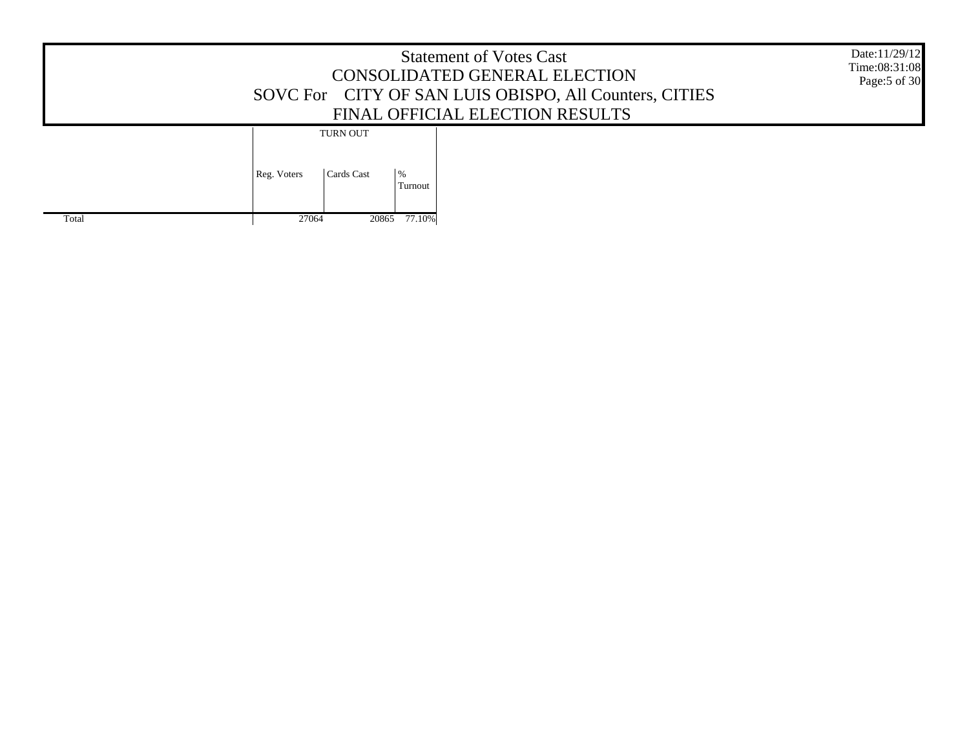|       | Date:11/29/12<br>Time:08:31:08<br>Page: 5 of 30                           |  |
|-------|---------------------------------------------------------------------------|--|
| Total | <b>TURN OUT</b><br>$\%$<br>Reg. Voters<br>Cards Cast<br>Turnout<br>77.10% |  |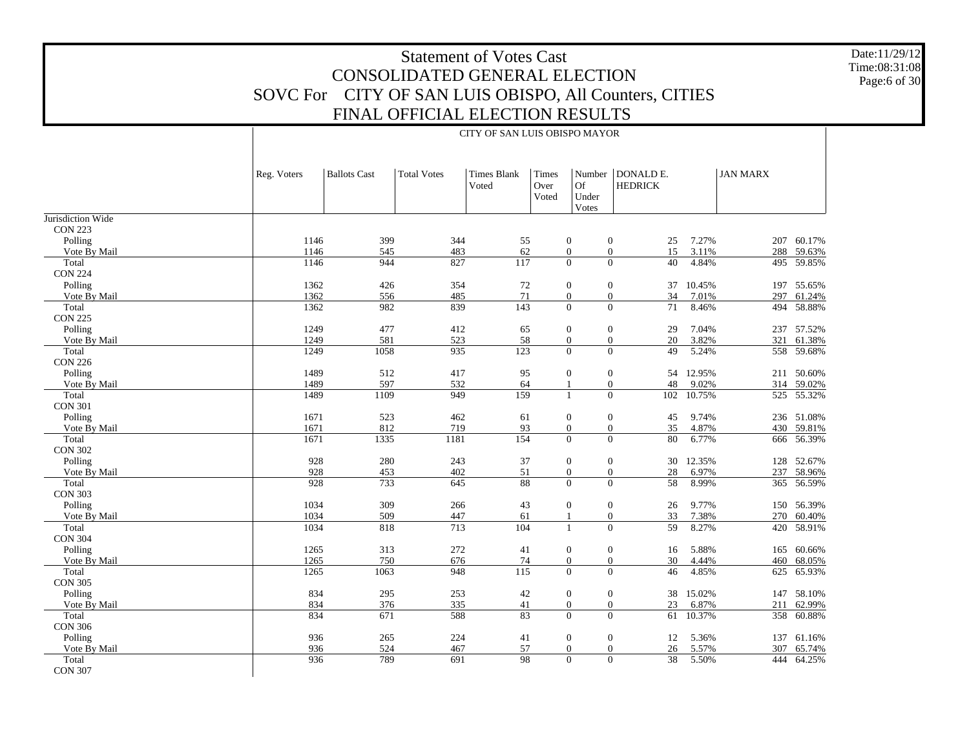Date:11/29/12 Time:08:31:08 Page:6 of 30

|                         | Reg. Voters  | <b>Ballots Cast</b> | <b>Total Votes</b> | <b>Times Blank</b><br>Voted | Times<br>Over<br>Voted | Number<br>Of<br>Under<br>Votes                               | DONALD E.<br><b>HEDRICK</b> |                | <b>JAN MARX</b> |                  |
|-------------------------|--------------|---------------------|--------------------|-----------------------------|------------------------|--------------------------------------------------------------|-----------------------------|----------------|-----------------|------------------|
| Jurisdiction Wide       |              |                     |                    |                             |                        |                                                              |                             |                |                 |                  |
| <b>CON 223</b>          |              |                     |                    |                             |                        |                                                              |                             |                |                 |                  |
| Polling                 | 1146         | 399                 | 344                | 55                          |                        | $\boldsymbol{0}$<br>$\mathbf{0}$                             | 25                          | 7.27%          |                 | 207 60.17%       |
| Vote By Mail            | 1146         | 545                 | 483                | 62                          |                        | $\overline{0}$<br>$\mathbf{0}$                               | 15                          | 3.11%          | 288             | 59.63%           |
| Total                   | 1146         | 944                 | 827                | 117                         |                        | $\overline{0}$<br>$\Omega$                                   | 40                          | 4.84%          |                 | 495 59.85%       |
| <b>CON 224</b>          |              |                     |                    |                             |                        |                                                              |                             |                |                 |                  |
| Polling                 | 1362         | 426                 | 354                | $72\,$                      |                        | $\boldsymbol{0}$<br>$\boldsymbol{0}$                         | 37                          | 10.45%         |                 | 197 55.65%       |
| Vote By Mail            | 1362         | 556                 | 485                | $71\,$                      |                        | $\mathbf{0}$<br>$\boldsymbol{0}$                             | 34                          | 7.01%          | 297             | 61.24%           |
| Total                   | 1362         | 982                 | 839                | 143                         |                        | $\overline{0}$<br>$\mathbf{0}$                               | 71                          | 8.46%          | 494             | 58.88%           |
| <b>CON 225</b>          |              |                     |                    |                             |                        |                                                              |                             |                |                 |                  |
| Polling                 | 1249         | 477                 | 412                | 65                          |                        | $\boldsymbol{0}$<br>$\boldsymbol{0}$                         | 29                          | 7.04%          | 237             | 57.52%           |
| Vote By Mail            | 1249<br>1249 | 581<br>1058         | 523<br>935         | 58<br>123                   |                        | $\mathbf{0}$<br>$\boldsymbol{0}$<br>$\Omega$                 | $20\,$                      | 3.82%          | 321             | 61.38%           |
| Total                   |              |                     |                    |                             |                        | $\mathbf{0}$                                                 | 49                          | 5.24%          | 558             | 59.68%           |
| <b>CON 226</b>          | 1489         | 512                 |                    |                             |                        |                                                              |                             |                |                 |                  |
| Polling                 |              |                     | 417                | 95                          |                        | $\boldsymbol{0}$<br>$\mathbf{0}$                             | 54                          | 12.95%         |                 | 211 50.60%       |
| Vote By Mail            | 1489<br>1489 | 597<br>1109         | 532<br>949         | 64<br>159                   |                        | $\boldsymbol{0}$<br>$\mathbf{1}$<br>$\Omega$                 | $48\,$                      | 9.02%          | 314             | 59.02%           |
| Total<br><b>CON 301</b> |              |                     |                    |                             |                        | $\mathbf{1}$                                                 | 102                         | 10.75%         | 525             | 55.32%           |
|                         | 1671         | 523                 | 462                |                             |                        |                                                              |                             |                |                 | 236 51.08%       |
| Polling                 | 1671         | 812                 | 719                | 61<br>93                    |                        | $\boldsymbol{0}$<br>$\boldsymbol{0}$<br>$\mathbf{0}$         | 45                          | 9.74%          | 430             |                  |
| Vote By Mail<br>Total   | 1671         | 1335                | 1181               | 154                         |                        | $\boldsymbol{0}$<br>$\mathbf{0}$<br>$\overline{0}$           | 35<br>80                    | 4.87%<br>6.77% | 666             | 59.81%<br>56.39% |
| <b>CON 302</b>          |              |                     |                    |                             |                        |                                                              |                             |                |                 |                  |
| Polling                 | 928          | 280                 | 243                | 37                          |                        | $\boldsymbol{0}$<br>$\boldsymbol{0}$                         |                             | 12.35%         |                 | 52.67%           |
|                         | 928          | 453                 | 402                | 51                          |                        |                                                              | 30<br>28                    | 6.97%          | 128<br>237      |                  |
| Vote By Mail<br>Total   | 928          | 733                 | 645                | 88                          |                        | $\mathbf{0}$<br>$\mathbf{0}$<br>$\mathbf{0}$<br>$\mathbf{0}$ |                             |                |                 | 58.96%           |
| <b>CON 303</b>          |              |                     |                    |                             |                        |                                                              | 58                          | 8.99%          | 365             | 56.59%           |
| Polling                 | 1034         | 309                 | 266                | 43                          |                        | $\boldsymbol{0}$                                             | 26                          | 9.77%          | 150             | 56.39%           |
| Vote By Mail            | 1034         | 509                 | 447                | 61                          |                        | $\boldsymbol{0}$<br>$\mathbf{0}$<br>$\mathbf{1}$             | 33                          | 7.38%          | 270             | 60.40%           |
| Total                   | 1034         | 818                 | 713                | 104                         |                        | $\mathbf{1}$<br>$\mathbf{0}$                                 | 59                          | 8.27%          | 420             | 58.91%           |
| <b>CON 304</b>          |              |                     |                    |                             |                        |                                                              |                             |                |                 |                  |
| Polling                 | 1265         | 313                 | 272                | 41                          |                        | $\mathbf{0}$<br>$\boldsymbol{0}$                             | 16                          | 5.88%          | 165             | 60.66%           |
| Vote By Mail            | 1265         | 750                 | 676                | 74                          |                        | $\mathbf{0}$<br>$\mathbf{0}$                                 | 30                          | 4.44%          | 460             | 68.05%           |
| Total                   | 1265         | 1063                | 948                | $\overline{115}$            |                        | $\overline{0}$<br>$\mathbf{0}$                               | 46                          | 4.85%          | 625             | 65.93%           |
| <b>CON 305</b>          |              |                     |                    |                             |                        |                                                              |                             |                |                 |                  |
| Polling                 | 834          | 295                 | 253                | 42                          |                        | $\boldsymbol{0}$<br>$\boldsymbol{0}$                         |                             | 38 15.02%      |                 | 147 58.10%       |
| Vote By Mail            | 834          | 376                 | 335                | 41                          |                        | $\mathbf{0}$<br>$\mathbf{0}$                                 | 23                          | 6.87%          | 211             | 62.99%           |
| Total                   | 834          | 671                 | 588                | 83                          |                        | $\mathbf{0}$<br>$\mathbf{0}$                                 | 61                          | 10.37%         |                 | 358 60.88%       |
| <b>CON 306</b>          |              |                     |                    |                             |                        |                                                              |                             |                |                 |                  |
| Polling                 | 936          | 265                 | 224                | 41                          |                        | $\boldsymbol{0}$<br>$\mathbf{0}$                             | 12                          | 5.36%          |                 | 137 61.16%       |
| Vote By Mail            | 936          | 524                 | 467                | 57                          |                        | $\boldsymbol{0}$<br>$\boldsymbol{0}$                         | 26                          | 5.57%          | 307             | 65.74%           |
| Total                   | 936          | 789                 | $\overline{691}$   | $\overline{98}$             |                        | $\overline{0}$                                               | $\overline{0}$<br>38        | 5.50%          | 444             | 64.25%           |
| <b>CON 307</b>          |              |                     |                    |                             |                        |                                                              |                             |                |                 |                  |
|                         |              |                     |                    |                             |                        |                                                              |                             |                |                 |                  |

#### CITY OF SAN LUIS OBISPO MAYOR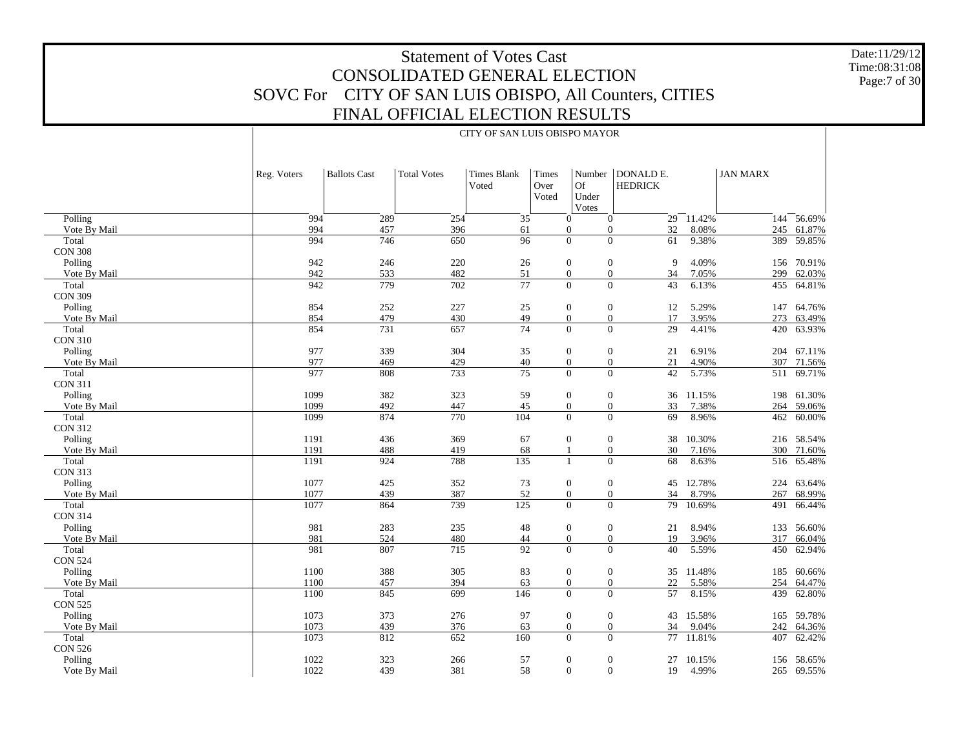Date:11/29/12 Time:08:31:08 Page:7 of 30

265 69.55%

|                |             | CITY OF SAN LUIS OBISPO MAYOR |                    |                             |                        |                                                  |                             |               |                 |            |  |  |
|----------------|-------------|-------------------------------|--------------------|-----------------------------|------------------------|--------------------------------------------------|-----------------------------|---------------|-----------------|------------|--|--|
|                | Reg. Voters | <b>Ballots Cast</b>           | <b>Total Votes</b> | <b>Times Blank</b><br>Voted | Times<br>Over<br>Voted | Number<br>Of<br>Under<br>Votes                   | DONALD E.<br><b>HEDRICK</b> |               | <b>JAN MARX</b> |            |  |  |
| Polling        | 994         | 289                           | 254                | $\overline{35}$             |                        | $\overline{0}$<br>$\mathbf{0}$                   |                             | $29 - 11.42%$ | 144             | 56.69%     |  |  |
| Vote By Mail   | 994         | 457                           | 396                | 61                          |                        | $\boldsymbol{0}$<br>$\overline{0}$               | 32                          | 8.08%         | 245             | 61.87%     |  |  |
| Total          | 994         | 746                           | 650                | $\overline{96}$             |                        | $\overline{0}$<br>$\overline{0}$                 | 61                          | 9.38%         | 389             | 59.85%     |  |  |
| <b>CON 308</b> |             |                               |                    |                             |                        |                                                  |                             |               |                 |            |  |  |
| Polling        | 942         | 246                           | 220                | 26                          |                        | $\boldsymbol{0}$<br>$\boldsymbol{0}$             | 9                           | 4.09%         | 156             | 70.91%     |  |  |
| Vote By Mail   | 942         | 533                           | 482                | 51                          |                        | $\boldsymbol{0}$<br>$\boldsymbol{0}$             | 34                          | 7.05%         | 299             | 62.03%     |  |  |
| Total          | 942         | 779                           | 702                | 77                          |                        | $\overline{0}$<br>$\boldsymbol{0}$               | 43                          | 6.13%         | 455             | 64.81%     |  |  |
| <b>CON 309</b> |             |                               |                    |                             |                        |                                                  |                             |               |                 |            |  |  |
| Polling        | 854         | 252                           | 227                | 25                          |                        | $\boldsymbol{0}$<br>$\boldsymbol{0}$             | 12                          | 5.29%         | 147             | 64.76%     |  |  |
| Vote By Mail   | 854         | 479                           | 430                | 49                          |                        | $\boldsymbol{0}$<br>$\overline{0}$               | 17                          | 3.95%         | 273             | 63.49%     |  |  |
| Total          | 854         | 731                           | 657                | 74                          |                        | $\boldsymbol{0}$<br>$\boldsymbol{0}$             | 29                          | 4.41%         | 420             | 63.93%     |  |  |
| <b>CON 310</b> |             |                               |                    |                             |                        |                                                  |                             |               |                 |            |  |  |
| Polling        | 977         | 339                           | 304                | 35                          |                        | $\boldsymbol{0}$<br>$\boldsymbol{0}$             | 21                          | 6.91%         |                 | 204 67.11% |  |  |
| Vote By Mail   | 977         | 469                           | 429                | 40                          |                        | $\boldsymbol{0}$<br>$\mathbf{0}$                 | 21                          | 4.90%         | 307             | 71.56%     |  |  |
| Total          | 977         | 808                           | 733                | 75                          |                        | $\mathbf{0}$<br>$\overline{0}$                   | 42                          | 5.73%         | 511             | 69.71%     |  |  |
| <b>CON 311</b> |             |                               |                    |                             |                        |                                                  |                             |               |                 |            |  |  |
| Polling        | 1099        | 382                           | 323                | 59                          |                        | $\boldsymbol{0}$<br>$\boldsymbol{0}$             |                             | 36 11.15%     |                 | 198 61.30% |  |  |
| Vote By Mail   | 1099        | 492                           | 447                | 45                          |                        | $\boldsymbol{0}$<br>$\overline{0}$               | 33                          | 7.38%         | 264             | 59.06%     |  |  |
| Total          | 1099        | 874                           | 770                | 104                         |                        | $\overline{0}$<br>$\overline{0}$                 | 69                          | 8.96%         |                 | 462 60.00% |  |  |
| <b>CON 312</b> |             |                               |                    |                             |                        |                                                  |                             |               |                 |            |  |  |
| Polling        | 1191        | 436                           | 369                | 67                          |                        | $\boldsymbol{0}$<br>$\boldsymbol{0}$             | 38                          | 10.30%        |                 | 216 58.54% |  |  |
| Vote By Mail   | 1191        | 488                           | 419                | 68                          |                        | $\overline{0}$<br>1                              | 30                          | 7.16%         | 300             | 71.60%     |  |  |
| Total          | 1191        | 924                           | 788                | 135                         |                        | $\overline{0}$<br>$\mathbf{1}$                   | 68                          | 8.63%         | 516             | 65.48%     |  |  |
| <b>CON 313</b> |             |                               |                    |                             |                        |                                                  |                             |               |                 |            |  |  |
| Polling        | 1077        | 425                           | 352                | 73                          |                        | $\boldsymbol{0}$<br>$\boldsymbol{0}$             | 45                          | 12.78%        | 224             | 63.64%     |  |  |
| Vote By Mail   | 1077        | 439                           | 387                | 52                          |                        | $\boldsymbol{0}$<br>$\boldsymbol{0}$             | 34                          | 8.79%         | 267             | 68.99%     |  |  |
| Total          | 1077        | 864                           | 739                | 125                         |                        | $\overline{0}$<br>$\theta$                       | 79                          | 10.69%        | 491             | 66.44%     |  |  |
| <b>CON 314</b> |             |                               |                    |                             |                        |                                                  |                             |               |                 |            |  |  |
| Polling        | 981         | 283                           | 235                | 48                          |                        | $\boldsymbol{0}$<br>$\boldsymbol{0}$             | 21                          | 8.94%         | 133             | 56.60%     |  |  |
| Vote By Mail   | 981         | 524                           | 480                | 44<br>$\overline{92}$       |                        | $\boldsymbol{0}$<br>$\overline{0}$               | 19                          | 3.96%         | 317             | 66.04%     |  |  |
| Total          | 981         | 807                           | 715                |                             |                        | $\theta$<br>$\Omega$                             | 40                          | 5.59%         | 450             | 62.94%     |  |  |
| <b>CON 524</b> |             |                               |                    |                             |                        |                                                  |                             |               |                 |            |  |  |
| Polling        | 1100        | 388                           | 305                | 83                          |                        | $\boldsymbol{0}$<br>$\boldsymbol{0}$             |                             | 35 11.48%     | 185             | 60.66%     |  |  |
| Vote By Mail   | 1100        | 457                           | 394                | 63                          |                        | $\boldsymbol{0}$<br>$\boldsymbol{0}$<br>$\Omega$ | 22                          | 5.58%         | 254             | 64.47%     |  |  |
| Total          | 1100        | 845                           | 699                | 146                         |                        | $\Omega$                                         | 57                          | 8.15%         | 439             | 62.80%     |  |  |
| <b>CON 525</b> |             |                               |                    |                             |                        |                                                  |                             |               |                 |            |  |  |
| Polling        | 1073        | 373                           | 276                | 97                          |                        | $\boldsymbol{0}$<br>$\boldsymbol{0}$             |                             | 43 15.58%     | 165             | 59.78%     |  |  |
| Vote By Mail   | 1073        | 439                           | 376                | 63                          |                        | $\boldsymbol{0}$<br>$\mathbf{0}$                 | 34                          | 9.04%         | 242             | 64.36%     |  |  |
| Total          | 1073        | 812                           | 652                | 160                         |                        | $\boldsymbol{0}$<br>$\overline{0}$               | 77                          | 11.81%        | 407             | 62.42%     |  |  |
| <b>CON 526</b> |             |                               |                    |                             |                        |                                                  |                             |               |                 |            |  |  |
| Polling        | 1022        | 323                           | 266                | 57                          |                        | $\boldsymbol{0}$<br>$\boldsymbol{0}$             |                             | 27 10.15%     |                 | 156 58.65% |  |  |

439 381 58 0 0 19 4.99%

1022

Vote By Mail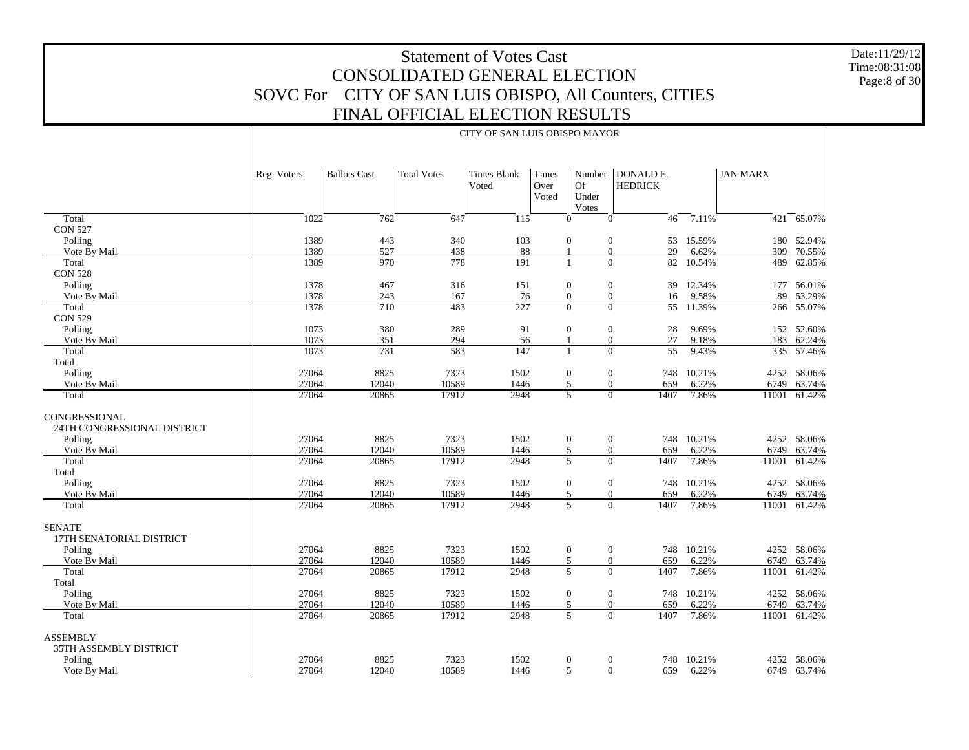Date:11/29/12 Time:08:31:08Page:8 of 30

|                                              |             | CITY OF SAN LUIS OBISPO MAYOR |                    |                      |                        |                                      |                             |        |                 |              |  |
|----------------------------------------------|-------------|-------------------------------|--------------------|----------------------|------------------------|--------------------------------------|-----------------------------|--------|-----------------|--------------|--|
|                                              | Reg. Voters | <b>Ballots Cast</b>           | <b>Total Votes</b> | Times Blank<br>Voted | Times<br>Over<br>Voted | Number<br>Of<br>Under<br>Votes       | DONALD E.<br><b>HEDRICK</b> |        | <b>JAN MARX</b> |              |  |
| Total                                        | 1022        | 762                           | 647                | 115                  |                        | $\mathbf{0}$<br>$\overline{0}$       | 46                          | 7.11%  | 421             | 65.07%       |  |
| <b>CON 527</b>                               |             |                               |                    |                      |                        |                                      |                             |        |                 |              |  |
| Polling                                      | 1389        | 443                           | 340                | 103                  |                        | $\boldsymbol{0}$<br>$\boldsymbol{0}$ | 53                          | 15.59% |                 | 180 52.94%   |  |
| Vote By Mail                                 | 1389        | 527                           | 438                | 88                   |                        | $\mathbf{0}$<br>$\mathbf{1}$         | 29                          | 6.62%  | 309             | 70.55%       |  |
| Total                                        | 1389        | 970                           | 778                | 191                  |                        | $\mathbf{0}$<br>$\mathbf{1}$         | 82                          | 10.54% | 489             | 62.85%       |  |
| <b>CON 528</b>                               |             |                               |                    |                      |                        |                                      |                             |        |                 |              |  |
| Polling                                      | 1378        | 467                           | 316                | 151                  |                        | $\boldsymbol{0}$<br>$\boldsymbol{0}$ | 39                          | 12.34% |                 | 177 56.01%   |  |
| Vote By Mail                                 | 1378        | 243                           | 167                | 76                   |                        | $\mathbf{0}$<br>$\mathbf{0}$         | 16                          | 9.58%  | 89              | 53.29%       |  |
| Total                                        | 1378        | 710                           | 483                | 227                  |                        | $\mathbf{0}$<br>$\mathbf{0}$         | 55                          | 11.39% |                 | 266 55.07%   |  |
| <b>CON 529</b>                               |             |                               |                    |                      |                        |                                      |                             |        |                 |              |  |
| Polling                                      | 1073        | 380                           | 289                | 91                   |                        | $\mathbf{0}$<br>$\mathbf{0}$         | 28                          | 9.69%  |                 | 152 52.60%   |  |
| Vote By Mail                                 | 1073        | 351                           | 294                | 56                   |                        | $\mathbf{0}$<br>$\mathbf{1}$         | 27                          | 9.18%  | 183             | 62.24%       |  |
| Total                                        | 1073        | 731                           | 583                | 147                  |                        | $\mathbf{0}$<br>$\mathbf{1}$         | $\overline{55}$             | 9.43%  |                 | 335 57.46%   |  |
| Total                                        |             |                               |                    |                      |                        |                                      |                             |        |                 |              |  |
| Polling                                      | 27064       | 8825                          | 7323               | 1502                 |                        | $\boldsymbol{0}$<br>$\boldsymbol{0}$ | 748                         | 10.21% |                 | 4252 58.06%  |  |
| Vote By Mail                                 | 27064       | 12040                         | 10589              | 1446                 |                        | 5<br>$\overline{0}$                  | 659                         | 6.22%  | 6749            | 63.74%       |  |
| Total                                        | 27064       | 20865                         | 17912              | 2948                 |                        | $\overline{5}$<br>$\overline{0}$     | 1407                        | 7.86%  |                 | 11001 61.42% |  |
| CONGRESSIONAL<br>24TH CONGRESSIONAL DISTRICT |             |                               |                    |                      |                        |                                      |                             |        |                 |              |  |
| Polling                                      | 27064       | 8825                          | 7323               | 1502                 |                        | $\mathbf{0}$<br>$\boldsymbol{0}$     | 748                         | 10.21% |                 | 4252 58.06%  |  |
| Vote By Mail                                 | 27064       | 12040                         | 10589              | 1446                 |                        | 5<br>$\mathbf{0}$                    | 659                         | 6.22%  | 6749            | 63.74%       |  |
| Total<br>Total                               | 27064       | 20865                         | 17912              | 2948                 |                        | 5<br>$\overline{0}$                  | 1407                        | 7.86%  | 11001           | 61.42%       |  |
| Polling                                      | 27064       | 8825                          | 7323               | 1502                 |                        | $\boldsymbol{0}$<br>$\boldsymbol{0}$ | 748                         | 10.21% |                 | 4252 58.06%  |  |
| Vote By Mail                                 | 27064       | 12040                         | 10589              | 1446                 |                        | 5<br>$\mathbf{0}$                    | 659                         | 6.22%  | 6749            | 63.74%       |  |
| Total                                        | 27064       | 20865                         | 17912              | 2948                 |                        | 5<br>$\overline{0}$                  | 1407                        | 7.86%  |                 | 11001 61.42% |  |
| <b>SENATE</b>                                |             |                               |                    |                      |                        |                                      |                             |        |                 |              |  |
| 17TH SENATORIAL DISTRICT                     |             |                               |                    |                      |                        |                                      |                             |        |                 |              |  |
| Polling                                      | 27064       | 8825                          | 7323               | 1502                 |                        | $\boldsymbol{0}$<br>$\boldsymbol{0}$ | 748                         | 10.21% |                 | 4252 58.06%  |  |
| Vote By Mail                                 | 27064       | 12040                         | 10589              | 1446                 |                        | $\sqrt{5}$<br>$\mathbf{0}$           | 659                         | 6.22%  | 6749            | 63.74%       |  |
| Total                                        | 27064       | 20865                         | 17912              | 2948                 |                        | 5<br>$\overline{0}$                  | 1407                        | 7.86%  | 11001           | 61.42%       |  |
| Total                                        |             |                               |                    |                      |                        |                                      |                             |        |                 |              |  |
| Polling                                      | 27064       | 8825                          | 7323               | 1502                 |                        | $\mathbf{0}$<br>$\boldsymbol{0}$     | 748                         | 10.21% |                 | 4252 58.06%  |  |
| Vote By Mail                                 | 27064       | 12040                         | 10589              | 1446                 |                        | 5<br>$\overline{0}$                  | 659                         | 6.22%  | 6749            | 63.74%       |  |
| Total                                        | 27064       | 20865                         | 17912              | 2948                 |                        | 5<br>$\overline{0}$                  | 1407                        | 7.86%  | 11001           | 61.42%       |  |
| <b>ASSEMBLY</b><br>35TH ASSEMBLY DISTRICT    |             |                               |                    |                      |                        |                                      |                             |        |                 |              |  |
| Polling                                      | 27064       | 8825                          | 7323               | 1502                 |                        | $\mathbf{0}$<br>$\boldsymbol{0}$     | 748                         | 10.21% |                 | 4252 58.06%  |  |
| Vote By Mail                                 | 27064       | 12040                         | 10589              | 1446                 |                        | 5<br>$\mathbf{0}$                    | 659                         | 6.22%  |                 | 6749 63.74%  |  |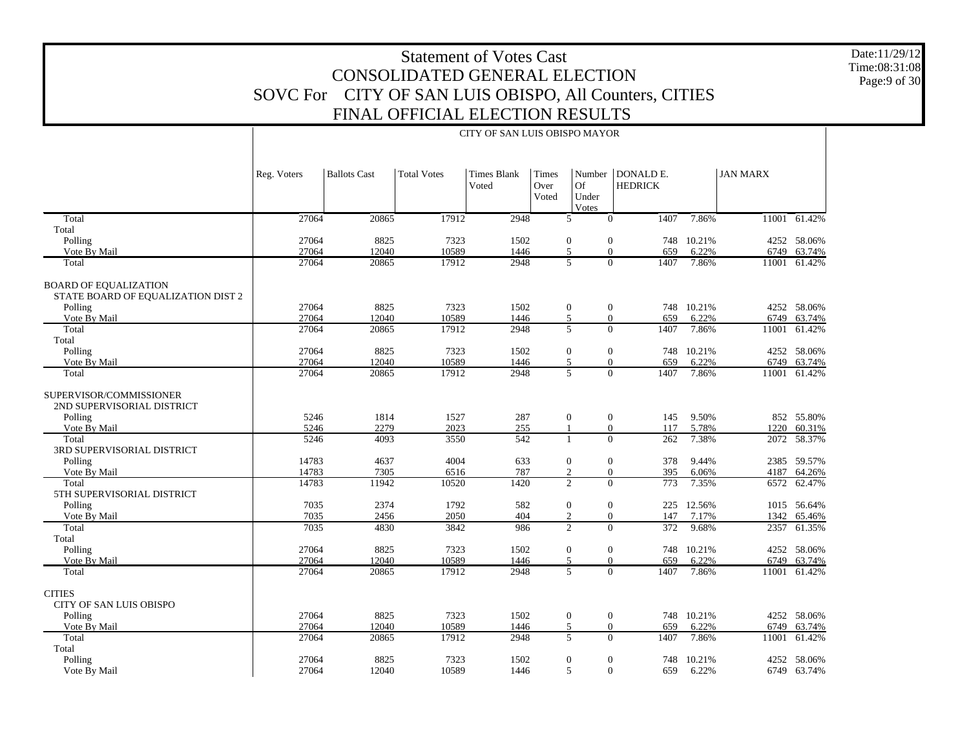Date:11/29/12 Time:08:31:08Page:9 of 30

6749 63.74%

|                                                                    |             |                     |                    | CITY OF SAN LUIS OBISPO MAYOR |                        |                                |                             |            |                 |              |
|--------------------------------------------------------------------|-------------|---------------------|--------------------|-------------------------------|------------------------|--------------------------------|-----------------------------|------------|-----------------|--------------|
|                                                                    | Reg. Voters | <b>Ballots Cast</b> | <b>Total Votes</b> | <b>Times Blank</b><br>Voted   | Times<br>Over<br>Voted | Number<br>Of<br>Under<br>Votes | DONALD E.<br><b>HEDRICK</b> |            | <b>JAN MARX</b> |              |
| Total                                                              | 27064       | 20865               | 17912              | 2948                          |                        | 5                              | $\mathbf{0}$<br>1407        | 7.86%      | 11001           | 61.42%       |
| Total                                                              |             |                     |                    |                               |                        |                                |                             |            |                 |              |
| Polling                                                            | 27064       | 8825                | 7323               | 1502                          |                        | $\boldsymbol{0}$               | $\boldsymbol{0}$<br>748     | 10.21%     |                 | 4252 58.06%  |
| Vote By Mail                                                       | 27064       | 12040               | 10589              | 1446                          |                        | 5                              | $\overline{0}$<br>659       | 6.22%      | 6749            | 63.74%       |
| Total                                                              | 27064       | 20865               | 17912              | 2948                          |                        | $\overline{5}$                 | $\overline{0}$<br>1407      | 7.86%      |                 | 11001 61.42% |
| <b>BOARD OF EQUALIZATION</b><br>STATE BOARD OF EQUALIZATION DIST 2 |             |                     |                    |                               |                        |                                |                             |            |                 |              |
| Polling                                                            | 27064       | 8825                | 7323               | 1502                          |                        | $\boldsymbol{0}$               | $\boldsymbol{0}$<br>748     | 10.21%     |                 | 4252 58.06%  |
| Vote By Mail                                                       | 27064       | 12040               | 10589              | 1446                          |                        | $\overline{5}$                 | $\overline{0}$<br>659       | 6.22%      | 6749            | 63.74%       |
| Total                                                              | 27064       | 20865               | 17912              | 2948                          |                        | $\overline{5}$                 | $\overline{0}$<br>1407      | 7.86%      | 11001           | 61.42%       |
| Total                                                              |             |                     |                    |                               |                        |                                |                             |            |                 |              |
| Polling                                                            | 27064       | 8825                | 7323               | 1502                          |                        | $\boldsymbol{0}$               | $\boldsymbol{0}$<br>748     | 10.21%     | 4252            | 58.06%       |
| Vote By Mail                                                       | 27064       | 12040               | 10589              | 1446                          |                        | 5                              | $\boldsymbol{0}$<br>659     | 6.22%      | 6749            | 63.74%       |
| Total                                                              | 27064       | 20865               | 17912              | 2948                          |                        | $\overline{5}$                 | $\overline{0}$<br>1407      | 7.86%      | 11001           | 61.42%       |
| SUPERVISOR/COMMISSIONER<br>2ND SUPERVISORIAL DISTRICT              |             |                     |                    |                               |                        |                                |                             |            |                 |              |
| Polling                                                            | 5246        | 1814                | 1527               | 287                           |                        | $\boldsymbol{0}$               | $\boldsymbol{0}$<br>145     | 9.50%      |                 | 852 55.80%   |
| Vote By Mail                                                       | 5246        | 2279                | 2023               | 255                           |                        | $\mathbf{1}$                   | $\overline{0}$<br>117       | 5.78%      | 1220            | 60.31%       |
| Total                                                              | 5246        | 4093                | 3550               | 542                           |                        | $\mathbf{1}$                   | $\overline{0}$<br>262       | 7.38%      | 2072            | 58.37%       |
| 3RD SUPERVISORIAL DISTRICT                                         |             |                     |                    |                               |                        |                                |                             |            |                 |              |
| Polling                                                            | 14783       | 4637                | 4004               | 633                           |                        | $\boldsymbol{0}$               | $\boldsymbol{0}$<br>378     | 9.44%      |                 | 2385 59.57%  |
| Vote By Mail                                                       | 14783       | 7305                | 6516               | 787                           |                        | $\mathfrak{2}$                 | $\boldsymbol{0}$<br>395     | 6.06%      | 4187            | 64.26%       |
| Total                                                              | 14783       | 11942               | 10520              | 1420                          |                        | $\overline{2}$                 | $\overline{0}$<br>773       | 7.35%      | 6572            | 62.47%       |
| 5TH SUPERVISORIAL DISTRICT                                         |             |                     |                    |                               |                        |                                |                             |            |                 |              |
| Polling                                                            | 7035        | 2374                | 1792               | 582                           |                        | $\boldsymbol{0}$               | $\boldsymbol{0}$<br>225     | 12.56%     |                 | 1015 56.64%  |
| Vote By Mail                                                       | 7035        | 2456                | 2050               | 404                           |                        | $\overline{2}$                 | $\overline{0}$<br>147       | 7.17%      | 1342            | 65.46%       |
| Total                                                              | 7035        | 4830                | 3842               | 986                           |                        | $\overline{2}$                 | $\overline{0}$<br>372       | 9.68%      | 2357            | 61.35%       |
| Total                                                              |             |                     |                    |                               |                        |                                |                             |            |                 |              |
| Polling                                                            | 27064       | 8825                | 7323               | 1502                          |                        | $\boldsymbol{0}$               | $\boldsymbol{0}$<br>748     | 10.21%     |                 | 4252 58.06%  |
| Vote By Mail                                                       | 27064       | 12040               | 10589              | 1446                          |                        | 5                              | $\overline{0}$<br>659       | 6.22%      | 6749            | 63.74%       |
| Total                                                              | 27064       | 20865               | 17912              | 2948                          |                        | 5                              | $\overline{0}$<br>1407      | 7.86%      |                 | 11001 61.42% |
| <b>CITIES</b>                                                      |             |                     |                    |                               |                        |                                |                             |            |                 |              |
| CITY OF SAN LUIS OBISPO                                            |             |                     |                    |                               |                        |                                |                             |            |                 |              |
| Polling                                                            | 27064       | 8825                | 7323               | 1502                          |                        | $\boldsymbol{0}$               | $\boldsymbol{0}$<br>748     | 10.21%     |                 | 4252 58.06%  |
| Vote By Mail                                                       | 27064       | 12040               | 10589              | 1446                          |                        | 5                              | $\overline{0}$<br>659       | 6.22%      | 6749            | 63.74%       |
| Total                                                              | 27064       | 20865               | 17912              | 2948                          |                        | 5                              | $\Omega$<br>1407            | 7.86%      | 11001           | 61.42%       |
| Total                                                              |             |                     |                    |                               |                        |                                |                             |            |                 |              |
| Polling                                                            | 27064       | 8825                | 7323               | 1502                          |                        | $\mathbf{0}$                   | $\boldsymbol{0}$            | 748 10.21% |                 | 4252 58.06%  |

12040 10589 1446 5 0 659 6.22%

27064

Vote By Mail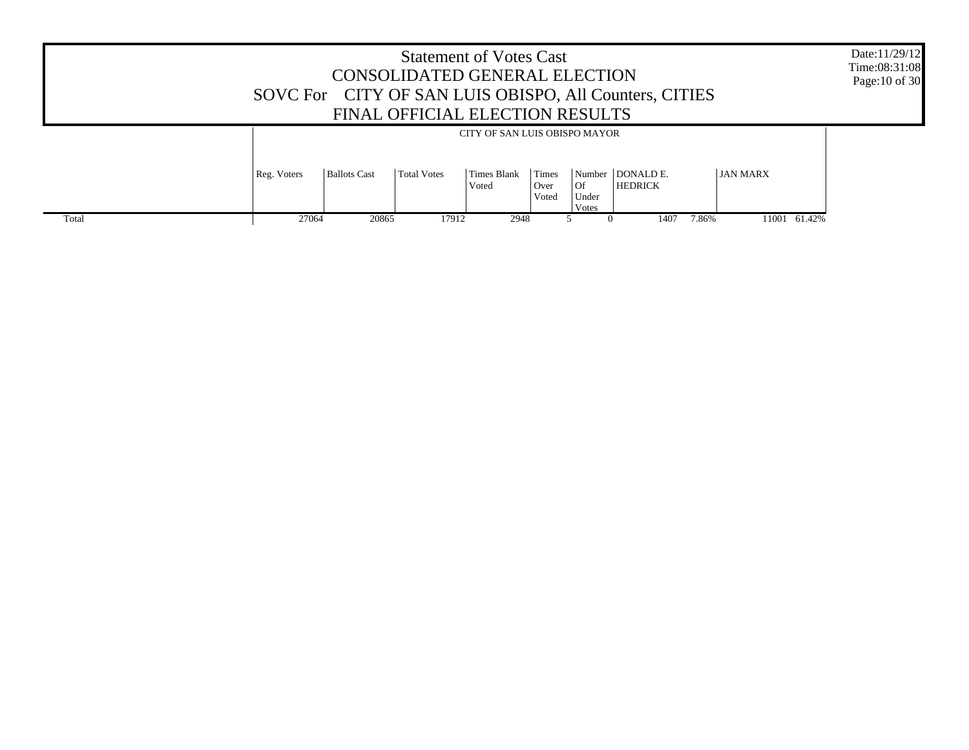|       | <b>Statement of Votes Cast</b><br>CONSOLIDATED GENERAL ELECTION<br>SOVC For CITY OF SAN LUIS OBISPO, All Counters, CITIES<br>FINAL OFFICIAL ELECTION RESULTS |              |             |                             |                        |                                |                             |       | Date:11/29/12<br>Time:08:31:08<br>Page: 10 of 30 |  |
|-------|--------------------------------------------------------------------------------------------------------------------------------------------------------------|--------------|-------------|-----------------------------|------------------------|--------------------------------|-----------------------------|-------|--------------------------------------------------|--|
|       | CITY OF SAN LUIS OBISPO MAYOR                                                                                                                                |              |             |                             |                        |                                |                             |       |                                                  |  |
|       | Reg. Voters                                                                                                                                                  | Ballots Cast | Total Votes | <b>Times Blank</b><br>Voted | Times<br>Over<br>Voted | Number<br>Of<br>Under<br>Votes | DONALD E.<br><b>HEDRICK</b> |       | <b>JAN MARX</b>                                  |  |
| Total | 27064                                                                                                                                                        | 20865        | 17912       | 2948                        |                        |                                | 1407                        | 7.86% | 11001 61.42%                                     |  |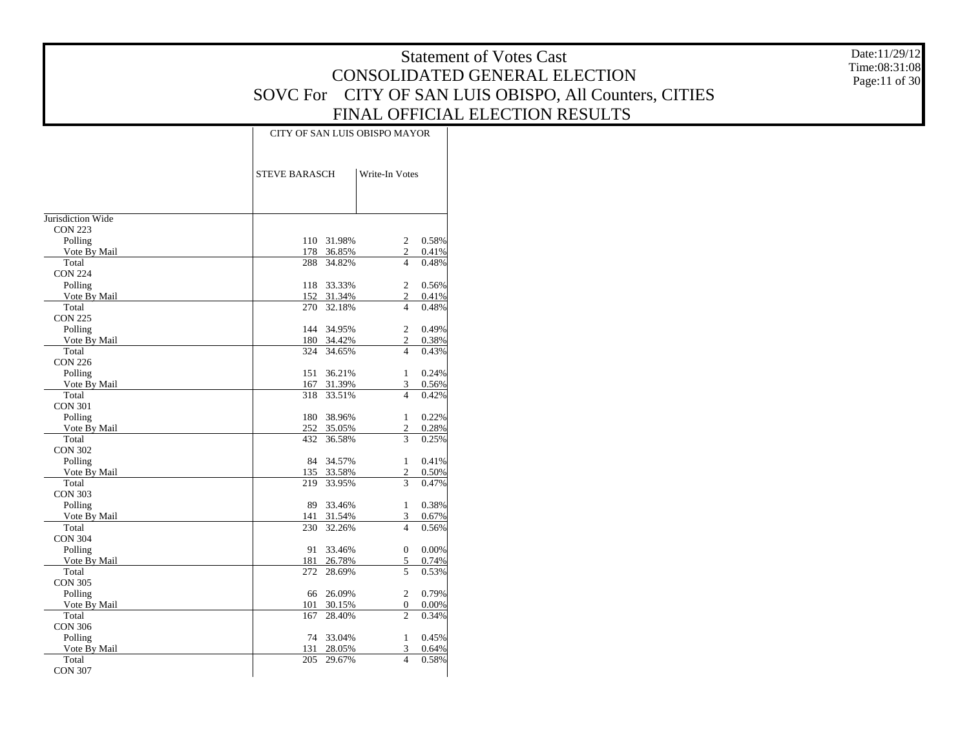Date:11/29/12 Time:08:31:08 Page:11 of 30

|                         |               | CITY OF SAN LUIS OBISPO MAYOR |       |  |  |  |  |  |  |
|-------------------------|---------------|-------------------------------|-------|--|--|--|--|--|--|
|                         | STEVE BARASCH | Write-In Votes                |       |  |  |  |  |  |  |
|                         |               |                               |       |  |  |  |  |  |  |
| Jurisdiction Wide       |               |                               |       |  |  |  |  |  |  |
| <b>CON 223</b>          |               |                               |       |  |  |  |  |  |  |
| Polling                 | 110 31.98%    | $\overline{c}$                | 0.58% |  |  |  |  |  |  |
| Vote By Mail            | 178 36.85%    | $\mathfrak{2}$                | 0.41% |  |  |  |  |  |  |
| Total                   | 288 34.82%    | 4                             | 0.48% |  |  |  |  |  |  |
| <b>CON 224</b>          | 33.33%<br>118 | 2                             | 0.56% |  |  |  |  |  |  |
| Polling<br>Vote By Mail | 152 31.34%    | 2                             | 0.41% |  |  |  |  |  |  |
| Total                   | 270 32.18%    | 4                             | 0.48% |  |  |  |  |  |  |
| <b>CON 225</b>          |               |                               |       |  |  |  |  |  |  |
| Polling                 | 144 34.95%    | 2                             | 0.49% |  |  |  |  |  |  |
| Vote By Mail            | 180 34.42%    | 2                             | 0.38% |  |  |  |  |  |  |
| Total                   | 324 34.65%    | 4                             | 0.43% |  |  |  |  |  |  |
| <b>CON 226</b>          |               |                               |       |  |  |  |  |  |  |
| Polling                 | 36.21%<br>151 | $\mathbf{1}$                  | 0.24% |  |  |  |  |  |  |
| Vote By Mail            | 167<br>31.39% | 3                             | 0.56% |  |  |  |  |  |  |
| Total                   | 318<br>33.51% | 4                             | 0.42% |  |  |  |  |  |  |
| <b>CON 301</b>          |               |                               |       |  |  |  |  |  |  |
| Polling                 | 38.96%<br>180 | $\mathbf{1}$                  | 0.22% |  |  |  |  |  |  |
| Vote By Mail            | 252 35.05%    | $\overline{c}$                | 0.28% |  |  |  |  |  |  |
| Total                   | 432<br>36.58% | 3                             | 0.25% |  |  |  |  |  |  |
| <b>CON 302</b>          |               |                               |       |  |  |  |  |  |  |
| Polling                 | 84 34.57%     | $\mathbf{1}$                  | 0.41% |  |  |  |  |  |  |
| Vote By Mail            | 135 33.58%    | $\overline{c}$                | 0.50% |  |  |  |  |  |  |
| Total                   | 219 33.95%    | 3                             | 0.47% |  |  |  |  |  |  |
| <b>CON 303</b>          |               |                               |       |  |  |  |  |  |  |
| Polling                 | 89<br>33.46%  | 1                             | 0.38% |  |  |  |  |  |  |
| Vote By Mail            | 141 31.54%    | 3                             | 0.67% |  |  |  |  |  |  |
| Total                   | 230 32.26%    | $\overline{4}$                | 0.56% |  |  |  |  |  |  |
| <b>CON 304</b>          |               |                               |       |  |  |  |  |  |  |
| Polling                 | 91<br>33.46%  | $\mathbf{0}$                  | 0.00% |  |  |  |  |  |  |
| Vote By Mail            | 181<br>26.78% | 5                             | 0.74% |  |  |  |  |  |  |
| Total                   | 272<br>28.69% | 5                             | 0.53% |  |  |  |  |  |  |
| <b>CON 305</b>          |               |                               |       |  |  |  |  |  |  |
| Polling                 | 66 26.09%     | $\overline{c}$                | 0.79% |  |  |  |  |  |  |
| Vote By Mail            | 101<br>30.15% | $\mathbf{0}$                  | 0.00% |  |  |  |  |  |  |
| Total                   | 167<br>28.40% | $\overline{c}$                | 0.34% |  |  |  |  |  |  |
| <b>CON 306</b>          |               |                               |       |  |  |  |  |  |  |
| Polling                 | 74 33.04%     | $\mathbf{1}$                  | 0.45% |  |  |  |  |  |  |
| Vote By Mail            | 131<br>28.05% | 3<br>$\overline{\mathbf{4}}$  | 0.64% |  |  |  |  |  |  |
| Total                   | 205<br>29.67% |                               | 0.58% |  |  |  |  |  |  |
| <b>CON 307</b>          |               |                               |       |  |  |  |  |  |  |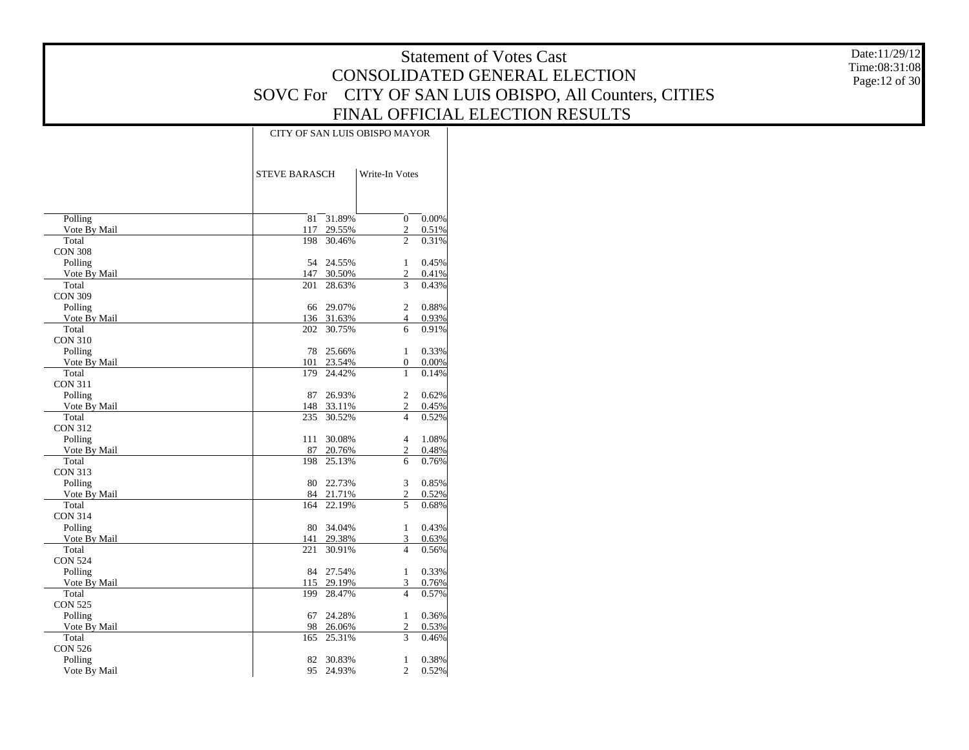Date:11/29/12 Time:08:31:08 Page:12 of 30

|                |                      |        | CITY OF SAN LUIS OBISPO MAYOR |       |
|----------------|----------------------|--------|-------------------------------|-------|
|                | <b>STEVE BARASCH</b> |        | Write-In Votes                |       |
| Polling        | 81                   | 31.89% | $\mathbf{0}$                  | 0.00% |
| Vote By Mail   | 117                  | 29.55% | $\mathbf{2}$                  | 0.51% |
| Total          | 198                  | 30.46% | $\overline{c}$                | 0.31% |
| <b>CON 308</b> |                      |        |                               |       |
| Polling        | 54                   | 24.55% | 1                             | 0.45% |
| Vote By Mail   | 147                  | 30.50% | $\overline{c}$                | 0.41% |
| Total          | 201                  | 28.63% | 3                             | 0.43% |
| <b>CON 309</b> |                      |        |                               |       |
| Polling        | 66                   | 29.07% | $\overline{c}$                | 0.88% |
| Vote By Mail   | 136                  | 31.63% | 4                             | 0.93% |
| Total          | 202                  | 30.75% | 6                             | 0.91% |
| <b>CON 310</b> |                      |        |                               |       |
| Polling        | 78                   | 25.66% | 1                             | 0.33% |
| Vote By Mail   | 101                  | 23.54% | $\mathbf{0}$                  | 0.00% |
| Total          | 179                  | 24.42% | 1                             | 0.14% |
| <b>CON 311</b> |                      |        |                               |       |
| Polling        | 87                   | 26.93% | $\overline{2}$                | 0.62% |
| Vote By Mail   | 148                  | 33.11% | $\overline{c}$                | 0.45% |
| Total          | 235                  | 30.52% | $\overline{\mathcal{L}}$      | 0.52% |
| <b>CON 312</b> |                      |        |                               |       |
| Polling        | 111                  | 30.08% | $\overline{4}$                | 1.08% |
| Vote By Mail   | 87                   | 20.76% | 2                             | 0.48% |
| Total          | 198                  | 25.13% | 6                             | 0.76% |
| <b>CON 313</b> |                      |        |                               |       |
| Polling        | 80                   | 22.73% | 3                             | 0.85% |
| Vote By Mail   | 84                   | 21.71% | 2                             | 0.52% |
| Total          | 164                  | 22.19% | 5                             | 0.68% |
| <b>CON 314</b> |                      |        |                               |       |
| Polling        | 80                   | 34.04% | $\mathbf{1}$                  | 0.43% |
| Vote By Mail   | 141                  | 29.38% | 3                             | 0.63% |
| Total          | 221                  | 30.91% | $\overline{4}$                | 0.56% |
| <b>CON 524</b> |                      |        |                               |       |
| Polling        | 84                   | 27.54% | $\mathbf{1}$                  | 0.33% |
| Vote By Mail   | 115                  | 29.19% | 3                             | 0.76% |
| Total          | 199                  | 28.47% | $\overline{4}$                | 0.57% |
| <b>CON 525</b> |                      |        |                               |       |
| Polling        | 67                   | 24.28% | $\mathbf{1}$                  | 0.36% |
| Vote By Mail   | 98                   | 26.06% | 2                             | 0.53% |
| Total          | 165                  | 25.31% | 3                             | 0.46% |
| <b>CON 526</b> |                      |        |                               |       |
| Polling        | 82                   | 30.83% | $\mathbf{1}$                  | 0.38% |
| Vote By Mail   | 95                   | 24.93% | 2                             | 0.52% |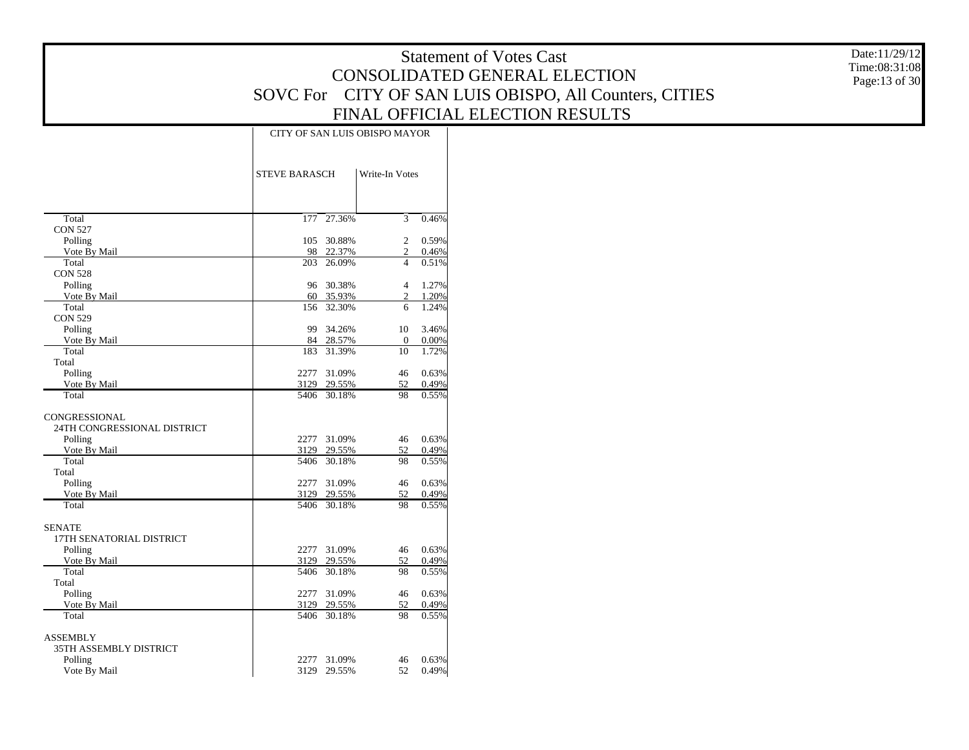Date:11/29/12 Time:08:31:08 Page:13 of 30

|                             | CITY OF SAN LUIS OBISPO MAYOR |                  |                |                |  |  |  |  |  |  |
|-----------------------------|-------------------------------|------------------|----------------|----------------|--|--|--|--|--|--|
|                             | <b>STEVE BARASCH</b>          |                  | Write-In Votes |                |  |  |  |  |  |  |
| Total                       | 177                           | 27.36%           | 3              | 0.46%          |  |  |  |  |  |  |
| <b>CON 527</b>              |                               |                  |                |                |  |  |  |  |  |  |
| Polling                     | 105                           | 30.88%           | $\overline{c}$ | 0.59%          |  |  |  |  |  |  |
| Vote By Mail                |                               | 98 22.37%        | $\overline{c}$ | 0.46%          |  |  |  |  |  |  |
| Total                       | 203                           | 26.09%           | $\overline{4}$ | 0.51%          |  |  |  |  |  |  |
| <b>CON 528</b><br>Polling   | 96                            | 30.38%           | $\overline{4}$ | 1.27%          |  |  |  |  |  |  |
| Vote By Mail                | 60                            | 35.93%           | 2              | 1.20%          |  |  |  |  |  |  |
| Total                       | 156                           | 32.30%           | 6              | 1.24%          |  |  |  |  |  |  |
| <b>CON 529</b>              |                               |                  |                |                |  |  |  |  |  |  |
| Polling                     | 99                            | 34.26%           | 10             | 3.46%          |  |  |  |  |  |  |
| Vote By Mail                |                               | 84 28.57%        | $\mathbf{0}$   | 0.00%          |  |  |  |  |  |  |
| Total                       | 183                           | 31.39%           | 10             | 1.72%          |  |  |  |  |  |  |
| Total                       |                               |                  |                |                |  |  |  |  |  |  |
| Polling                     | 2277                          | 31.09%           | 46             | 0.63%          |  |  |  |  |  |  |
| Vote By Mail                | 3129                          | 29.55%           | 52             | 0.49%          |  |  |  |  |  |  |
| Total                       | 5406                          | 30.18%           | 98             | 0.55%          |  |  |  |  |  |  |
| CONGRESSIONAL               |                               |                  |                |                |  |  |  |  |  |  |
| 24TH CONGRESSIONAL DISTRICT |                               |                  |                |                |  |  |  |  |  |  |
| Polling                     | 2277                          | 31.09%           | 46             | 0.63%          |  |  |  |  |  |  |
| Vote By Mail                | 3129                          | 29.55%           | 52             | 0.49%          |  |  |  |  |  |  |
| Total                       | 5406                          | 30.18%           | 98             | 0.55%          |  |  |  |  |  |  |
| Total                       |                               |                  |                |                |  |  |  |  |  |  |
| Polling<br>Vote By Mail     | 2277<br>3129                  | 31.09%<br>29.55% | 46<br>52       | 0.63%<br>0.49% |  |  |  |  |  |  |
| Total                       | 5406                          | 30.18%           | 98             | 0.55%          |  |  |  |  |  |  |
|                             |                               |                  |                |                |  |  |  |  |  |  |
| <b>SENATE</b>               |                               |                  |                |                |  |  |  |  |  |  |
| 17TH SENATORIAL DISTRICT    | 2277                          |                  |                | 0.63%          |  |  |  |  |  |  |
| Polling<br>Vote By Mail     | 3129                          | 31.09%<br>29.55% | 46<br>52       | 0.49%          |  |  |  |  |  |  |
| Total                       | 5406                          | 30.18%           | 98             | 0.55%          |  |  |  |  |  |  |
| Total                       |                               |                  |                |                |  |  |  |  |  |  |
| Polling                     | 2277                          | 31.09%           | 46             | 0.63%          |  |  |  |  |  |  |
| Vote By Mail                | 3129                          | 29.55%           | 52             | 0.49%          |  |  |  |  |  |  |
| Total                       | 5406                          | 30.18%           | 98             | 0.55%          |  |  |  |  |  |  |
| ASSEMBLY                    |                               |                  |                |                |  |  |  |  |  |  |
| 35TH ASSEMBLY DISTRICT      |                               |                  |                |                |  |  |  |  |  |  |
| Polling                     | 2277                          | 31.09%           | 46             | 0.63%          |  |  |  |  |  |  |
| Vote By Mail                | 3129                          | 29.55%           | 52             | 0.49%          |  |  |  |  |  |  |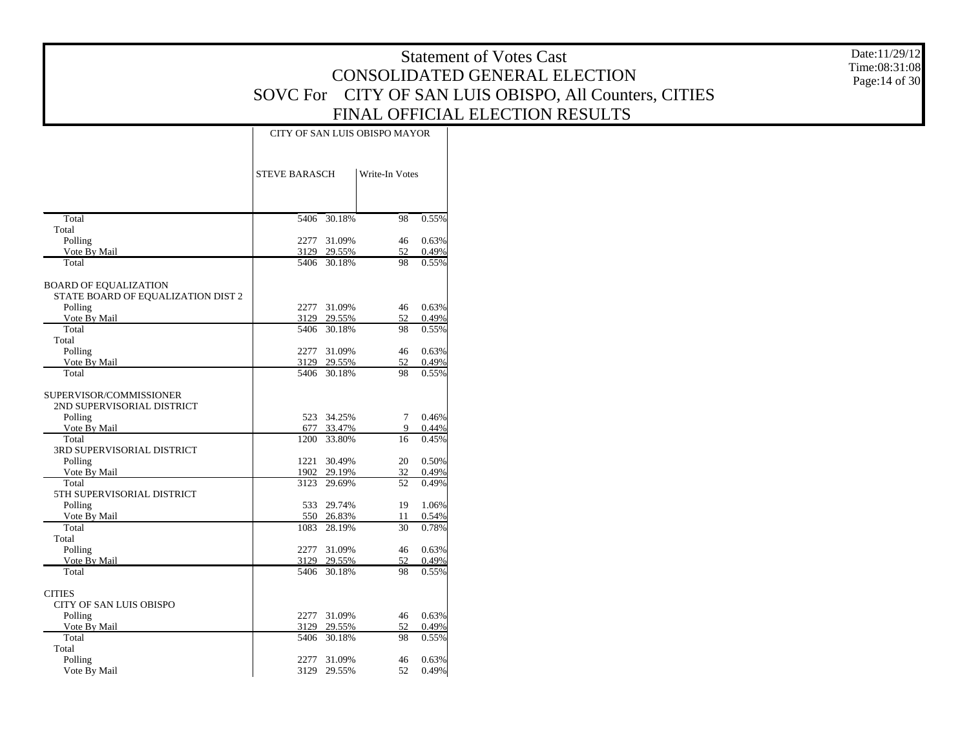Date:11/29/12 Time:08:31:08 Page:14 of 30

|                                                       | CITY OF SAN LUIS OBISPO MAYOR |                  |                |                |  |  |  |  |  |
|-------------------------------------------------------|-------------------------------|------------------|----------------|----------------|--|--|--|--|--|
|                                                       | <b>STEVE BARASCH</b>          |                  | Write-In Votes |                |  |  |  |  |  |
| Total                                                 | 5406                          | 30.18%           | 98             | 0.55%          |  |  |  |  |  |
| Total                                                 |                               |                  |                |                |  |  |  |  |  |
| Polling                                               | 2277                          | 31.09%           | 46             | 0.63%          |  |  |  |  |  |
| Vote By Mail<br>Total                                 | 3129<br>5406                  | 29.55%<br>30.18% | 52<br>98       | 0.49%<br>0.55% |  |  |  |  |  |
| <b>BOARD OF EQUALIZATION</b>                          |                               |                  |                |                |  |  |  |  |  |
| STATE BOARD OF EQUALIZATION DIST 2                    |                               |                  |                |                |  |  |  |  |  |
| Polling                                               | 2277                          | 31.09%           | 46             | 0.63%          |  |  |  |  |  |
| Vote By Mail                                          | 3129                          | 29.55%           | 52             | 0.49%          |  |  |  |  |  |
| Total                                                 | 5406                          | 30.18%           | 98             | 0.55%          |  |  |  |  |  |
| Total                                                 |                               |                  |                |                |  |  |  |  |  |
| Polling                                               | 2277                          | 31.09%           | 46             | 0.63%          |  |  |  |  |  |
| Vote By Mail                                          | 3129                          | 29.55%           | 52             | 0.49%          |  |  |  |  |  |
| Total                                                 | 5406                          | 30.18%           | 98             | 0.55%          |  |  |  |  |  |
| SUPERVISOR/COMMISSIONER<br>2ND SUPERVISORIAL DISTRICT |                               |                  |                |                |  |  |  |  |  |
| Polling                                               | 523                           | 34.25%           | $\tau$         | 0.46%          |  |  |  |  |  |
| Vote By Mail                                          | 677                           | 33.47%           | 9              | 0.44%          |  |  |  |  |  |
| Total<br><b>3RD SUPERVISORIAL DISTRICT</b>            | 1200                          | 33.80%           | 16             | 0.45%          |  |  |  |  |  |
| Polling                                               | 1221                          | 30.49%           | 20             | 0.50%          |  |  |  |  |  |
| Vote By Mail                                          | 1902                          | 29.19%           | 32             | 0.49%          |  |  |  |  |  |
| Total                                                 | 3123                          | 29.69%           | 52             | 0.49%          |  |  |  |  |  |
| 5TH SUPERVISORIAL DISTRICT                            |                               |                  |                |                |  |  |  |  |  |
| Polling                                               | 533                           | 29.74%           | 19             | 1.06%          |  |  |  |  |  |
| Vote By Mail                                          | 550                           | 26.83%           | 11             | 0.54%          |  |  |  |  |  |
| Total<br>Total                                        | 1083                          | 28.19%           | 30             | 0.78%          |  |  |  |  |  |
| Polling                                               | 2277                          | 31.09%           | 46             | 0.63%          |  |  |  |  |  |
| Vote By Mail                                          | 3129                          | 29.55%           | 52             | 0.49%          |  |  |  |  |  |
| Total                                                 | 5406                          | 30.18%           | 98             | 0.55%          |  |  |  |  |  |
| <b>CITIES</b>                                         |                               |                  |                |                |  |  |  |  |  |
| <b>CITY OF SAN LUIS OBISPO</b>                        |                               |                  |                |                |  |  |  |  |  |
| Polling                                               | 2277                          | 31.09%           | 46             | 0.63%          |  |  |  |  |  |
| Vote By Mail                                          | 3129                          | 29.55%           | 52             | 0.49%          |  |  |  |  |  |
| Total                                                 | 5406                          | 30.18%           | 98             | 0.55%          |  |  |  |  |  |
| Total                                                 |                               |                  |                |                |  |  |  |  |  |
| Polling                                               | 2277                          | 31.09%           | 46             | 0.63%          |  |  |  |  |  |
| Vote By Mail                                          | 3129                          | 29.55%           | 52             | 0.49%          |  |  |  |  |  |
|                                                       |                               |                  |                |                |  |  |  |  |  |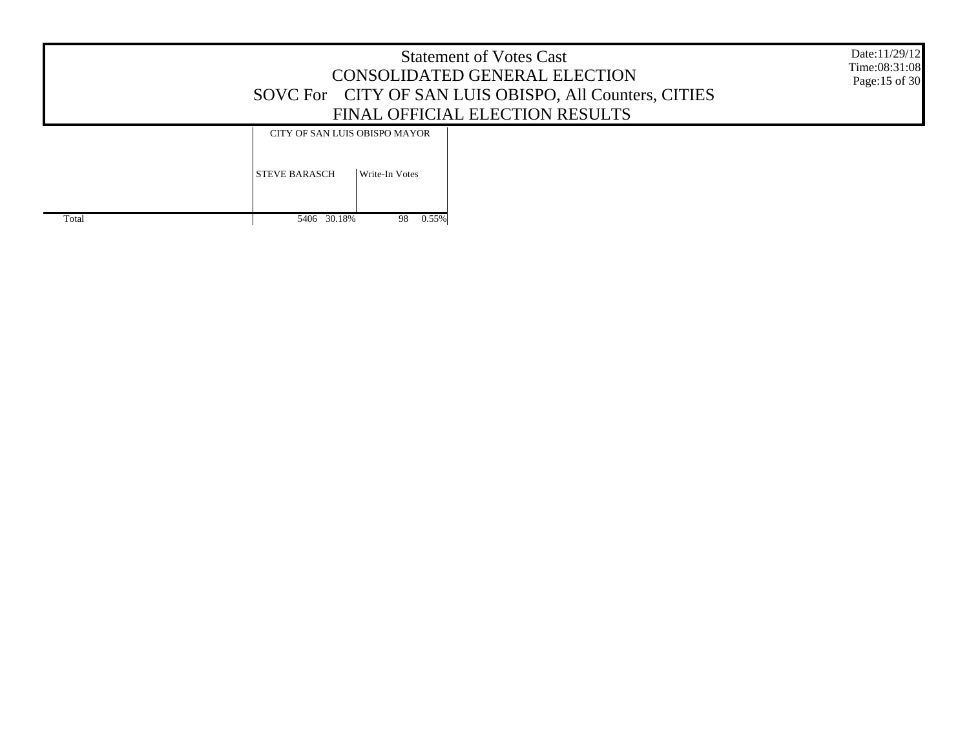| <b>Statement of Votes Cast</b>                         |
|--------------------------------------------------------|
| CONSOLIDATED GENERAL ELECTION                          |
| SOVC For CITY OF SAN LUIS OBISPO, All Counters, CITIES |
| FINAL OFFICIAL ELECTION RESULTS                        |

Date:11/29/12 Time:08:31:08 Page:15 of 30

#### CITY OF SAN LUIS OBISPO MAYOR

|       | <b>STEVE BARASCH</b> | Write-In Votes |
|-------|----------------------|----------------|
| Total | 5406 30.18%          | 0.55%<br>98    |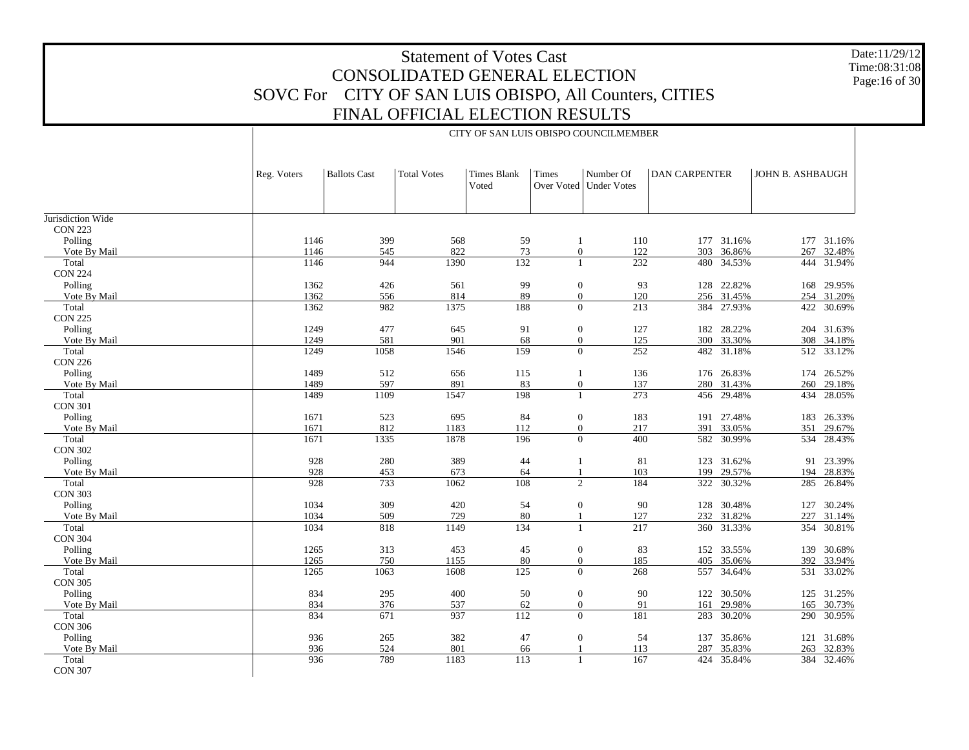Date:11/29/12 Time:08:31:08 Page:16 of 30

|                   |             |                     |                    |                             |                  | CITY OF SAN LUIS OBISPO COUNCILMEMBER |                      |            |                  |            |
|-------------------|-------------|---------------------|--------------------|-----------------------------|------------------|---------------------------------------|----------------------|------------|------------------|------------|
|                   | Reg. Voters | <b>Ballots Cast</b> | <b>Total Votes</b> | <b>Times Blank</b><br>Voted | Times            | Number Of<br>Over Voted   Under Votes | <b>DAN CARPENTER</b> |            | JOHN B. ASHBAUGH |            |
| Jurisdiction Wide |             |                     |                    |                             |                  |                                       |                      |            |                  |            |
| <b>CON 223</b>    |             |                     |                    |                             |                  |                                       |                      |            |                  |            |
| Polling           | 1146        | 399                 | 568                | 59                          | 1                | 110                                   |                      | 177 31.16% |                  | 177 31.16% |
| Vote By Mail      | 1146        | 545                 | 822                | 73                          | $\overline{0}$   | 122                                   | 303                  | 36.86%     | 267              | 32.48%     |
| Total             | 1146        | 944                 | 1390               | 132                         | $\mathbf{1}$     | 232                                   | 480                  | 34.53%     |                  | 444 31.94% |
| <b>CON 224</b>    |             |                     |                    |                             |                  |                                       |                      |            |                  |            |
| Polling           | 1362        | 426                 | 561                | 99                          | $\mathbf{0}$     | 93                                    |                      | 128 22.82% |                  | 168 29.95% |
| Vote By Mail      | 1362        | 556                 | 814                | 89                          | $\boldsymbol{0}$ | 120                                   |                      | 256 31.45% |                  | 254 31.20% |
| Total             | 1362        | 982                 | 1375               | 188                         | $\overline{0}$   | 213                                   | 384                  | 27.93%     | 422              | 30.69%     |
| <b>CON 225</b>    |             |                     |                    |                             |                  |                                       |                      |            |                  |            |
| Polling           | 1249        | 477                 | 645                | 91                          | $\mathbf{0}$     | 127                                   | 182                  | 28.22%     |                  | 204 31.63% |
| Vote By Mail      | 1249        | 581                 | 901                | 68                          | $\mathbf{0}$     | 125                                   | 300                  | 33.30%     | 308              | 34.18%     |
| Total             | 1249        | 1058                | 1546               | 159                         | $\overline{0}$   | 252                                   | 482                  | 31.18%     |                  | 512 33.12% |
| <b>CON 226</b>    |             |                     |                    |                             |                  |                                       |                      |            |                  |            |
| Polling           | 1489        | 512                 | 656                | 115                         | $\mathbf{1}$     | 136                                   |                      | 176 26.83% | 174              | 26.52%     |
| Vote By Mail      | 1489        | 597                 | 891                | 83                          | $\mathbf{0}$     | 137                                   |                      | 280 31.43% | 260              | 29.18%     |
| Total             | 1489        | 1109                | 1547               | 198                         | $\mathbf{1}$     | $\overline{273}$                      |                      | 456 29.48% | 434              | 28.05%     |
| <b>CON 301</b>    |             |                     |                    |                             |                  |                                       |                      |            |                  |            |
| Polling           | 1671        | 523                 | 695                | 84                          | $\mathbf{0}$     | 183                                   |                      | 191 27.48% | 183              | 26.33%     |
| Vote By Mail      | 1671        | 812                 | 1183               | 112                         | $\overline{0}$   | 217                                   | 391                  | 33.05%     | 351              | 29.67%     |
| Total             | 1671        | 1335                | 1878               | 196                         | $\overline{0}$   | 400                                   | 582                  | 30.99%     |                  | 534 28.43% |
| <b>CON 302</b>    |             |                     |                    |                             |                  |                                       |                      |            |                  |            |
| Polling           | 928         | 280                 | 389                | 44                          | 1                | 81                                    |                      | 123 31.62% | 91               | 23.39%     |
| Vote By Mail      | 928         | 453                 | 673                | 64                          | $\mathbf{1}$     | 103                                   | 199                  | 29.57%     | 194              | 28.83%     |
| Total             | 928         | 733                 | 1062               | 108                         | 2                | 184                                   | 322                  | 30.32%     |                  | 285 26.84% |
| <b>CON 303</b>    |             |                     |                    |                             |                  |                                       |                      |            |                  |            |
| Polling           | 1034        | 309                 | 420                | 54                          | $\boldsymbol{0}$ | 90                                    |                      | 128 30.48% | 127              | 30.24%     |
| Vote By Mail      | 1034        | 509                 | 729                | 80                          | 1                | 127                                   | 232                  | 31.82%     | 227              | 31.14%     |
| Total             | 1034        | 818                 | 1149               | 134                         | $\mathbf{1}$     | 217                                   |                      | 360 31.33% |                  | 354 30.81% |
| <b>CON 304</b>    |             |                     |                    |                             |                  |                                       |                      |            |                  |            |
| Polling           | 1265        | 313                 | 453                | 45                          | $\boldsymbol{0}$ | 83                                    |                      | 152 33.55% |                  | 139 30.68% |
| Vote By Mail      | 1265        | 750                 | 1155               | 80                          | $\boldsymbol{0}$ | 185                                   | 405                  | 35.06%     | 392              | 33.94%     |
| Total             | 1265        | 1063                | 1608               | $\overline{125}$            | $\theta$         | 268                                   | 557                  | 34.64%     |                  | 531 33.02% |
| <b>CON 305</b>    |             |                     |                    |                             |                  |                                       |                      |            |                  |            |
| Polling           | 834         | 295                 | 400                | 50                          | $\mathbf{0}$     | 90                                    |                      | 122 30.50% |                  | 125 31.25% |
| Vote By Mail      | 834         | 376                 | 537                | 62                          | $\overline{0}$   | 91                                    | 161                  | 29.98%     | 165              | 30.73%     |
| Total             | 834         | 671                 | 937                | $\overline{112}$            | $\mathbf{0}$     | 181                                   | 283                  | 30.20%     |                  | 290 30.95% |
| <b>CON 306</b>    |             |                     |                    |                             |                  |                                       |                      |            |                  |            |
| Polling           | 936         | 265                 | 382                | 47                          | $\mathbf{0}$     | 54                                    |                      | 137 35.86% |                  | 121 31.68% |
| Vote By Mail      | 936         | 524                 | 801                | 66                          | $\mathbf{1}$     | 113                                   | 287                  | 35.83%     | 263              | 32.83%     |
| Total             | 936         | 789                 | 1183               | 113                         | $\mathbf{1}$     | 167                                   | 424                  | 35.84%     | 384              | 32.46%     |
| <b>CON 307</b>    |             |                     |                    |                             |                  |                                       |                      |            |                  |            |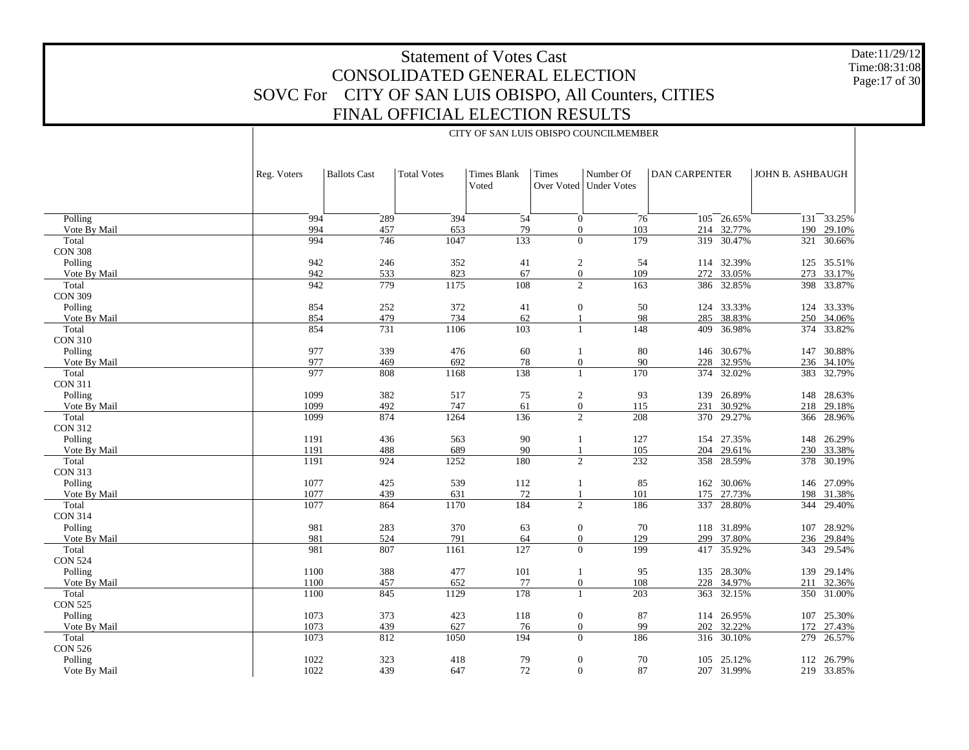Date:11/29/12 Time:08:31:08 Page:17 of 30

|                         |             |                     |                    |                      |                     | CITY OF SAN LUIS OBISPO COUNCILMEMBER |                      |            |                  |
|-------------------------|-------------|---------------------|--------------------|----------------------|---------------------|---------------------------------------|----------------------|------------|------------------|
|                         | Reg. Voters | <b>Ballots Cast</b> | <b>Total Votes</b> | Times Blank<br>Voted | Times<br>Over Voted | Number Of<br>Under Votes              | <b>DAN CARPENTER</b> |            | JOHN B. ASHBAUGH |
| Polling                 | 994         | 289                 | 394                | 54                   |                     | 76<br>$\boldsymbol{0}$                | 105                  | 26.65%     | 33.25%<br>131    |
| Vote By Mail            | 994         | 457                 | 653                | 79                   |                     | 103<br>$\boldsymbol{0}$               | 214                  | 32.77%     | 29.10%<br>190    |
| Total                   | 994         | 746                 | 1047               | 133                  |                     | $\overline{0}$<br>179                 | 319                  | 30.47%     | 30.66%<br>321    |
| <b>CON 308</b>          |             |                     |                    |                      |                     |                                       |                      |            |                  |
| Polling                 | 942         | 246                 | 352                | 41                   |                     | $\overline{c}$<br>54                  |                      | 114 32.39% | 35.51%<br>125    |
| Vote By Mail            | 942         | 533                 | 823                | 67                   |                     | $\boldsymbol{0}$<br>109               | 272                  | 33.05%     | 273<br>33.17%    |
| Total                   | 942         | 779                 | 1175               | 108                  |                     | $\overline{2}$<br>163                 |                      | 386 32.85% | 398 33.87%       |
| <b>CON 309</b>          |             |                     |                    |                      |                     |                                       |                      |            |                  |
| Polling                 | 854         | 252                 | 372                | 41                   |                     | $\boldsymbol{0}$<br>50                |                      | 124 33.33% | 33.33%<br>124    |
| Vote By Mail            | 854         | 479                 | 734                | 62                   | $\mathbf{1}$        | 98                                    | 285                  | 38.83%     | 250 34.06%       |
| Total                   | 854         | 731                 | 1106               | 103                  | $\mathbf{1}$        | 148                                   | 409                  | 36.98%     | 374 33.82%       |
| <b>CON 310</b>          |             |                     |                    |                      |                     |                                       |                      |            |                  |
| Polling                 | 977         | 339                 | 476                | 60                   | $\mathbf{1}$        | 80                                    |                      | 146 30.67% | 30.88%<br>147    |
| Vote By Mail            | 977<br>977  | 469                 | 692                | 78                   |                     | 90<br>$\boldsymbol{0}$                | 228                  | 32.95%     | 236 34.10%       |
| Total<br><b>CON 311</b> |             | 808                 | 1168               | 138                  | $\mathbf{1}$        | 170                                   |                      | 374 32.02% | 383 32.79%       |
| Polling                 | 1099        | 382                 | 517                | 75                   |                     | $\overline{c}$<br>93                  |                      | 139 26.89% | 148<br>28.63%    |
| Vote By Mail            | 1099        | 492                 | 747                | 61                   |                     | $\boldsymbol{0}$<br>115               | 231                  | 30.92%     | 218 29.18%       |
| Total                   | 1099        | 874                 | 1264               | 136                  |                     | $\overline{2}$<br>208                 |                      | 370 29.27% | 366 28.96%       |
| <b>CON 312</b>          |             |                     |                    |                      |                     |                                       |                      |            |                  |
| Polling                 | 1191        | 436                 | 563                | 90                   | $\mathbf{1}$        | 127                                   |                      | 154 27.35% | 148 26.29%       |
| Vote By Mail            | 1191        | 488                 | 689                | 90                   | $\mathbf{1}$        | 105                                   |                      | 204 29.61% | 230 33.38%       |
| Total                   | 1191        | 924                 | 1252               | 180                  |                     | $\overline{c}$<br>232                 |                      | 358 28.59% | 378 30.19%       |
| <b>CON 313</b>          |             |                     |                    |                      |                     |                                       |                      |            |                  |
| Polling                 | 1077        | 425                 | 539                | 112                  | 1                   | 85                                    |                      | 162 30.06% | 146 27.09%       |
| Vote By Mail            | 1077        | 439                 | 631                | 72                   |                     | 101                                   | 175                  | 27.73%     | 198<br>31.38%    |
| Total                   | 1077        | 864                 | 1170               | 184                  |                     | $\overline{2}$<br>186                 | 337                  | 28.80%     | 29.40%<br>344    |
| <b>CON 314</b>          |             |                     |                    |                      |                     |                                       |                      |            |                  |
| Polling                 | 981         | 283                 | 370                | 63                   |                     | $\boldsymbol{0}$<br>70                |                      | 118 31.89% | 28.92%<br>107    |
| Vote By Mail            | 981         | 524                 | 791                | 64                   |                     | $\boldsymbol{0}$<br>129               | 299                  | 37.80%     | 29.84%<br>236    |
| Total                   | 981         | 807                 | 1161               | 127                  |                     | $\Omega$<br>199                       | 417                  | 35.92%     | 29.54%<br>343    |
| <b>CON 524</b>          |             |                     |                    |                      |                     |                                       |                      |            |                  |
| Polling                 | 1100        | 388                 | 477                | 101                  | 1                   | 95                                    |                      | 135 28.30% | 139 29.14%       |
| Vote By Mail            | 1100        | 457                 | 652                | 77                   |                     | $\overline{0}$<br>108                 | 228                  | 34.97%     | 32.36%<br>211    |
| Total                   | 1100        | 845                 | 1129               | 178                  | 1                   | 203                                   |                      | 363 32.15% | 350 31.00%       |
| <b>CON 525</b>          |             |                     |                    |                      |                     |                                       |                      |            |                  |
| Polling                 | 1073        | 373                 | 423                | 118                  |                     | $\overline{0}$<br>87                  |                      | 114 26.95% | 107<br>25.30%    |
| Vote By Mail            | 1073        | 439                 | 627                | 76                   |                     | 99<br>$\overline{0}$                  | 202                  | 32.22%     | 27.43%<br>172    |
| Total                   | 1073        | 812                 | 1050               | 194                  |                     | $\overline{0}$<br>186                 |                      | 316 30.10% | 26.57%<br>279    |
| <b>CON 526</b>          | 1022        |                     |                    |                      |                     |                                       |                      |            |                  |
| Polling                 |             | 323                 | 418                | 79                   | $\boldsymbol{0}$    | 70                                    | 105                  | 25.12%     | 26.79%<br>112    |
| Vote By Mail            | 1022        | 439                 | 647                | 72                   |                     | 87<br>$\overline{0}$                  |                      | 207 31.99% | 219<br>33.85%    |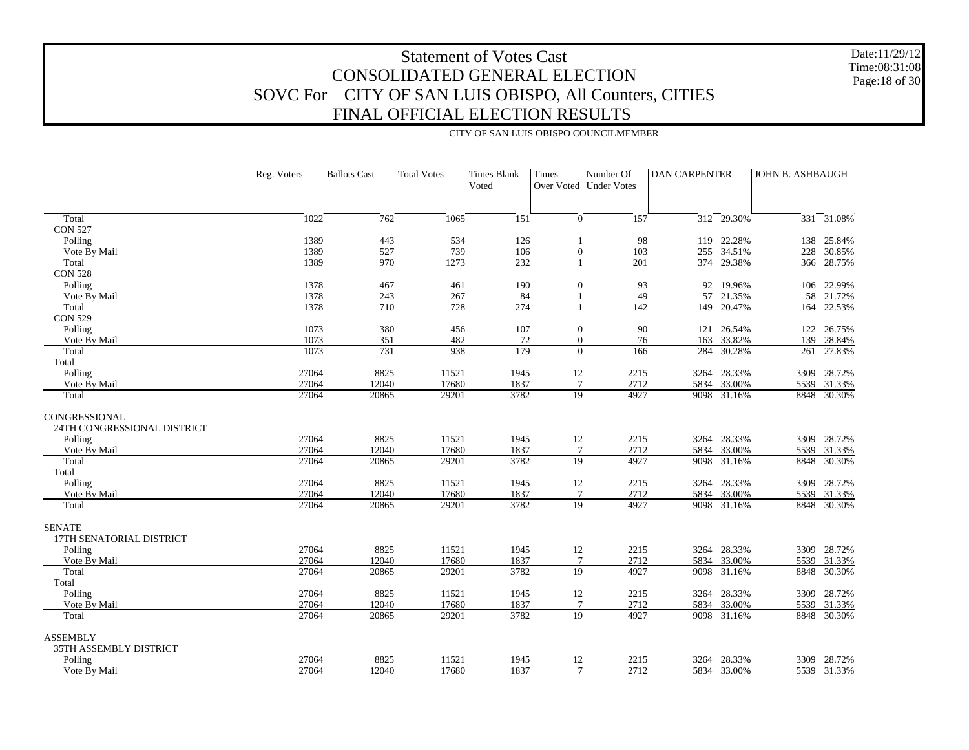Date:11/29/12 Time:08:31:08 Page:18 of 30

|                             |                | CITY OF SAN LUIS OBISPO COUNCILMEMBER |                    |                             |                       |                                       |                      |                  |                  |                       |  |  |
|-----------------------------|----------------|---------------------------------------|--------------------|-----------------------------|-----------------------|---------------------------------------|----------------------|------------------|------------------|-----------------------|--|--|
|                             | Reg. Voters    | <b>Ballots Cast</b>                   | <b>Total Votes</b> | <b>Times Blank</b><br>Voted | Times                 | Number Of<br>Over Voted   Under Votes | <b>DAN CARPENTER</b> |                  | JOHN B. ASHBAUGH |                       |  |  |
| Total                       | 1022           | 762                                   | 1065               | 151                         | $\overline{0}$        | $\overline{157}$                      | $\overline{312}$     | 29.30%           |                  | 331 31.08%            |  |  |
| <b>CON 527</b>              |                |                                       |                    |                             |                       |                                       |                      |                  |                  |                       |  |  |
| Polling                     | 1389           | 443                                   | 534                | 126                         | 1                     | 98                                    |                      | 119 22.28%       | 138              | 25.84%                |  |  |
| Vote By Mail                | 1389           | 527                                   | 739                | 106                         | $\boldsymbol{0}$      | 103                                   |                      | 255 34.51%       | 228              | 30.85%                |  |  |
| Total                       | 1389           | 970                                   | 1273               | 232                         | 1                     | 201                                   | 374                  | 29.38%           |                  | 366 28.75%            |  |  |
| <b>CON 528</b>              |                |                                       |                    |                             |                       |                                       |                      |                  |                  |                       |  |  |
| Polling                     | 1378           | 467                                   | 461                | 190                         | $\boldsymbol{0}$      | 93                                    |                      | 92 19.96%        |                  | 106 22.99%            |  |  |
| Vote By Mail                | 1378           | 243                                   | 267                | 84                          | $\mathbf{1}$          | 49                                    | 57                   | 21.35%           | 58               | 21.72%                |  |  |
| Total                       | 1378           | 710                                   | 728                | 274                         | 1                     | $\overline{142}$                      | 149                  | 20.47%           | 164              | 22.53%                |  |  |
| <b>CON 529</b>              |                |                                       |                    |                             |                       |                                       |                      |                  |                  |                       |  |  |
| Polling                     | 1073           | 380                                   | 456                | 107                         | $\boldsymbol{0}$      | 90                                    | 121                  | 26.54%           | 122              | 26.75%                |  |  |
| Vote By Mail                | 1073           | 351                                   | 482                | 72                          | $\boldsymbol{0}$      | 76                                    | 163                  | 33.82%           | 139              | 28.84%                |  |  |
| Total                       | 1073           | 731                                   | 938                | 179                         | $\mathbf{0}$          | 166                                   | 284                  | 30.28%           | 261              | 27.83%                |  |  |
| Total                       |                |                                       |                    |                             |                       |                                       |                      |                  |                  |                       |  |  |
| Polling                     | 27064          | 8825                                  | 11521              | 1945                        | 12                    | 2215                                  |                      | 3264 28.33%      | 3309             | 28.72%                |  |  |
| Vote By Mail                | 27064<br>27064 | 12040<br>20865                        | 17680<br>29201     | 1837<br>3782                | $7\phantom{.0}$<br>19 | 2712<br>4927                          | 5834                 | 33.00%<br>31.16% |                  | 5539 31.33%<br>30.30% |  |  |
| Total                       |                |                                       |                    |                             |                       |                                       | 9098                 |                  | 8848             |                       |  |  |
| CONGRESSIONAL               |                |                                       |                    |                             |                       |                                       |                      |                  |                  |                       |  |  |
| 24TH CONGRESSIONAL DISTRICT |                |                                       |                    |                             |                       |                                       |                      |                  |                  |                       |  |  |
| Polling                     | 27064          | 8825                                  | 11521              | 1945                        | 12                    | 2215                                  |                      | 3264 28.33%      |                  | 3309 28.72%           |  |  |
| Vote By Mail                | 27064          | 12040                                 | 17680              | 1837                        | $7\phantom{.0}$       | 2712                                  |                      | 5834 33.00%      |                  | 5539 31.33%           |  |  |
| Total                       | 27064          | 20865                                 | 29201              | 3782                        | $\overline{19}$       | 4927                                  | 9098                 | 31.16%           | 8848             | 30.30%                |  |  |
| Total                       |                |                                       |                    |                             |                       |                                       |                      |                  |                  |                       |  |  |
| Polling                     | 27064          | 8825                                  | 11521              | 1945                        | 12                    | 2215                                  |                      | 3264 28.33%      |                  | 3309 28.72%           |  |  |
| Vote By Mail                | 27064          | 12040                                 | 17680              | 1837                        | $7\phantom{.0}$       | 2712                                  |                      | 5834 33.00%      |                  | 5539 31.33%           |  |  |
| Total                       | 27064          | 20865                                 | 29201              | 3782                        | 19                    | 4927                                  |                      | 9098 31.16%      |                  | 8848 30.30%           |  |  |
| <b>SENATE</b>               |                |                                       |                    |                             |                       |                                       |                      |                  |                  |                       |  |  |
| 17TH SENATORIAL DISTRICT    |                |                                       |                    |                             |                       |                                       |                      |                  |                  |                       |  |  |
| Polling                     | 27064          | 8825                                  | 11521              | 1945                        | 12                    | 2215                                  |                      | 3264 28.33%      |                  | 3309 28.72%           |  |  |
| Vote By Mail                | 27064          | 12040                                 | 17680              | 1837                        | $\overline{7}$        | 2712                                  | 5834                 | 33.00%           | 5539             | 31.33%                |  |  |
| Total                       | 27064          | 20865                                 | 29201              | 3782                        | $\overline{19}$       | 4927                                  | 9098                 | 31.16%           | 8848             | 30.30%                |  |  |
| Total                       |                |                                       |                    |                             |                       |                                       |                      |                  |                  |                       |  |  |
| Polling                     | 27064          | 8825                                  | 11521              | 1945                        | 12                    | 2215                                  |                      | 3264 28.33%      |                  | 3309 28.72%           |  |  |
| Vote By Mail                | 27064          | 12040                                 | 17680              | 1837                        | $7\phantom{.0}$       | 2712                                  | 5834                 | 33.00%           | 5539             | 31.33%                |  |  |
| Total                       | 27064          | 20865                                 | 29201              | 3782                        | 19                    | 4927                                  |                      | 9098 31.16%      |                  | 8848 30.30%           |  |  |
| <b>ASSEMBLY</b>             |                |                                       |                    |                             |                       |                                       |                      |                  |                  |                       |  |  |
| 35TH ASSEMBLY DISTRICT      |                |                                       |                    |                             |                       |                                       |                      |                  |                  |                       |  |  |
| Polling                     | 27064          | 8825                                  | 11521              | 1945                        | 12                    | 2215                                  |                      | 3264 28.33%      |                  | 3309 28.72%           |  |  |
| Vote By Mail                | 27064          | 12040                                 | 17680              | 1837                        | $\overline{7}$        | 2712                                  |                      | 5834 33.00%      |                  | 5539 31.33%           |  |  |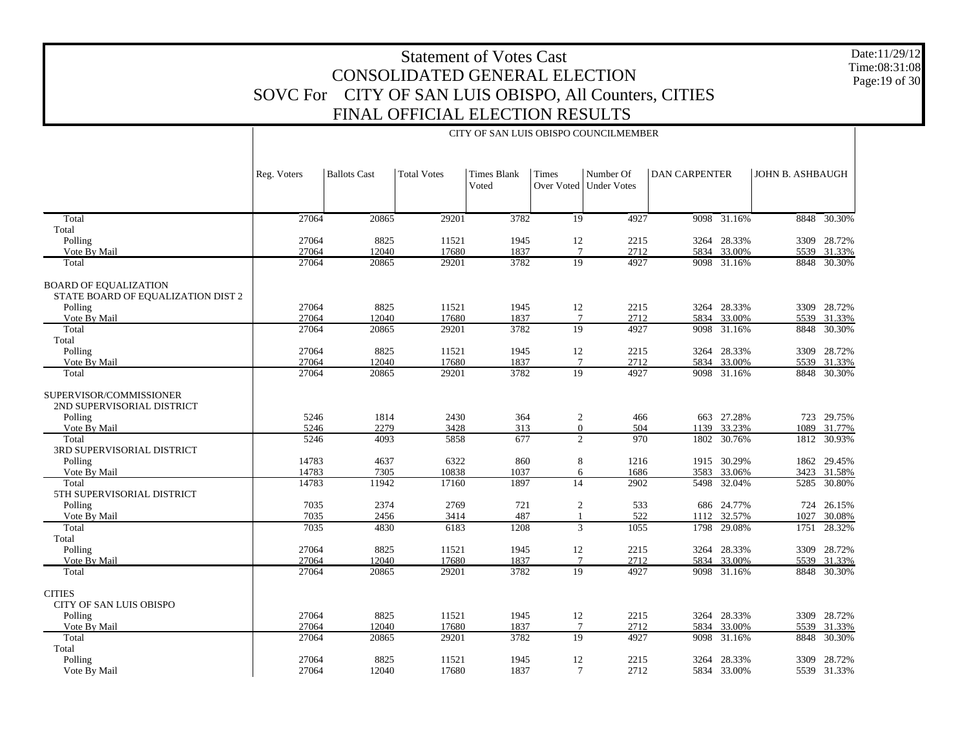Date:11/29/12 Time:08:31:08Page:19 of 30

|                                                                    |                |                     |                    |                      |                       | CITY OF SAN LUIS OBISPO COUNCILMEMBER |                      |                       |                  |                            |
|--------------------------------------------------------------------|----------------|---------------------|--------------------|----------------------|-----------------------|---------------------------------------|----------------------|-----------------------|------------------|----------------------------|
|                                                                    | Reg. Voters    | <b>Ballots Cast</b> | <b>Total Votes</b> | Times Blank<br>Voted | Times                 | Number Of<br>Over Voted   Under Votes | <b>DAN CARPENTER</b> |                       | JOHN B. ASHBAUGH |                            |
| Total                                                              | 27064          | 20865               | 29201              | 3782                 | $\overline{19}$       | 4927                                  |                      | 9098 31.16%           |                  | 8848 30.30%                |
| Total                                                              |                |                     |                    |                      |                       |                                       |                      |                       |                  |                            |
| Polling                                                            | 27064          | 8825                | 11521              | 1945                 | 12                    | 2215                                  |                      | 3264 28.33%           |                  | 3309 28.72%                |
| Vote By Mail                                                       | 27064          | 12040               | 17680              | 1837                 | $7\phantom{.0}$       | 2712                                  | 5834                 | 33.00%                |                  | 5539 31.33%                |
| Total                                                              | 27064          | 20865               | 29201              | 3782                 | 19                    | 4927                                  |                      | 9098 31.16%           |                  | 8848 30.30%                |
| <b>BOARD OF EQUALIZATION</b><br>STATE BOARD OF EQUALIZATION DIST 2 |                |                     |                    |                      |                       |                                       |                      |                       |                  |                            |
| Polling                                                            | 27064          | 8825                | 11521              | 1945                 | 12                    | 2215                                  |                      | 3264 28.33%           |                  | 3309 28.72%                |
| Vote By Mail                                                       | 27064          | 12040               | 17680              | 1837                 | $7\phantom{.0}$       | 2712                                  |                      | 5834 33.00%           |                  | 5539 31.33%                |
| Total                                                              | 27064          | 20865               | 29201              | 3782                 | 19                    | 4927                                  |                      | 9098 31.16%           |                  | 8848 30.30%                |
| Total                                                              |                |                     |                    |                      |                       |                                       |                      |                       |                  |                            |
| Polling                                                            | 27064          | 8825                | 11521              | 1945                 | 12                    | 2215                                  |                      | 3264 28.33%           |                  | 3309 28.72%                |
| Vote By Mail                                                       | 27064          | 12040               | 17680              | 1837                 | $7\phantom{.0}$       | 2712                                  | 5834                 | 33.00%                |                  | 5539 31.33%                |
| Total                                                              | 27064          | 20865               | 29201              | 3782                 | 19                    | 4927                                  |                      | 9098 31.16%           |                  | 8848 30.30%                |
| SUPERVISOR/COMMISSIONER<br>2ND SUPERVISORIAL DISTRICT              |                |                     |                    |                      |                       |                                       |                      |                       |                  |                            |
| Polling                                                            | 5246           | 1814                | 2430               | 364                  | $\overline{c}$        | 466                                   |                      | 663 27.28%            |                  | 723 29.75%                 |
| Vote By Mail                                                       | 5246           | 2279                | 3428               | 313                  | $\mathbf{0}$          | 504                                   | 1139                 | 33.23%                | 1089             | 31.77%                     |
| Total<br>3RD SUPERVISORIAL DISTRICT                                | 5246           | 4093                | 5858               | 677                  |                       | $\overline{2}$<br>970                 | 1802                 | 30.76%                |                  | 1812 30.93%                |
| Polling                                                            | 14783          | 4637                | 6322               | 860                  | 8                     | 1216                                  |                      | 1915 30.29%           |                  | 1862 29.45%                |
| Vote By Mail                                                       | 14783          | 7305                | 10838              | 1037                 |                       | 6<br>1686                             | 3583                 | 33.06%                | 3423             | 31.58%                     |
| Total<br>5TH SUPERVISORIAL DISTRICT                                | 14783          | 11942               | 17160              | 1897                 | 14                    | 2902                                  | 5498                 | 32.04%                | 5285             | 30.80%                     |
| Polling                                                            | 7035           | 2374                | 2769               | 721                  | $\sqrt{2}$            | 533                                   |                      | 686 24.77%            |                  | 724 26.15%                 |
| Vote By Mail                                                       | 7035           | 2456                | 3414               | 487                  | $\mathbf{1}$          | 522                                   | 1112                 | 32.57%                | 1027             | 30.08%                     |
| Total                                                              | 7035           | 4830                | 6183               | 1208                 |                       | 3<br>1055                             | 1798                 | 29.08%                | 1751             | 28.32%                     |
| Total                                                              |                |                     |                    |                      |                       |                                       |                      |                       |                  |                            |
| Polling<br>Vote By Mail                                            | 27064<br>27064 | 8825<br>12040       | 11521<br>17680     | 1945<br>1837         | 12<br>$7\phantom{.0}$ | 2215<br>2712                          | 5834                 | 3264 28.33%<br>33.00% |                  | 3309 28.72%<br>5539 31.33% |
| Total                                                              | 27064          | 20865               | 29201              | 3782                 | 19                    | 4927                                  |                      | 9098 31.16%           |                  | 8848 30.30%                |
|                                                                    |                |                     |                    |                      |                       |                                       |                      |                       |                  |                            |
| <b>CITIES</b><br>CITY OF SAN LUIS OBISPO                           |                |                     |                    |                      |                       |                                       |                      |                       |                  |                            |
| Polling                                                            | 27064          | 8825                | 11521              | 1945                 | 12                    | 2215                                  |                      | 3264 28.33%           |                  | 3309 28.72%                |
| Vote By Mail                                                       | 27064          | 12040               | 17680              | 1837                 | $7\phantom{.0}$       | 2712                                  |                      | 5834 33.00%           |                  | 5539 31.33%                |
| Total                                                              | 27064          | 20865               | 29201              | 3782                 | 19                    | 4927                                  | 9098                 | 31.16%                | 8848             | 30.30%                     |
| Total                                                              |                |                     |                    |                      |                       |                                       |                      |                       |                  |                            |
| Polling                                                            | 27064          | 8825                | 11521              | 1945                 | 12                    | 2215                                  |                      | 3264 28.33%           |                  | 3309 28.72%                |
| Vote By Mail                                                       | 27064          | 12040               | 17680              | 1837                 | $7\phantom{.0}$       | 2712                                  |                      | 5834 33.00%           |                  | 5539 31.33%                |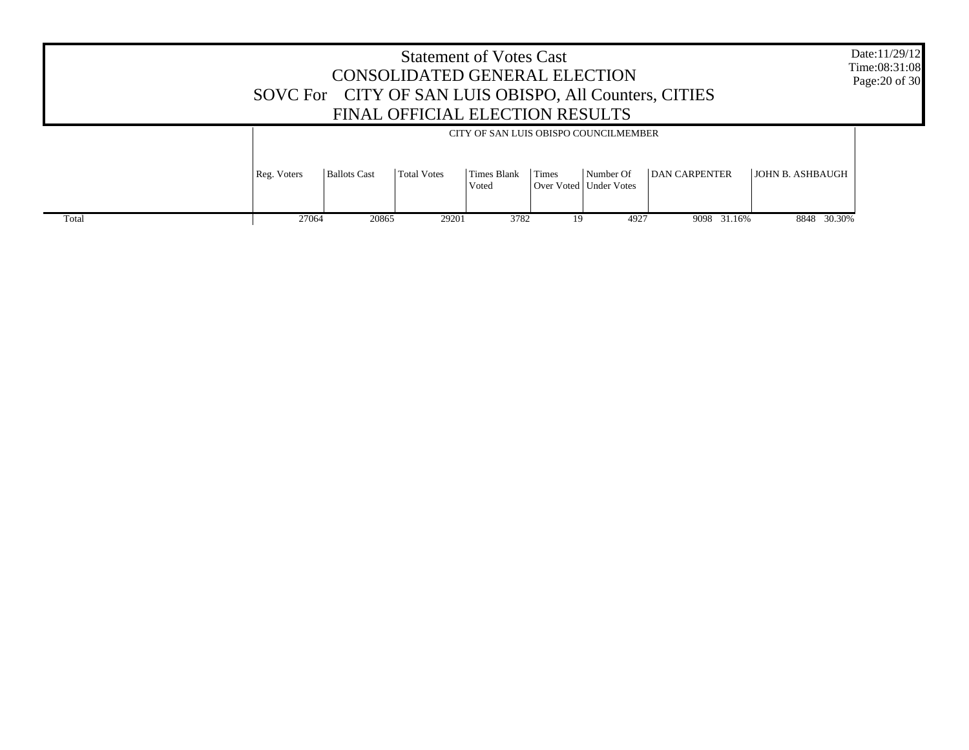|       | SOVC For CITY OF SAN LUIS OBISPO, All Counters, CITIES |                     | <b>Statement of Votes Cast</b><br>CONSOLIDATED GENERAL ELECTION<br>FINAL OFFICIAL ELECTION RESULTS |                                       |       |                                       |                      |                         | Date:11/29/12<br>Time:08:31:08<br>Page: 20 of 30 |
|-------|--------------------------------------------------------|---------------------|----------------------------------------------------------------------------------------------------|---------------------------------------|-------|---------------------------------------|----------------------|-------------------------|--------------------------------------------------|
|       |                                                        |                     |                                                                                                    | CITY OF SAN LUIS OBISPO COUNCILMEMBER |       |                                       |                      |                         |                                                  |
|       | Reg. Voters                                            | <b>Ballots Cast</b> | <b>Total Votes</b>                                                                                 | Times Blank<br>Voted                  | Times | Number Of<br>Over Voted   Under Votes | <b>DAN CARPENTER</b> | <b>JOHN B. ASHBAUGH</b> |                                                  |
| Total | 27064                                                  | 20865               | 29201                                                                                              | 3782                                  | 19    | 4927                                  | 9098 31.16%          | 8848 30.30%             |                                                  |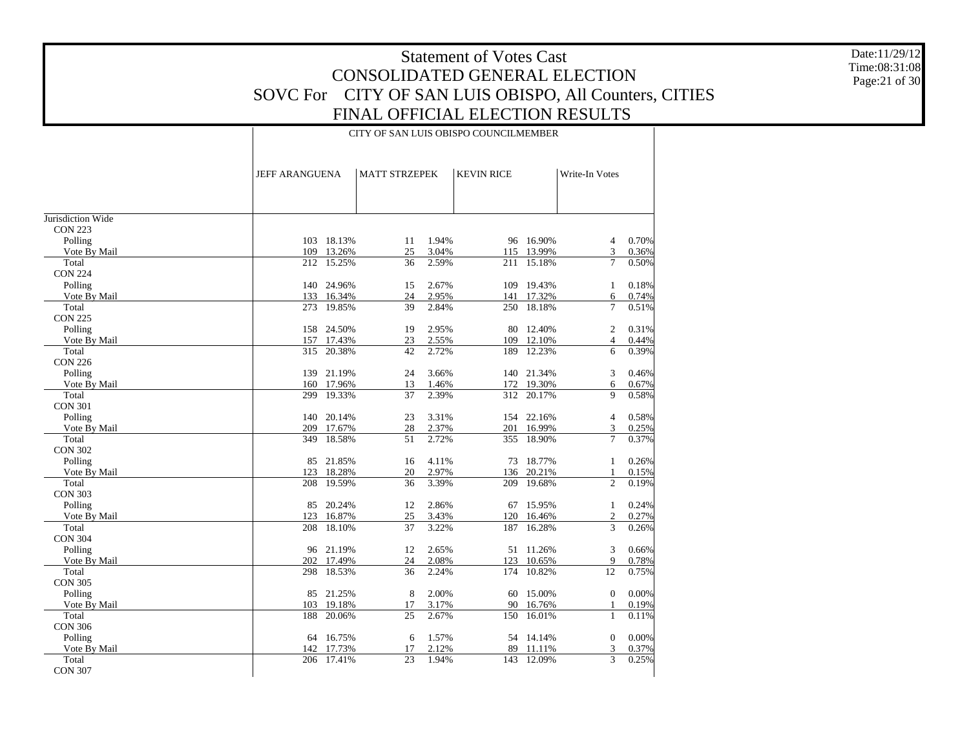Date:11/29/12 Time:08:31:08 Page:21 of 30

|                       | <b>JEFF ARANGUENA</b> |                      | <b>MATT STRZEPEK</b> |                | <b>KEVIN RICE</b> |                  | Write-In Votes       |                |
|-----------------------|-----------------------|----------------------|----------------------|----------------|-------------------|------------------|----------------------|----------------|
|                       |                       |                      |                      |                |                   |                  |                      |                |
|                       |                       |                      |                      |                |                   |                  |                      |                |
| Jurisdiction Wide     |                       |                      |                      |                |                   |                  |                      |                |
| <b>CON 223</b>        |                       |                      |                      |                |                   |                  |                      |                |
| Polling               |                       | 103 18.13%           | 11                   | 1.94%          |                   | 96 16.90%        | 4                    | 0.70%          |
| Vote By Mail          |                       | 109 13.26%           | 25                   | 3.04%          | 115               | 13.99%           | 3                    | 0.36%          |
| Total                 |                       | 212 15.25%           | 36                   | 2.59%          | 211               | 15.18%           | $\overline{7}$       | 0.50%          |
| <b>CON 224</b>        |                       |                      |                      |                |                   |                  |                      |                |
| Polling               |                       | 140 24.96%           | 15                   | 2.67%          | 109               | 19.43%           | 1                    | 0.18%          |
| Vote By Mail          | 133                   | 16.34%               | 24                   | 2.95%          | 141               | 17.32%           | 6                    | 0.74%          |
| Total                 | 273                   | 19.85%               | 39                   | 2.84%          | 250               | 18.18%           | $\overline{7}$       | 0.51%          |
| <b>CON 225</b>        |                       |                      |                      |                |                   |                  |                      |                |
| Polling               | 158                   | 24.50%               | 19                   | 2.95%          | 80                | 12.40%           | 2                    | 0.31%          |
| Vote By Mail          | 157                   | 17.43%               | 23                   | 2.55%          | 109               | 12.10%           | $\overline{4}$       | 0.44%          |
| Total                 | 315                   | 20.38%               | 42                   | 2.72%          | 189               | 12.23%           | 6                    | 0.39%          |
| <b>CON 226</b>        |                       |                      |                      |                |                   |                  |                      |                |
| Polling               |                       | 139 21.19%           | 24                   | 3.66%          |                   | 140 21.34%       | 3                    | 0.46%          |
| Vote By Mail          |                       | 160 17.96%           | 13                   | 1.46%          | 172               | 19.30%           | 6                    | 0.67%          |
| Total                 | 299                   | 19.33%               | 37                   | 2.39%          | 312               | 20.17%           | $\mathbf{Q}$         | 0.58%          |
| <b>CON 301</b>        |                       |                      |                      |                |                   |                  |                      |                |
| Polling               |                       | 140 20.14%           | 23                   | 3.31%          |                   | 154 22.16%       | $\overline{4}$       | 0.58%          |
| Vote By Mail          | 209                   | 17.67%               | 28                   | 2.37%          | 201               | 16.99%           | 3                    | 0.25%          |
| Total                 | 349                   | 18.58%               | 51                   | 2.72%          | 355               | 18.90%           | $\overline{7}$       | 0.37%          |
| <b>CON 302</b>        |                       |                      |                      |                |                   |                  |                      |                |
| Polling               | 85                    | 21.85%               | 16                   | 4.11%          | 73                | 18.77%           | $\mathbf{1}$         | 0.26%          |
| Vote By Mail          | 123                   | 18.28%               | 20                   | 2.97%          | 136               | 20.21%           | 1                    | 0.15%          |
| Total                 | 208                   | 19.59%               | 36                   | 3.39%          | 209               | 19.68%           | $\overline{2}$       | 0.19%          |
| <b>CON 303</b>        |                       |                      |                      |                |                   |                  |                      |                |
| Polling               | 85                    | 20.24%               | 12                   | 2.86%          |                   | 67 15.95%        | 1                    | 0.24%          |
| Vote By Mail          | 123                   | 16.87%               | 25                   | 3.43%          | 120               | 16.46%           | $\mathfrak{2}$       | 0.27%          |
| Total                 | 208                   | 18.10%               | 37                   | 3.22%          | 187               | 16.28%           | 3                    | 0.26%          |
| <b>CON 304</b>        |                       |                      |                      |                |                   |                  |                      |                |
| Polling               |                       | 96 21.19%            | 12                   | 2.65%          |                   | 51 11.26%        | 3                    | 0.66%          |
| Vote By Mail<br>Total | 202<br>298            | 17.49%<br>18.53%     | 24<br>36             | 2.08%<br>2.24% | 123<br>174        | 10.65%<br>10.82% | 9<br>$\overline{12}$ | 0.78%<br>0.75% |
|                       |                       |                      |                      |                |                   |                  |                      |                |
| <b>CON 305</b>        |                       |                      |                      |                |                   | 15.00%           |                      | 0.00%          |
| Polling               | 85                    | 21.25%               | 8                    | 2.00%          | 60<br>90          |                  | $\mathbf{0}$         |                |
| Vote By Mail<br>Total | 188                   | 103 19.18%<br>20.06% | 17<br>25             | 3.17%<br>2.67% |                   | 16.76%<br>16.01% | 1<br>$\mathbf{1}$    | 0.19%<br>0.11% |
| <b>CON 306</b>        |                       |                      |                      |                | 150               |                  |                      |                |
|                       |                       |                      |                      |                |                   |                  |                      |                |
| Polling               |                       | 64 16.75%<br>17.73%  | 6                    | 1.57%<br>2.12% |                   | 54 14.14%        | $\mathbf{0}$<br>3    | 0.00%          |
| Vote By Mail<br>Total | 142                   | 206 17.41%           | 17<br>23             | 1.94%          | 89<br>143         | 11.11%<br>12.09% | 3                    | 0.37%<br>0.25% |
| <b>CON 307</b>        |                       |                      |                      |                |                   |                  |                      |                |
|                       |                       |                      |                      |                |                   |                  |                      |                |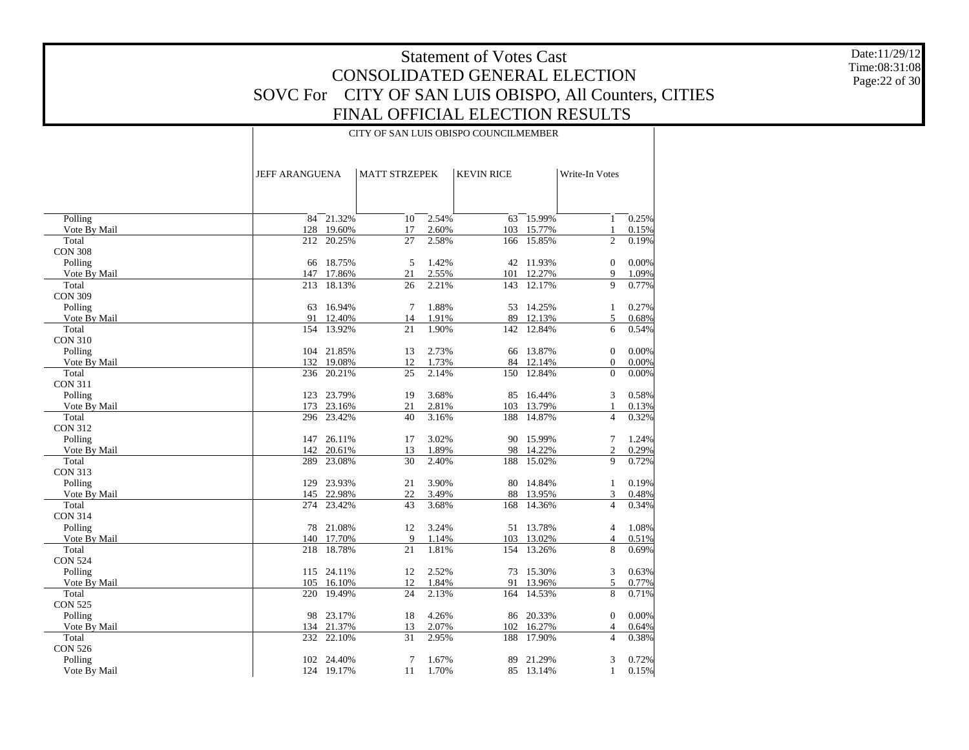Date:11/29/12 Time:08:31:08 Page:22 of 30

|                         | JEFF ARANGUENA |                          |          | <b>MATT STRZEPEK</b><br><b>KEVIN RICE</b> |           |                  | Write-In Votes               |                |
|-------------------------|----------------|--------------------------|----------|-------------------------------------------|-----------|------------------|------------------------------|----------------|
|                         |                |                          |          |                                           |           |                  |                              |                |
| Polling                 |                | $84 - 21.32%$            | 10       | 2.54%                                     | 63        | 15.99%           | 1                            | 0.25%          |
| Vote By Mail            |                | 128 19.60%               | 17       | 2.60%                                     |           | 103 15.77%       | 1                            | 0.15%          |
| Total                   | 212            | 20.25%                   | 27       | 2.58%                                     | 166       | 15.85%           | $\overline{2}$               | 0.19%          |
| <b>CON 308</b>          |                |                          |          |                                           |           |                  |                              |                |
| Polling                 |                | 66 18.75%                | 5        | 1.42%                                     |           | 42 11.93%        | $\mathbf{0}$                 | 0.00%          |
| Vote By Mail            | 147            | 17.86%                   | 21       | 2.55%                                     | 101       | 12.27%           | 9                            | 1.09%          |
| Total                   | 213            | 18.13%                   | 26       | 2.21%                                     | 143       | 12.17%           | 9                            | 0.77%          |
| <b>CON 309</b>          |                |                          |          |                                           |           |                  |                              |                |
| Polling                 | 63             | 16.94%                   | 7        | 1.88%                                     |           | 53 14.25%        | 1                            | 0.27%          |
| Vote By Mail            | 91             | 12.40%                   | 14       | 1.91%                                     | 89        | 12.13%           | 5                            | 0.68%          |
| Total                   | 154            | 13.92%                   | 21       | 1.90%                                     | 142       | 12.84%           | 6                            | 0.54%          |
| <b>CON 310</b>          |                |                          |          |                                           |           |                  |                              |                |
| Polling<br>Vote By Mail |                | 104 21.85%<br>132 19.08% | 13       | 2.73%<br>1.73%                            | 66        | 13.87%<br>12.14% | $\mathbf{0}$                 | 0.00%          |
| Total                   | 236            | 20.21%                   | 12<br>25 | 2.14%                                     | 84<br>150 | 12.84%           | $\boldsymbol{0}$<br>$\theta$ | 0.00%<br>0.00% |
| <b>CON 311</b>          |                |                          |          |                                           |           |                  |                              |                |
| Polling                 |                | 123 23.79%               | 19       | 3.68%                                     | 85        | 16.44%           | 3                            | 0.58%          |
| Vote By Mail            | 173            | 23.16%                   | 21       | 2.81%                                     | 103       | 13.79%           | 1                            | 0.13%          |
| Total                   |                | 296 23.42%               | 40       | 3.16%                                     | 188       | 14.87%           | $\overline{4}$               | 0.32%          |
| <b>CON 312</b>          |                |                          |          |                                           |           |                  |                              |                |
| Polling                 |                | 147 26.11%               | 17       | 3.02%                                     |           | 90 15.99%        | 7                            | 1.24%          |
| Vote By Mail            | 142            | 20.61%                   | 13       | 1.89%                                     |           | 98 14.22%        | $\overline{c}$               | 0.29%          |
| Total                   | 289            | 23.08%                   | 30       | 2.40%                                     | 188       | 15.02%           | 9                            | 0.72%          |
| <b>CON 313</b>          |                |                          |          |                                           |           |                  |                              |                |
| Polling                 | 129            | 23.93%                   | 21       | 3.90%                                     | 80        | 14.84%           | $\mathbf{1}$                 | 0.19%          |
| Vote By Mail            |                | 145 22.98%               | 22       | 3.49%                                     | 88        | 13.95%           | 3                            | 0.48%          |
| Total                   | 274            | 23.42%                   | 43       | 3.68%                                     | 168       | 14.36%           | $\overline{4}$               | 0.34%          |
| <b>CON 314</b>          |                |                          |          |                                           |           |                  |                              |                |
| Polling                 | 78             | 21.08%                   | 12       | 3.24%                                     |           | 51 13.78%        | $\overline{4}$               | 1.08%          |
| Vote By Mail            | 140            | 17.70%                   | 9        | 1.14%                                     | 103       | 13.02%           | $\overline{4}$               | 0.51%          |
| Total                   | 218            | 18.78%                   | 21       | 1.81%                                     | 154       | 13.26%           | 8                            | 0.69%          |
| <b>CON 524</b>          |                |                          |          |                                           |           |                  |                              |                |
| Polling                 |                | 115 24.11%               | 12       | 2.52%                                     |           | 73 15.30%        | 3                            | 0.63%          |
| Vote By Mail            | 105            | 16.10%                   | 12       | 1.84%                                     | 91        | 13.96%           | 5                            | 0.77%          |
| Total                   | 220            | 19.49%                   | 24       | 2.13%                                     | 164       | 14.53%           | 8                            | 0.71%          |
| <b>CON 525</b>          |                |                          |          |                                           |           |                  |                              |                |
| Polling                 | 98             | 23.17%                   | 18       | 4.26%                                     | 86        | 20.33%           | $\mathbf{0}$                 | 0.00%          |
| Vote By Mail            | 134            | 21.37%                   | 13       | 2.07%                                     | 102       | 16.27%           | $\overline{4}$               | 0.64%          |
| Total                   |                | 232 22.10%               | 31       | 2.95%                                     | 188       | 17.90%           | $\overline{\mathcal{L}}$     | 0.38%          |
| <b>CON 526</b>          |                |                          |          | 1.67%                                     |           |                  |                              |                |
| Polling                 |                | 102 24.40%               | 7        |                                           | 89        | 21.29%           | 3                            | 0.72%          |
| Vote By Mail            |                | 124 19.17%               | 11       | 1.70%                                     |           | 85 13.14%        | $\mathbf{1}$                 | 0.15%          |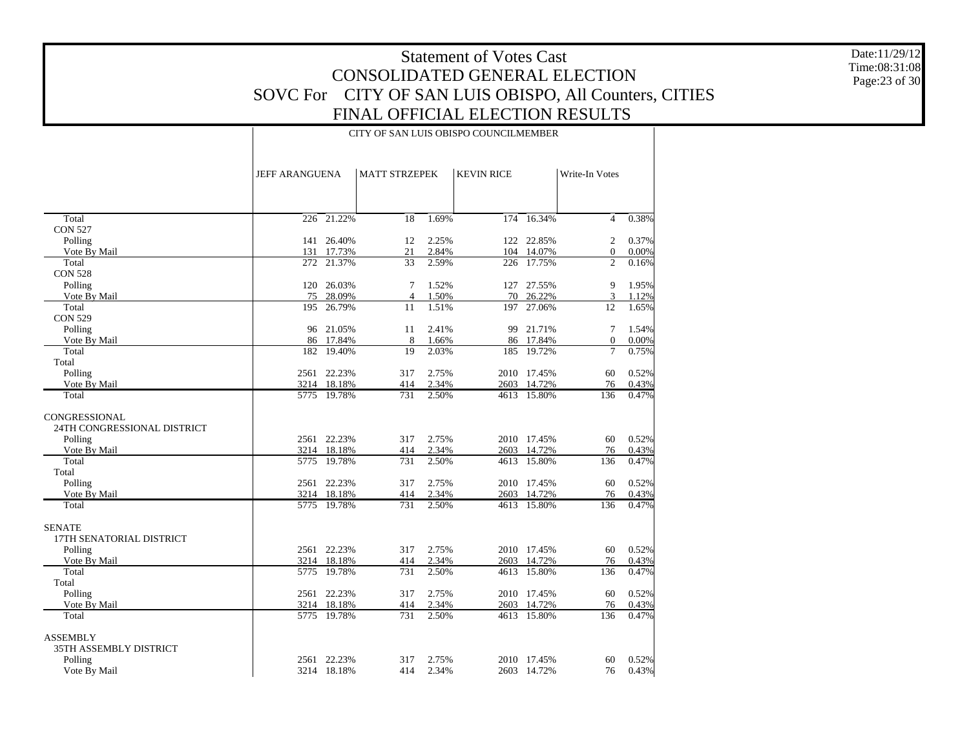Date:11/29/12 Time:08:31:08 Page:23 of 30

|                             |      | <b>JEFF ARANGUENA</b> |                | <b>MATT STRZEPEK</b><br><b>KEVIN RICE</b> |      |                 | Write-In Votes |       |
|-----------------------------|------|-----------------------|----------------|-------------------------------------------|------|-----------------|----------------|-------|
|                             |      |                       |                |                                           |      |                 |                |       |
| Total                       |      | $226 - 21.22%$        | 18             | 1.69%                                     |      | $174 - 16.34\%$ | $\overline{4}$ | 0.38% |
| <b>CON 527</b>              |      |                       |                |                                           |      |                 |                |       |
| Polling                     |      | 141 26.40%            | 12             | 2.25%                                     |      | 122 22.85%      | 2              | 0.37% |
| Vote By Mail                | 131  | 17.73%                | 21             | 2.84%                                     |      | 104 14.07%      | $\mathbf{0}$   | 0.00% |
| Total                       | 272  | 21.37%                | 33             | 2.59%                                     |      | 226 17.75%      | $\overline{c}$ | 0.16% |
| <b>CON 528</b>              |      |                       |                |                                           |      |                 |                |       |
| Polling                     | 120  | 26.03%                | 7              | 1.52%                                     | 127  | 27.55%          | 9              | 1.95% |
| Vote By Mail                | 75   | 28.09%                | $\overline{4}$ | 1.50%                                     | 70   | 26.22%          | 3              | 1.12% |
| Total                       | 195  | 26.79%                | 11             | 1.51%                                     | 197  | 27.06%          | 12             | 1.65% |
| <b>CON 529</b><br>Polling   |      | 96 21.05%             | 11             | 2.41%                                     |      | 99 21.71%       | 7              | 1.54% |
| Vote By Mail                |      | 86 17.84%             | 8              | 1.66%                                     |      | 86 17.84%       | $\mathbf{0}$   | 0.00% |
| Total                       |      | 182 19.40%            | 19             | 2.03%                                     | 185  | 19.72%          | $\overline{7}$ | 0.75% |
| Total                       |      |                       |                |                                           |      |                 |                |       |
| Polling                     |      | 2561 22.23%           | 317            | 2.75%                                     |      | 2010 17.45%     | 60             | 0.52% |
| Vote By Mail                |      | 3214 18.18%           | 414            | 2.34%                                     |      | 2603 14.72%     | 76             | 0.43% |
| Total                       |      | 5775 19.78%           | 731            | 2.50%                                     |      | 4613 15.80%     | 136            | 0.47% |
| CONGRESSIONAL               |      |                       |                |                                           |      |                 |                |       |
| 24TH CONGRESSIONAL DISTRICT |      |                       |                |                                           |      |                 |                |       |
| Polling                     |      | 2561 22.23%           | 317            | 2.75%                                     |      | 2010 17.45%     | 60             | 0.52% |
| Vote By Mail                |      | 3214 18.18%           | 414            | 2.34%                                     | 2603 | 14.72%          | 76             | 0.43% |
| Total                       |      | 5775 19.78%           | 731            | 2.50%                                     | 4613 | 15.80%          | 136            | 0.47% |
| Total                       |      |                       |                |                                           |      |                 |                |       |
| Polling                     |      | 2561 22.23%           | 317            | 2.75%                                     |      | 2010 17.45%     | 60             | 0.52% |
| Vote By Mail                |      | 3214 18.18%           | 414            | 2.34%                                     |      | 2603 14.72%     | 76             | 0.43% |
| Total                       |      | 5775 19.78%           | 731            | 2.50%                                     |      | 4613 15.80%     | 136            | 0.47% |
| <b>SENATE</b>               |      |                       |                |                                           |      |                 |                |       |
| 17TH SENATORIAL DISTRICT    |      |                       |                |                                           |      |                 |                |       |
| Polling                     |      | 2561 22.23%           | 317            | 2.75%                                     |      | 2010 17.45%     | 60             | 0.52% |
| Vote By Mail                |      | 3214 18.18%           | 414            | 2.34%                                     |      | 2603 14.72%     | 76             | 0.43% |
| Total                       |      | 5775 19.78%           | 731            | 2.50%                                     |      | 4613 15.80%     | 136            | 0.47% |
| Total                       |      |                       |                |                                           |      |                 |                |       |
| Polling                     |      | 2561 22.23%           | 317            | 2.75%                                     |      | 2010 17.45%     | 60             | 0.52% |
| Vote By Mail                |      | 3214 18.18%           | 414            | 2.34%                                     |      | 2603 14.72%     | 76             | 0.43% |
| Total                       |      | 5775 19.78%           | 731            | 2.50%                                     |      | 4613 15.80%     | 136            | 0.47% |
| <b>ASSEMBLY</b>             |      |                       |                |                                           |      |                 |                |       |
| 35TH ASSEMBLY DISTRICT      |      |                       |                |                                           |      |                 |                |       |
| Polling                     | 2561 | 22.23%                | 317            | 2.75%                                     |      | 2010 17.45%     | 60             | 0.52% |
| Vote By Mail                |      | 3214 18.18%           | 414            | 2.34%                                     |      | 2603 14.72%     | 76             | 0.43% |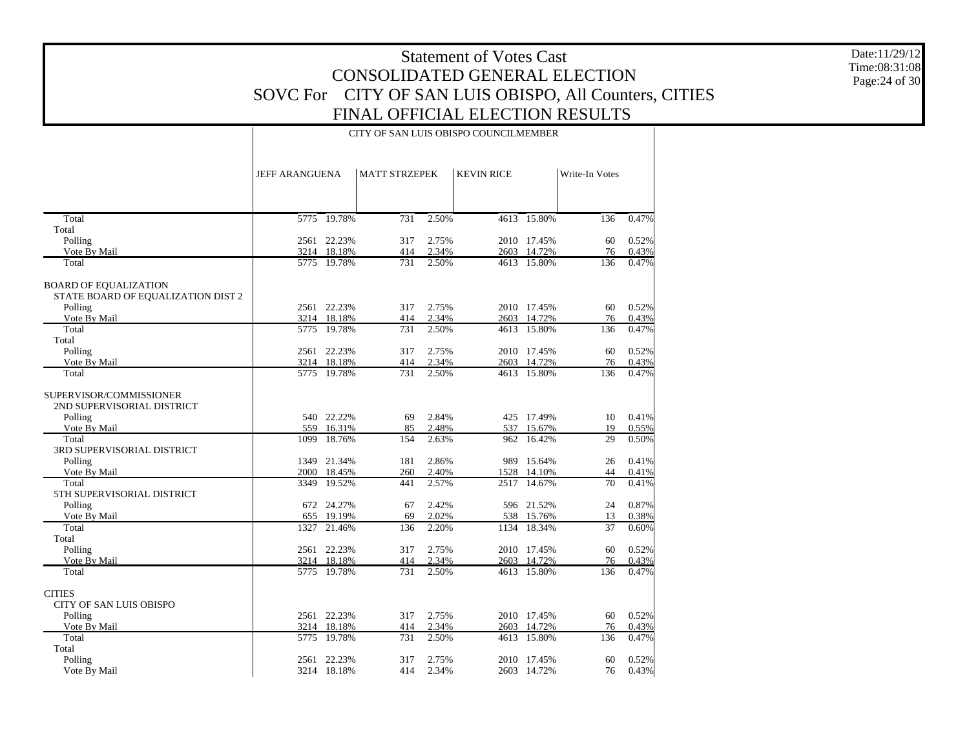Date:11/29/12 Time:08:31:08 Page:24 of 30

|                                       | <b>JEFF ARANGUENA</b> |                       | <b>MATT STRZEPEK</b> |                | <b>KEVIN RICE</b> |                       | Write-In Votes |       |
|---------------------------------------|-----------------------|-----------------------|----------------------|----------------|-------------------|-----------------------|----------------|-------|
|                                       |                       |                       |                      |                |                   |                       |                |       |
| Total                                 |                       | 5775 19.78%           | 731                  | 2.50%          |                   | 4613 15.80%           | 136            | 0.47% |
| Total                                 |                       |                       |                      |                |                   |                       |                |       |
| Polling                               |                       | 2561 22.23%           | 317                  | 2.75%          |                   | 2010 17.45%           | 60             | 0.52% |
| Vote By Mail                          |                       | 3214 18.18%           | 414                  | 2.34%          |                   | 2603 14.72%           | 76             | 0.43% |
| Total                                 |                       | 5775 19.78%           | 731                  | 2.50%          |                   | 4613 15.80%           | 136            | 0.47% |
| <b>BOARD OF EQUALIZATION</b>          |                       |                       |                      |                |                   |                       |                |       |
| STATE BOARD OF EQUALIZATION DIST 2    |                       |                       |                      |                |                   |                       |                |       |
| Polling                               |                       | 2561 22.23%           | 317                  | 2.75%          |                   | 2010 17.45%           | 60             | 0.52% |
| Vote By Mail                          |                       | 3214 18.18%           | 414                  | 2.34%          |                   | 2603 14.72%           | 76             | 0.43% |
| Total                                 |                       | 5775 19.78%           | 731                  | 2.50%          |                   | 4613 15.80%           | 136            | 0.47% |
| Total                                 |                       |                       |                      |                |                   |                       |                |       |
| Polling                               |                       | 2561 22.23%           | 317                  | 2.75%          |                   | 2010 17.45%           | 60             | 0.52% |
| Vote By Mail                          |                       | 3214 18.18%<br>19.78% | 414                  | 2.34%<br>2.50% | 2603              | 14.72%<br>4613 15.80% | 76             | 0.43% |
| Total                                 | 5775                  |                       | 731                  |                |                   |                       | 136            | 0.47% |
| SUPERVISOR/COMMISSIONER               |                       |                       |                      |                |                   |                       |                |       |
| 2ND SUPERVISORIAL DISTRICT            |                       |                       |                      |                |                   |                       |                |       |
| Polling                               |                       | 540 22.22%            | 69                   | 2.84%          |                   | 425 17.49%            | 10             | 0.41% |
| Vote By Mail                          | 559                   | 16.31%                | 85                   | 2.48%          |                   | 537 15.67%            | 19             | 0.55% |
| Total                                 | 1099                  | 18.76%                | 154                  | 2.63%          | 962               | 16.42%                | 29             | 0.50% |
| 3RD SUPERVISORIAL DISTRICT<br>Polling |                       | 1349 21.34%           | 181                  | 2.86%          |                   | 989 15.64%            | 26             | 0.41% |
| Vote By Mail                          |                       | 2000 18.45%           | 260                  | 2.40%          | 1528              | 14.10%                | 44             | 0.41% |
| Total                                 | 3349                  | 19.52%                | 441                  | 2.57%          | 2517              | 14.67%                | 70             | 0.41% |
| 5TH SUPERVISORIAL DISTRICT            |                       |                       |                      |                |                   |                       |                |       |
| Polling                               | 672                   | 24.27%                | 67                   | 2.42%          |                   | 596 21.52%            | 24             | 0.87% |
| Vote By Mail                          | 655                   | 19.19%                | 69                   | 2.02%          |                   | 538 15.76%            | 13             | 0.38% |
| Total                                 | 1327                  | 21.46%                | 136                  | 2.20%          | 1134              | 18.34%                | 37             | 0.60% |
| Total                                 |                       |                       |                      |                |                   |                       |                |       |
| Polling                               |                       | 2561 22.23%           | 317                  | 2.75%          |                   | 2010 17.45%           | 60             | 0.52% |
| Vote By Mail                          |                       | 3214 18.18%           | 414                  | 2.34%          |                   | 2603 14.72%           | 76             | 0.43% |
| Total                                 |                       | 5775 19.78%           | 731                  | 2.50%          |                   | 4613 15.80%           | 136            | 0.47% |
| <b>CITIES</b>                         |                       |                       |                      |                |                   |                       |                |       |
| <b>CITY OF SAN LUIS OBISPO</b>        |                       |                       |                      |                |                   |                       |                |       |
| Polling                               |                       | 2561 22.23%           | 317                  | 2.75%          |                   | 2010 17.45%           | 60             | 0.52% |
| Vote By Mail                          |                       | 3214 18.18%           | 414                  | 2.34%          |                   | 2603 14.72%           | 76             | 0.43% |
| Total                                 | 5775                  | 19.78%                | 731                  | 2.50%          | 4613              | 15.80%                | 136            | 0.47% |
| Total                                 |                       |                       |                      |                |                   |                       |                |       |
| Polling                               |                       | 2561 22.23%           | 317                  | 2.75%          |                   | 2010 17.45%           | 60             | 0.52% |
| Vote By Mail                          |                       | 3214 18.18%           | 414                  | 2.34%          |                   | 2603 14.72%           | 76             | 0.43% |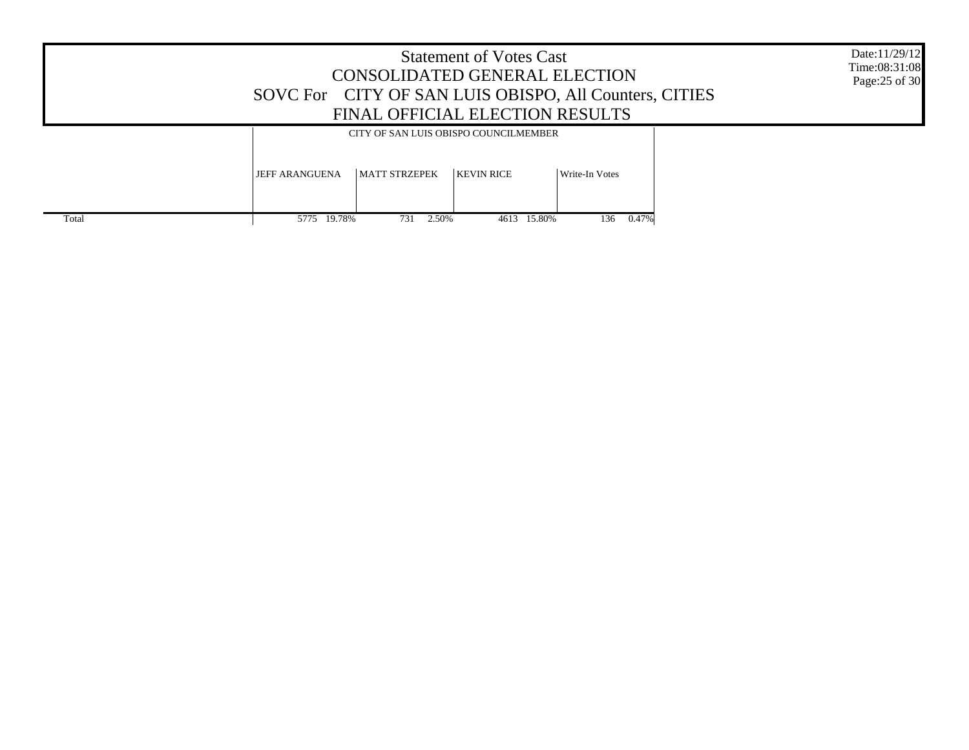|       |                       |                      | <b>Statement of Votes Cast</b><br>CONSOLIDATED GENERAL ELECTION<br>FINAL OFFICIAL ELECTION RESULTS | SOVC For CITY OF SAN LUIS OBISPO, All Counters, CITIES | Date:11/29/12<br>Time:08:31:08<br>Page: 25 of 30 |
|-------|-----------------------|----------------------|----------------------------------------------------------------------------------------------------|--------------------------------------------------------|--------------------------------------------------|
|       |                       |                      | CITY OF SAN LUIS OBISPO COUNCILMEMBER                                                              |                                                        |                                                  |
|       | <b>JEFF ARANGUENA</b> | <b>MATT STRZEPEK</b> | <b>KEVIN RICE</b>                                                                                  | Write-In Votes                                         |                                                  |
| Total | 5775 19.78%           | 731<br>2.50%         | 4613 15.80%                                                                                        | 136 0.47%                                              |                                                  |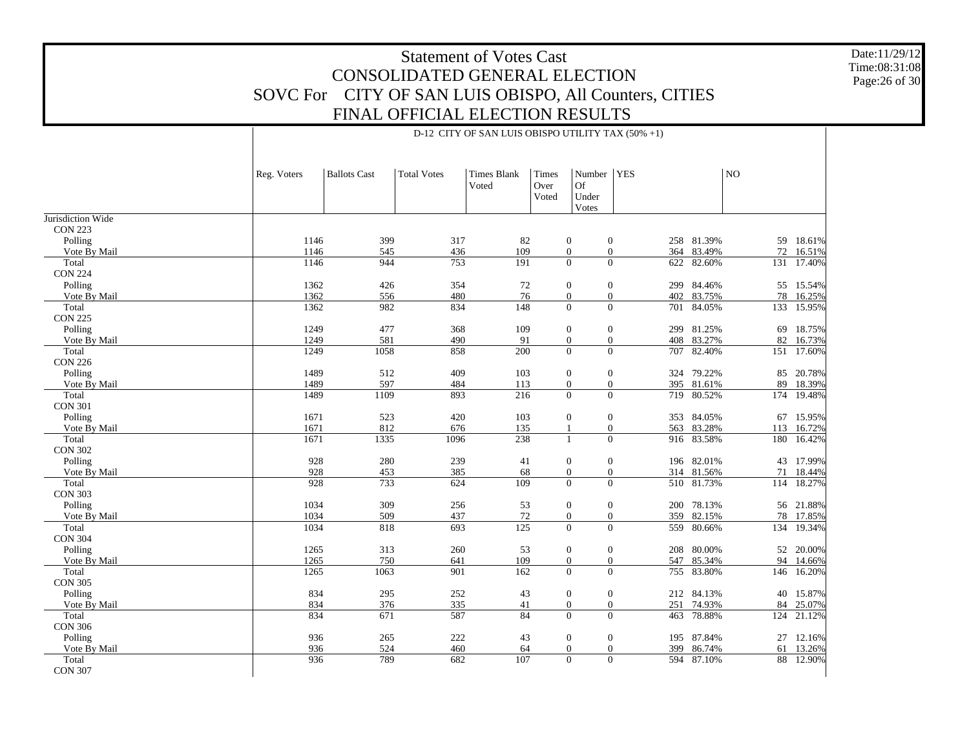D-12 CITY OF SAN LUIS OBISPO UTILITY TAX (50% +1)

Date:11/29/12 Time:08:31:08Page:26 of 30

|                         | Reg. Voters  | <b>Ballots Cast</b> | <b>Total Votes</b> | Times Blank<br>Voted | Times<br>Over<br>Voted | Number<br>Of<br>Under<br>Votes       | <b>YES</b>                            |                      | NO  |                     |
|-------------------------|--------------|---------------------|--------------------|----------------------|------------------------|--------------------------------------|---------------------------------------|----------------------|-----|---------------------|
| Jurisdiction Wide       |              |                     |                    |                      |                        |                                      |                                       |                      |     |                     |
| <b>CON 223</b>          |              |                     |                    |                      |                        |                                      |                                       |                      |     |                     |
| Polling                 | 1146         | 399                 | 317                | 82                   |                        | $\boldsymbol{0}$<br>$\boldsymbol{0}$ |                                       | 258 81.39%           | 59  | 18.61%              |
| Vote By Mail<br>Total   | 1146<br>1146 | 545<br>944          | 436<br>753         | 109<br>191           |                        | $\mathbf{0}$<br>$\mathbf{0}$         | $\mathbf{0}$<br>$\overline{0}$<br>622 | 364 83.49%<br>82.60% | 131 | 72 16.51%<br>17.40% |
| <b>CON 224</b>          |              |                     |                    |                      |                        |                                      |                                       |                      |     |                     |
| Polling                 | 1362         | 426                 | 354                | 72                   |                        | $\boldsymbol{0}$<br>$\mathbf{0}$     |                                       | 299 84.46%           |     | 55 15.54%           |
| Vote By Mail            | 1362         | 556                 | 480                | 76                   |                        | $\mathbf{0}$                         | $\mathbf{0}$                          | 402 83.75%           | 78  | 16.25%              |
| Total                   | 1362         | 982                 | 834                | 148                  |                        | $\overline{0}$                       | $\overline{0}$                        | 701 84.05%           |     | 133 15.95%          |
| <b>CON 225</b>          |              |                     |                    |                      |                        |                                      |                                       |                      |     |                     |
| Polling                 | 1249         | 477                 | 368                | 109                  |                        | $\boldsymbol{0}$<br>$\mathbf{0}$     |                                       | 299 81.25%           | 69  | 18.75%              |
| Vote By Mail            | 1249         | 581                 | 490                | 91                   |                        | $\boldsymbol{0}$                     | $\mathbf{0}$                          | 408 83.27%           | 82  | 16.73%              |
| Total                   | 1249         | 1058                | 858                | 200                  |                        | $\overline{0}$                       | $\mathbf{0}$<br>707                   | 82.40%               | 151 | 17.60%              |
| <b>CON 226</b>          |              |                     |                    |                      |                        |                                      |                                       |                      |     |                     |
| Polling                 | 1489         | 512                 | 409                | 103                  |                        | $\boldsymbol{0}$<br>$\mathbf{0}$     |                                       | 324 79.22%           | 85  | 20.78%              |
| Vote By Mail            | 1489         | 597                 | 484                | 113                  |                        | $\boldsymbol{0}$<br>$\mathbf{0}$     |                                       | 395 81.61%           | 89  | 18.39%              |
| Total                   | 1489         | 1109                | 893                | 216                  |                        | $\overline{0}$                       | $\Omega$                              | 719 80.52%           |     | 174 19.48%          |
| <b>CON 301</b>          |              |                     |                    |                      |                        |                                      |                                       |                      |     |                     |
| Polling                 | 1671         | 523                 | 420                | 103                  |                        | $\boldsymbol{0}$<br>$\mathbf{0}$     |                                       | 353 84.05%           | 67  | 15.95%              |
| Vote By Mail            | 1671         | 812                 | 676                | 135                  |                        | $\mathbf{1}$                         | $\mathbf{0}$                          | 563 83.28%           | 113 | 16.72%              |
| Total                   | 1671         | 1335                | 1096               | 238                  |                        | $\mathbf{1}$                         | $\overline{0}$                        | 916 83.58%           | 180 | 16.42%              |
| <b>CON 302</b>          |              |                     |                    |                      |                        |                                      |                                       |                      |     |                     |
| Polling                 | 928          | 280                 | 239                | 41                   |                        | $\boldsymbol{0}$<br>$\mathbf{0}$     |                                       | 196 82.01%           |     | 43 17.99%           |
| Vote By Mail            | 928<br>928   | 453                 | 385                | 68                   |                        | $\mathbf{0}$<br>$\Omega$             | $\mathbf{0}$<br>$\theta$              | 314 81.56%           | 71  | 18.44%              |
| Total<br><b>CON 303</b> |              | 733                 | 624                | 109                  |                        |                                      |                                       | 510 81.73%           |     | 114 18.27%          |
| Polling                 | 1034         | 309                 | 256                | 53                   |                        | $\boldsymbol{0}$<br>$\mathbf{0}$     |                                       | 200 78.13%           |     | 56 21.88%           |
| Vote By Mail            | 1034         | 509                 | 437                | $72\,$               |                        | $\mathbf{0}$                         | $\mathbf{0}$                          | 359 82.15%           | 78  | 17.85%              |
| Total                   | 1034         | 818                 | 693                | 125                  |                        | $\overline{0}$                       | $\overline{0}$<br>559                 | 80.66%               | 134 | 19.34%              |
| <b>CON 304</b>          |              |                     |                    |                      |                        |                                      |                                       |                      |     |                     |
| Polling                 | 1265         | 313                 | 260                | 53                   |                        | $\boldsymbol{0}$<br>$\mathbf{0}$     |                                       | 208 80.00%           | 52  | 20.00%              |
| Vote By Mail            | 1265         | 750                 | 641                | 109                  |                        | $\boldsymbol{0}$                     | $\mathbf{0}$                          | 547 85.34%           | 94  | 14.66%              |
| Total                   | 1265         | 1063                | 901                | 162                  |                        | $\overline{0}$                       | $\mathbf{0}$<br>755                   | 83.80%               | 146 | 16.20%              |
| <b>CON 305</b>          |              |                     |                    |                      |                        |                                      |                                       |                      |     |                     |
| Polling                 | 834          | 295                 | 252                | 43                   |                        | $\boldsymbol{0}$<br>$\mathbf{0}$     |                                       | 212 84.13%           | 40  | 15.87%              |
| Vote By Mail            | 834          | 376                 | 335                | 41                   |                        | $\mathbf{0}$                         | $\mathbf{0}$                          | 251 74.93%           | 84  | 25.07%              |
| Total                   | 834          | 671                 | 587                | 84                   |                        | $\overline{0}$                       | $\overline{0}$                        | 463 78.88%           | 124 | 21.12%              |
| <b>CON 306</b>          |              |                     |                    |                      |                        |                                      |                                       |                      |     |                     |
| Polling                 | 936          | 265                 | 222                | 43                   |                        | $\boldsymbol{0}$<br>$\overline{0}$   |                                       | 195 87.84%           |     | 27 12.16%           |
| Vote By Mail            | 936          | 524                 | 460                | 64                   |                        | $\mathbf{0}$                         | $\mathbf{0}$<br>399                   | 86.74%               | 61  | 13.26%              |
| Total                   | 936          | 789                 | 682                | 107                  |                        | $\Omega$                             | $\mathbf{0}$                          | 594 87.10%           |     | 88 12.90%           |
| <b>CON 307</b>          |              |                     |                    |                      |                        |                                      |                                       |                      |     |                     |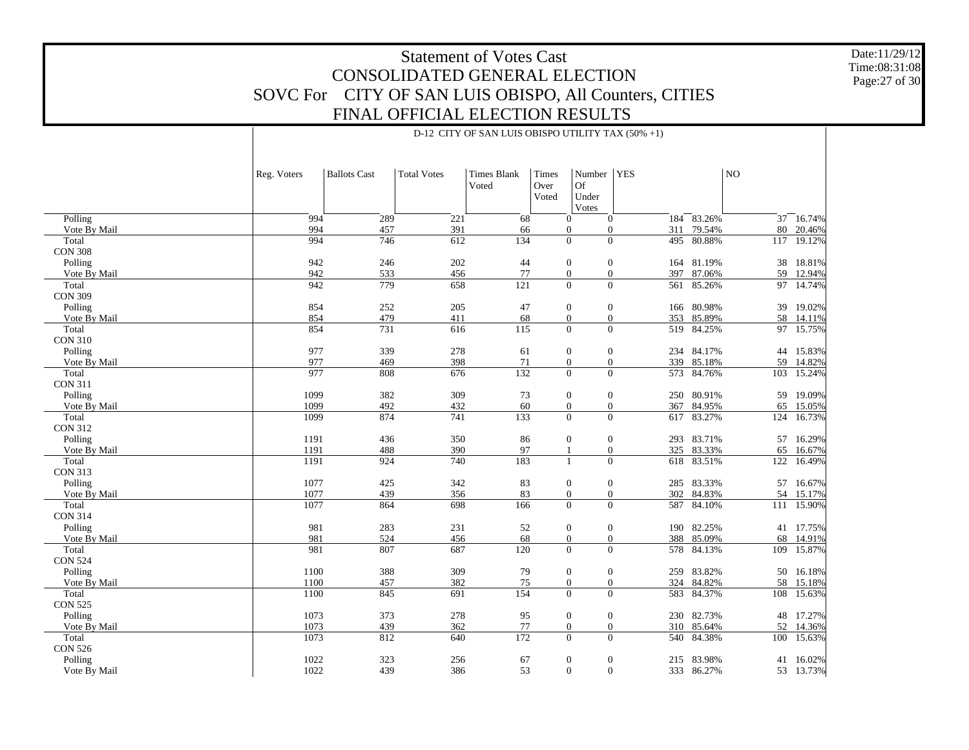Date:11/29/12 Time:08:31:08 Page:27 of 30

|                | Reg. Voters | <b>Ballots Cast</b> | <b>Total Votes</b> | <b>Times Blank</b><br>Voted | Times<br>Over<br>Voted | Number<br>Of<br>Under<br>Votes       | <b>YES</b> |            | NO  |            |
|----------------|-------------|---------------------|--------------------|-----------------------------|------------------------|--------------------------------------|------------|------------|-----|------------|
| Polling        | 994         | 289                 | 221                | 68                          |                        | $\mathbf{0}$<br>$\mathbf{0}$         | 184        | 83.26%     | 37  | 16.74%     |
| Vote By Mail   | 994         | 457                 | 391                | 66                          |                        | $\overline{0}$<br>$\overline{0}$     | 311        | 79.54%     | 80  | 20.46%     |
| Total          | 994         | 746                 | 612                | 134                         |                        | $\overline{0}$<br>$\overline{0}$     | 495        | 80.88%     | 117 | 19.12%     |
| <b>CON 308</b> |             |                     |                    |                             |                        |                                      |            |            |     |            |
| Polling        | 942         | 246                 | 202                | 44                          |                        | $\mathbf{0}$<br>$\mathbf{0}$         | 164        | 81.19%     | 38  | 18.81%     |
| Vote By Mail   | 942         | 533                 | 456                | 77                          |                        | $\overline{0}$<br>$\mathbf{0}$       | 397        | 87.06%     | 59  | 12.94%     |
| Total          | 942         | 779                 | 658                | 121                         |                        | $\overline{0}$<br>$\overline{0}$     | 561        | 85.26%     | 97  | 14.74%     |
| <b>CON 309</b> |             |                     |                    |                             |                        |                                      |            |            |     |            |
| Polling        | 854         | 252                 | 205                | 47                          |                        | $\mathbf{0}$<br>$\mathbf{0}$         |            | 166 80.98% | 39  | 19.02%     |
| Vote By Mail   | 854         | 479                 | 411                | 68                          |                        | $\boldsymbol{0}$<br>$\mathbf{0}$     | 353        | 85.89%     | 58  | 14.11%     |
| Total          | 854         |                     |                    |                             |                        | $\boldsymbol{0}$<br>$\mathbf{0}$     | 519        | 84.25%     | 97  |            |
| <b>CON 310</b> |             | 731                 | 616                | 115                         |                        |                                      |            |            |     | 15.75%     |
|                |             |                     |                    |                             |                        |                                      |            |            |     |            |
| Polling        | 977         | 339                 | 278                | 61                          |                        | $\mathbf{0}$<br>$\mathbf{0}$         |            | 234 84.17% |     | 44 15.83%  |
| Vote By Mail   | 977         | 469                 | 398                | 71                          |                        | $\overline{0}$<br>$\overline{0}$     | 339        | 85.18%     | 59  | 14.82%     |
| Total          | 977         | 808                 | 676                | 132                         |                        | $\overline{0}$<br>$\mathbf{0}$       |            | 573 84.76% | 103 | 15.24%     |
| <b>CON 311</b> |             |                     |                    |                             |                        |                                      |            |            |     |            |
| Polling        | 1099        | 382                 | 309                | 73                          |                        | $\boldsymbol{0}$<br>$\mathbf{0}$     |            | 250 80.91% |     | 59 19.09%  |
| Vote By Mail   | 1099        | 492                 | 432                | 60                          |                        | $\overline{0}$<br>$\overline{0}$     | 367        | 84.95%     | 65  | 15.05%     |
| Total          | 1099        | 874                 | 741                | 133                         |                        | $\overline{0}$<br>$\overline{0}$     |            | 617 83.27% | 124 | 16.73%     |
| <b>CON 312</b> |             |                     |                    |                             |                        |                                      |            |            |     |            |
| Polling        | 1191        | 436                 | 350                | 86                          |                        | $\mathbf{0}$<br>$\mathbf{0}$         |            | 293 83.71% | 57  | 16.29%     |
| Vote By Mail   | 1191        | 488                 | 390                | 97                          |                        | $\mathbf{0}$<br>$\mathbf{1}$         |            | 325 83.33% | 65  | 16.67%     |
| Total          | 1191        | 924                 | 740                | 183                         |                        | $\overline{0}$<br>$\mathbf{1}$       |            | 618 83.51% | 122 | 16.49%     |
| <b>CON 313</b> |             |                     |                    |                             |                        |                                      |            |            |     |            |
| Polling        | 1077        | 425                 | 342                | 83                          |                        | $\mathbf{0}$<br>$\mathbf{0}$         |            | 285 83.33% | 57  | 16.67%     |
| Vote By Mail   | 1077        | 439                 | 356                | 83                          |                        | $\boldsymbol{0}$<br>$\boldsymbol{0}$ | 302        | 84.83%     | 54  | 15.17%     |
| Total          | 1077        | 864                 | 698                | 166                         |                        | $\Omega$<br>$\Omega$                 | 587        | 84.10%     |     | 111 15.90% |
| <b>CON 314</b> |             |                     |                    |                             |                        |                                      |            |            |     |            |
| Polling        | 981         | 283                 | 231                | 52                          |                        | $\mathbf{0}$<br>$\mathbf{0}$         | 190        | 82.25%     |     | 41 17.75%  |
| Vote By Mail   | 981         | 524                 | 456                | 68                          |                        | $\boldsymbol{0}$<br>$\boldsymbol{0}$ |            | 388 85.09% | 68  | 14.91%     |
| Total          | 981         | 807                 | 687                | 120                         |                        | $\overline{0}$<br>$\overline{0}$     | 578        | 84.13%     | 109 | 15.87%     |
| <b>CON 524</b> |             |                     |                    |                             |                        |                                      |            |            |     |            |
| Polling        | 1100        | 388                 | 309                | 79                          |                        | $\mathbf{0}$<br>$\mathbf{0}$         |            | 259 83.82% | 50  | 16.18%     |
| Vote By Mail   | 1100        | 457                 | 382                | 75                          |                        | $\boldsymbol{0}$<br>$\boldsymbol{0}$ | 324        | 84.82%     | 58  | 15.18%     |
| Total          | 1100        | 845                 | 691                | 154                         |                        | $\overline{0}$<br>$\overline{0}$     |            | 583 84.37% | 108 | 15.63%     |
| <b>CON 525</b> |             |                     |                    |                             |                        |                                      |            |            |     |            |
| Polling        | 1073        | 373                 | 278                | 95                          |                        | $\mathbf{0}$<br>$\mathbf{0}$         |            | 230 82.73% |     | 48 17.27%  |
| Vote By Mail   | 1073        | 439                 | 362                | $77\,$                      |                        | $\boldsymbol{0}$<br>$\boldsymbol{0}$ | 310        | 85.64%     | 52  | 14.36%     |
| Total          | 1073        | 812                 | 640                | 172                         |                        | $\overline{0}$<br>$\overline{0}$     | 540        | 84.38%     | 100 | 15.63%     |
| <b>CON 526</b> |             |                     |                    |                             |                        |                                      |            |            |     |            |
| Polling        | 1022        | 323                 | 256                | 67                          |                        | $\mathbf{0}$<br>$\mathbf{0}$         |            | 215 83.98% | 41  | 16.02%     |
| Vote By Mail   | 1022        | 439                 | 386                | 53                          |                        | $\overline{0}$<br>$\Omega$           |            | 333 86.27% |     | 53 13.73%  |
|                |             |                     |                    |                             |                        |                                      |            |            |     |            |

D-12 CITY OF SAN LUIS OBISPO UTILITY TAX (50% +1)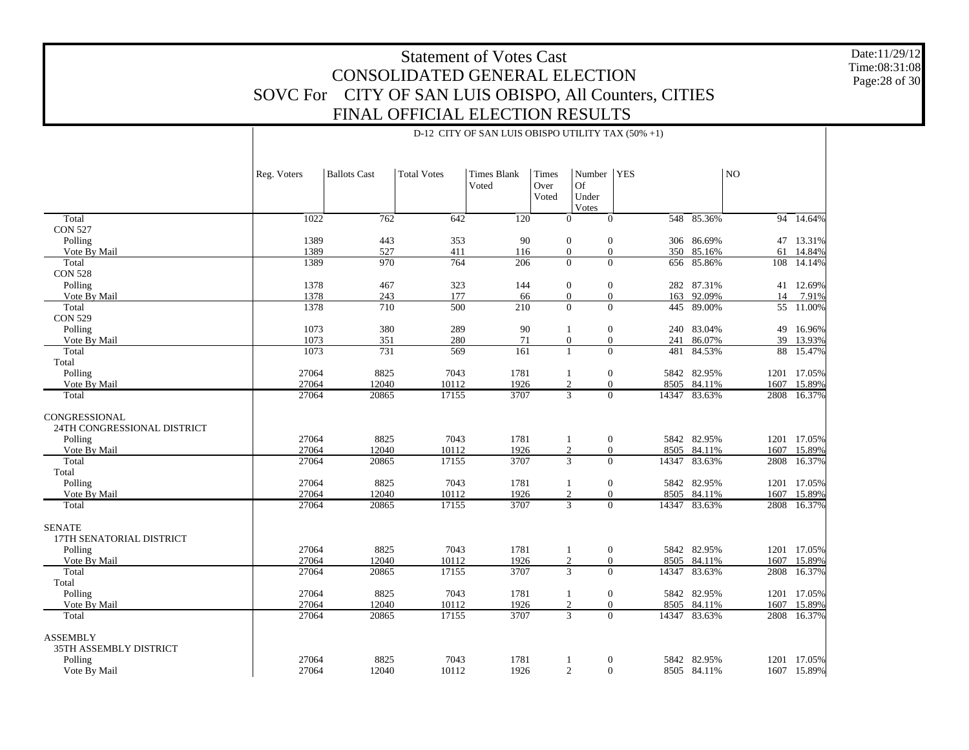D-12 CITY OF SAN LUIS OBISPO UTILITY TAX (50% +1)

Date:11/29/12 Time:08:31:08 Page:28 of 30

|                                                                         | Reg. Voters    | <b>Ballots Cast</b> | <b>Total Votes</b> | <b>Times Blank</b><br>Voted | Times<br>Over<br>Voted | Number<br>Of<br>Under<br>Votes | <b>YES</b>                        |                            | N <sub>O</sub> |                  |
|-------------------------------------------------------------------------|----------------|---------------------|--------------------|-----------------------------|------------------------|--------------------------------|-----------------------------------|----------------------------|----------------|------------------|
| Total                                                                   | 1022           | $\overline{762}$    | 642                | 120                         |                        | $\theta$                       | $\overline{0}$                    | 548 85.36%                 |                | 94 14.64%        |
| <b>CON 527</b>                                                          |                |                     |                    |                             |                        |                                |                                   |                            |                |                  |
| Polling                                                                 | 1389           | 443                 | 353                | 90                          |                        | $\mathbf{0}$                   | $\boldsymbol{0}$                  | 306 86.69%                 |                | 47 13.31%        |
| Vote By Mail                                                            | 1389           | 527                 | 411                | 116                         |                        | $\mathbf{0}$                   | $\mathbf{0}$<br>350               | 85.16%                     | 61             | 14.84%           |
| Total                                                                   | 1389           | 970                 | 764                | 206                         |                        | $\mathbf{0}$                   | $\overline{0}$                    | 656 85.86%                 | 108            | 14.14%           |
| <b>CON 528</b>                                                          |                |                     |                    |                             |                        |                                |                                   |                            |                |                  |
| Polling                                                                 | 1378           | 467                 | 323                | 144                         |                        | $\mathbf{0}$                   | $\overline{0}$                    | 282 87.31%                 |                | 41 12.69%        |
| Vote By Mail                                                            | 1378<br>1378   | 243                 | 177                | 66<br>210                   |                        | $\mathbf{0}$<br>$\theta$       | $\overline{0}$<br>163<br>$\Omega$ | 92.09%                     | 14             | 7.91%            |
| Total<br><b>CON 529</b>                                                 |                | 710                 | 500                |                             |                        |                                |                                   | 445 89.00%                 |                | 55 11.00%        |
| Polling                                                                 | 1073           | 380                 | 289                | 90                          |                        | $\mathbf{1}$                   | $\boldsymbol{0}$<br>240           | 83.04%                     |                | 49 16.96%        |
| Vote By Mail                                                            | 1073           | 351                 | 280                | 71                          |                        | $\mathbf{0}$                   | $\mathbf{0}$<br>241               | 86.07%                     | 39             | 13.93%           |
| Total                                                                   | 1073           | 731                 | 569                | $\overline{161}$            |                        | $\mathbf{1}$                   | $\overline{0}$<br>481             | 84.53%                     | 88             | 15.47%           |
| Total                                                                   |                |                     |                    |                             |                        |                                |                                   |                            |                |                  |
| Polling                                                                 | 27064          | 8825                | 7043               | 1781                        |                        | $\mathbf{1}$                   | $\boldsymbol{0}$                  | 5842 82.95%                | 1201           | 17.05%           |
| Vote By Mail                                                            | 27064          | 12040               | 10112              | 1926                        |                        | 2                              | $\mathbf{0}$<br>8505              | 84.11%                     | 1607           | 15.89%           |
| Total                                                                   | 27064          | 20865               | 17155              | 3707                        |                        | $\overline{3}$                 | $\Omega$<br>14347                 | 83.63%                     | 2808           | 16.37%           |
| CONGRESSIONAL<br>24TH CONGRESSIONAL DISTRICT<br>Polling<br>Vote By Mail | 27064<br>27064 | 8825<br>12040       | 7043<br>10112      | 1781<br>1926                |                        | $\mathbf{1}$<br>2              | $\mathbf{0}$<br>$\overline{0}$    | 5842 82.95%<br>8505 84.11% | 1201<br>1607   | 17.05%<br>15.89% |
| Total                                                                   | 27064          | 20865               | 17155              | 3707                        |                        | $\overline{3}$                 | $\Omega$<br>14347                 | 83.63%                     | 2808           | 16.37%           |
| Total                                                                   |                |                     |                    |                             |                        |                                |                                   |                            |                |                  |
| Polling                                                                 | 27064          | 8825                | 7043               | 1781                        |                        | $\mathbf{1}$                   | $\boldsymbol{0}$                  | 5842 82.95%                | 1201           | 17.05%           |
| Vote By Mail                                                            | 27064          | 12040               | 10112              | 1926                        |                        | 2                              | $\mathbf{0}$                      | 8505 84.11%                | 1607           | 15.89%           |
| Total                                                                   | 27064          | 20865               | 17155              | 3707                        |                        | $\overline{3}$                 | $\overline{0}$                    | 14347 83.63%               | 2808           | 16.37%           |
| <b>SENATE</b><br>17TH SENATORIAL DISTRICT<br>Polling                    | 27064          | 8825                | 7043               | 1781                        |                        | -1                             | $\boldsymbol{0}$                  | 5842 82.95%                |                | 1201 17.05%      |
| Vote By Mail                                                            | 27064          | 12040               | 10112              | 1926                        |                        | $\overline{2}$                 | $\boldsymbol{0}$<br>8505          | 84.11%                     | 1607           | 15.89%           |
| Total                                                                   | 27064          | 20865               | 17155              | 3707                        |                        | $\overline{3}$                 | $\overline{0}$<br>14347           | 83.63%                     | 2808           | 16.37%           |
| Total                                                                   |                |                     |                    |                             |                        |                                |                                   |                            |                |                  |
| Polling                                                                 | 27064          | 8825                | 7043               | 1781                        |                        | $\mathbf{1}$                   | $\boldsymbol{0}$                  | 5842 82.95%                |                | 1201 17.05%      |
| Vote By Mail                                                            | 27064          | 12040               | 10112              | 1926                        |                        | 2                              | $\overline{0}$                    | 8505 84.11%                | 1607           | 15.89%           |
| Total                                                                   | 27064          | 20865               | 17155              | 3707                        |                        | $\overline{3}$                 | $\overline{0}$<br>14347           | 83.63%                     | 2808           | 16.37%           |
| <b>ASSEMBLY</b><br>35TH ASSEMBLY DISTRICT<br>Polling                    | 27064          | 8825                | 7043               | 1781                        |                        | 1                              | $\boldsymbol{0}$                  | 5842 82.95%                |                | 1201 17.05%      |
| Vote By Mail                                                            | 27064          | 12040               | 10112              | 1926                        |                        | 2                              | $\mathbf{0}$                      | 8505 84.11%                |                | 1607 15.89%      |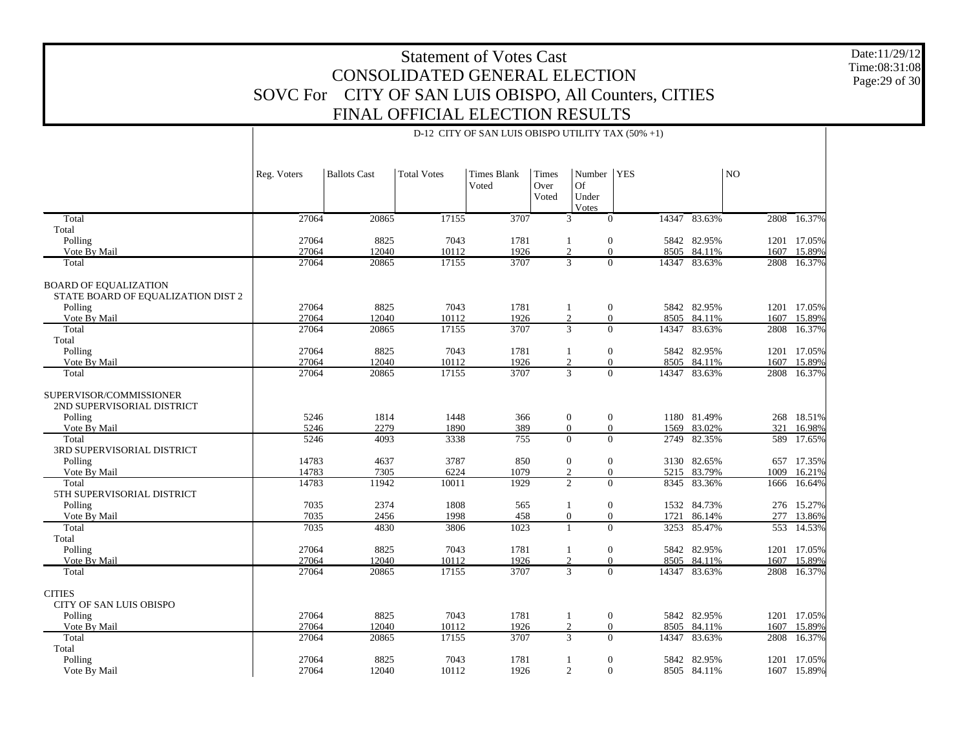Date:11/29/12 Time:08:31:08Page:29 of 30

| 17155<br>3707<br>Total<br>27064<br>20865<br>$\overline{0}$<br>14347 83.63%<br>3<br>Total<br>Polling<br>27064<br>8825<br>7043<br>1781<br>$\mathbf{0}$<br>5842 82.95%<br>1<br>27064<br>12040<br>10112<br>1926<br>2<br>$\overline{0}$<br>84.11%<br>Vote By Mail<br>8505<br>1607<br>17155<br>3707<br>3<br>$\Omega$<br>Total<br>27064<br>20865<br>14347<br>83.63%<br>2808<br><b>BOARD OF EQUALIZATION</b><br>STATE BOARD OF EQUALIZATION DIST 2<br>7043<br>27064<br>8825<br>1781<br>$\mathbf{0}$<br>5842 82.95%<br>Polling<br>$\mathbf{1}$<br>1201<br>$\overline{2}$<br>$\mathbf{0}$<br>1926<br>Vote By Mail<br>27064<br>12040<br>10112<br>8505 84.11%<br>1607<br>$\overline{3}$<br>27064<br>20865<br>17155<br>3707<br>$\Omega$<br>83.63%<br>Total<br>14347<br>2808<br>Total<br>Polling<br>27064<br>8825<br>7043<br>1781<br>$\boldsymbol{0}$<br>5842 82.95%<br>1<br>1201<br>$\overline{2}$<br>27064<br>12040<br>10112<br>1926<br>$\overline{0}$<br>84.11%<br>Vote By Mail<br>8505<br>1607<br>$\overline{3}$<br>$\overline{0}$<br>3707<br>27064<br>20865<br>17155<br>83.63%<br>2808<br>Total<br>14347<br>SUPERVISOR/COMMISSIONER<br>2ND SUPERVISORIAL DISTRICT<br>5246<br>1814<br>1448<br>$\boldsymbol{0}$<br>$\mathbf{0}$<br>1180 81.49%<br>Polling<br>366<br>1890<br>389<br>$\overline{0}$<br>83.02%<br>Vote By Mail<br>5246<br>2279<br>$\mathbf{0}$<br>321<br>1569<br>4093<br>3338<br>755<br>$\Omega$<br>$\Omega$<br>Total<br>5246<br>2749<br>82.35%<br>3RD SUPERVISORIAL DISTRICT<br>14783<br>4637<br>3787<br>$\mathbf{0}$<br>Polling<br>850<br>$\mathbf{0}$<br>3130 82.65%<br>14783<br>7305<br>6224<br>1079<br>2<br>$\overline{0}$<br>5215 83.79%<br>Vote By Mail<br>1009<br>$\overline{2}$<br>$\overline{0}$<br>14783<br>11942<br>10011<br>1929<br>83.36%<br>Total<br>8345<br>1666 |                      |
|------------------------------------------------------------------------------------------------------------------------------------------------------------------------------------------------------------------------------------------------------------------------------------------------------------------------------------------------------------------------------------------------------------------------------------------------------------------------------------------------------------------------------------------------------------------------------------------------------------------------------------------------------------------------------------------------------------------------------------------------------------------------------------------------------------------------------------------------------------------------------------------------------------------------------------------------------------------------------------------------------------------------------------------------------------------------------------------------------------------------------------------------------------------------------------------------------------------------------------------------------------------------------------------------------------------------------------------------------------------------------------------------------------------------------------------------------------------------------------------------------------------------------------------------------------------------------------------------------------------------------------------------------------------------------------------------------------------------------------------------------------------------------------|----------------------|
|                                                                                                                                                                                                                                                                                                                                                                                                                                                                                                                                                                                                                                                                                                                                                                                                                                                                                                                                                                                                                                                                                                                                                                                                                                                                                                                                                                                                                                                                                                                                                                                                                                                                                                                                                                                    | 2808 16.37%          |
|                                                                                                                                                                                                                                                                                                                                                                                                                                                                                                                                                                                                                                                                                                                                                                                                                                                                                                                                                                                                                                                                                                                                                                                                                                                                                                                                                                                                                                                                                                                                                                                                                                                                                                                                                                                    |                      |
|                                                                                                                                                                                                                                                                                                                                                                                                                                                                                                                                                                                                                                                                                                                                                                                                                                                                                                                                                                                                                                                                                                                                                                                                                                                                                                                                                                                                                                                                                                                                                                                                                                                                                                                                                                                    | 1201 17.05%          |
|                                                                                                                                                                                                                                                                                                                                                                                                                                                                                                                                                                                                                                                                                                                                                                                                                                                                                                                                                                                                                                                                                                                                                                                                                                                                                                                                                                                                                                                                                                                                                                                                                                                                                                                                                                                    | 15.89%               |
|                                                                                                                                                                                                                                                                                                                                                                                                                                                                                                                                                                                                                                                                                                                                                                                                                                                                                                                                                                                                                                                                                                                                                                                                                                                                                                                                                                                                                                                                                                                                                                                                                                                                                                                                                                                    | 16.37%               |
|                                                                                                                                                                                                                                                                                                                                                                                                                                                                                                                                                                                                                                                                                                                                                                                                                                                                                                                                                                                                                                                                                                                                                                                                                                                                                                                                                                                                                                                                                                                                                                                                                                                                                                                                                                                    |                      |
|                                                                                                                                                                                                                                                                                                                                                                                                                                                                                                                                                                                                                                                                                                                                                                                                                                                                                                                                                                                                                                                                                                                                                                                                                                                                                                                                                                                                                                                                                                                                                                                                                                                                                                                                                                                    | 17.05%               |
|                                                                                                                                                                                                                                                                                                                                                                                                                                                                                                                                                                                                                                                                                                                                                                                                                                                                                                                                                                                                                                                                                                                                                                                                                                                                                                                                                                                                                                                                                                                                                                                                                                                                                                                                                                                    | 15.89%               |
|                                                                                                                                                                                                                                                                                                                                                                                                                                                                                                                                                                                                                                                                                                                                                                                                                                                                                                                                                                                                                                                                                                                                                                                                                                                                                                                                                                                                                                                                                                                                                                                                                                                                                                                                                                                    | 16.37%               |
|                                                                                                                                                                                                                                                                                                                                                                                                                                                                                                                                                                                                                                                                                                                                                                                                                                                                                                                                                                                                                                                                                                                                                                                                                                                                                                                                                                                                                                                                                                                                                                                                                                                                                                                                                                                    | 17.05%               |
|                                                                                                                                                                                                                                                                                                                                                                                                                                                                                                                                                                                                                                                                                                                                                                                                                                                                                                                                                                                                                                                                                                                                                                                                                                                                                                                                                                                                                                                                                                                                                                                                                                                                                                                                                                                    | 15.89%               |
|                                                                                                                                                                                                                                                                                                                                                                                                                                                                                                                                                                                                                                                                                                                                                                                                                                                                                                                                                                                                                                                                                                                                                                                                                                                                                                                                                                                                                                                                                                                                                                                                                                                                                                                                                                                    | 16.37%               |
|                                                                                                                                                                                                                                                                                                                                                                                                                                                                                                                                                                                                                                                                                                                                                                                                                                                                                                                                                                                                                                                                                                                                                                                                                                                                                                                                                                                                                                                                                                                                                                                                                                                                                                                                                                                    | 268 18.51%           |
|                                                                                                                                                                                                                                                                                                                                                                                                                                                                                                                                                                                                                                                                                                                                                                                                                                                                                                                                                                                                                                                                                                                                                                                                                                                                                                                                                                                                                                                                                                                                                                                                                                                                                                                                                                                    | 16.98%<br>589 17.65% |
|                                                                                                                                                                                                                                                                                                                                                                                                                                                                                                                                                                                                                                                                                                                                                                                                                                                                                                                                                                                                                                                                                                                                                                                                                                                                                                                                                                                                                                                                                                                                                                                                                                                                                                                                                                                    |                      |
|                                                                                                                                                                                                                                                                                                                                                                                                                                                                                                                                                                                                                                                                                                                                                                                                                                                                                                                                                                                                                                                                                                                                                                                                                                                                                                                                                                                                                                                                                                                                                                                                                                                                                                                                                                                    | 657<br>17.35%        |
|                                                                                                                                                                                                                                                                                                                                                                                                                                                                                                                                                                                                                                                                                                                                                                                                                                                                                                                                                                                                                                                                                                                                                                                                                                                                                                                                                                                                                                                                                                                                                                                                                                                                                                                                                                                    | 16.21%               |
| 5TH SUPERVISORIAL DISTRICT                                                                                                                                                                                                                                                                                                                                                                                                                                                                                                                                                                                                                                                                                                                                                                                                                                                                                                                                                                                                                                                                                                                                                                                                                                                                                                                                                                                                                                                                                                                                                                                                                                                                                                                                                         | 16.64%               |
| $\mathbf{0}$<br>7035<br>2374<br>1808<br>565<br>1532 84.73%<br>Polling<br>$\mathbf{1}$                                                                                                                                                                                                                                                                                                                                                                                                                                                                                                                                                                                                                                                                                                                                                                                                                                                                                                                                                                                                                                                                                                                                                                                                                                                                                                                                                                                                                                                                                                                                                                                                                                                                                              | 276 15.27%           |
| 7035<br>1998<br>458<br>$\mathbf{0}$<br>$\mathbf{0}$<br>Vote By Mail<br>2456<br>1721 86.14%                                                                                                                                                                                                                                                                                                                                                                                                                                                                                                                                                                                                                                                                                                                                                                                                                                                                                                                                                                                                                                                                                                                                                                                                                                                                                                                                                                                                                                                                                                                                                                                                                                                                                         | 277<br>13.86%        |
| 7035<br>1023<br>85.47%<br>Total<br>4830<br>3806<br>$\mathbf{1}$<br>$\overline{0}$<br>3253<br>553                                                                                                                                                                                                                                                                                                                                                                                                                                                                                                                                                                                                                                                                                                                                                                                                                                                                                                                                                                                                                                                                                                                                                                                                                                                                                                                                                                                                                                                                                                                                                                                                                                                                                   | 14.53%               |
| Total                                                                                                                                                                                                                                                                                                                                                                                                                                                                                                                                                                                                                                                                                                                                                                                                                                                                                                                                                                                                                                                                                                                                                                                                                                                                                                                                                                                                                                                                                                                                                                                                                                                                                                                                                                              |                      |
| 27064<br>Polling<br>8825<br>7043<br>1781<br>$\boldsymbol{0}$<br>5842 82.95%<br>1201<br>1                                                                                                                                                                                                                                                                                                                                                                                                                                                                                                                                                                                                                                                                                                                                                                                                                                                                                                                                                                                                                                                                                                                                                                                                                                                                                                                                                                                                                                                                                                                                                                                                                                                                                           | 17.05%               |
| 2<br>Vote By Mail<br>27064<br>12040<br>10112<br>1926<br>$\overline{0}$<br>8505 84.11%<br>1607                                                                                                                                                                                                                                                                                                                                                                                                                                                                                                                                                                                                                                                                                                                                                                                                                                                                                                                                                                                                                                                                                                                                                                                                                                                                                                                                                                                                                                                                                                                                                                                                                                                                                      | 15.89%               |
| $\overline{3}$<br>$\overline{0}$<br>27064<br>3707<br>Total<br>20865<br>17155<br>14347 83.63%<br>2808                                                                                                                                                                                                                                                                                                                                                                                                                                                                                                                                                                                                                                                                                                                                                                                                                                                                                                                                                                                                                                                                                                                                                                                                                                                                                                                                                                                                                                                                                                                                                                                                                                                                               | 16.37%               |
| <b>CITIES</b><br>CITY OF SAN LUIS OBISPO                                                                                                                                                                                                                                                                                                                                                                                                                                                                                                                                                                                                                                                                                                                                                                                                                                                                                                                                                                                                                                                                                                                                                                                                                                                                                                                                                                                                                                                                                                                                                                                                                                                                                                                                           |                      |
| 27064<br>8825<br>7043<br>Polling<br>1781<br>$\mathbf{0}$<br>5842 82.95%<br>$\mathbf{1}$                                                                                                                                                                                                                                                                                                                                                                                                                                                                                                                                                                                                                                                                                                                                                                                                                                                                                                                                                                                                                                                                                                                                                                                                                                                                                                                                                                                                                                                                                                                                                                                                                                                                                            | 1201 17.05%          |
| 27064<br>12040<br>10112<br>1926<br>2<br>$\overline{0}$<br>84.11%<br>Vote By Mail<br>8505<br>1607<br>$\overline{3}$<br>Total<br>17155<br>$\Omega$                                                                                                                                                                                                                                                                                                                                                                                                                                                                                                                                                                                                                                                                                                                                                                                                                                                                                                                                                                                                                                                                                                                                                                                                                                                                                                                                                                                                                                                                                                                                                                                                                                   | 15.89%<br>16.37%     |
| 83.63%<br>27064<br>20865<br>3707<br>14347<br>2808<br>Total                                                                                                                                                                                                                                                                                                                                                                                                                                                                                                                                                                                                                                                                                                                                                                                                                                                                                                                                                                                                                                                                                                                                                                                                                                                                                                                                                                                                                                                                                                                                                                                                                                                                                                                         |                      |
| Polling<br>27064<br>8825<br>7043<br>1781<br>$\boldsymbol{0}$<br>5842 82.95%<br>1201<br>1                                                                                                                                                                                                                                                                                                                                                                                                                                                                                                                                                                                                                                                                                                                                                                                                                                                                                                                                                                                                                                                                                                                                                                                                                                                                                                                                                                                                                                                                                                                                                                                                                                                                                           | 17.05%               |
| $\mathbf{0}$<br>27064<br>12040<br>10112<br>1926<br>$\overline{2}$<br>Vote By Mail<br>8505 84.11%                                                                                                                                                                                                                                                                                                                                                                                                                                                                                                                                                                                                                                                                                                                                                                                                                                                                                                                                                                                                                                                                                                                                                                                                                                                                                                                                                                                                                                                                                                                                                                                                                                                                                   | 1607 15.89%          |

#### D-12 CITY OF SAN LUIS OBISPO UTILITY TAX (50% +1)